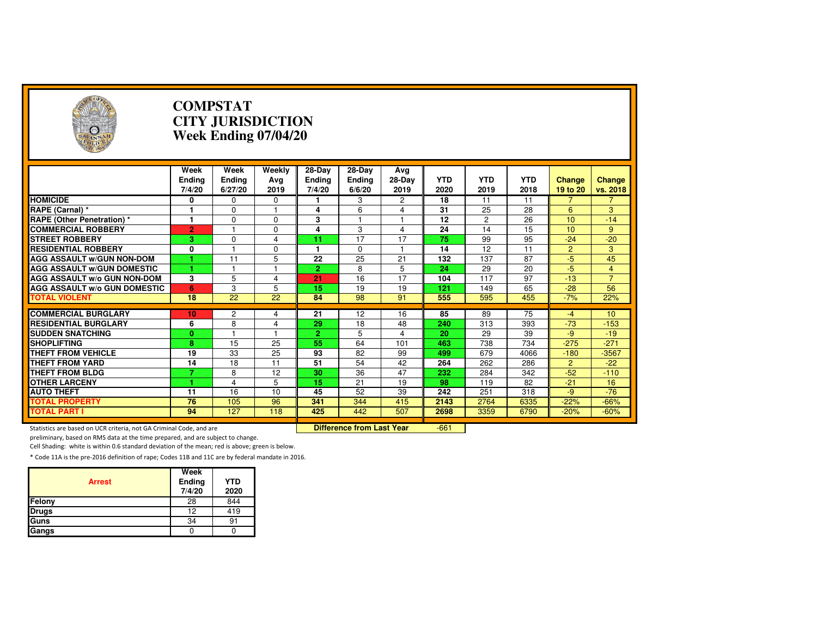| A                                                                   | <b>COMPSTAT</b><br><b>CITY JURISDICTION</b><br>Week Ending 07/04/20 |                           |                       |                                   |                                  |                       |                    |                    |                    |                           |                    |
|---------------------------------------------------------------------|---------------------------------------------------------------------|---------------------------|-----------------------|-----------------------------------|----------------------------------|-----------------------|--------------------|--------------------|--------------------|---------------------------|--------------------|
|                                                                     | Week<br><b>Ending</b><br>7/4/20                                     | Week<br>Ending<br>6/27/20 | Weekly<br>Avg<br>2019 | 28-Day<br><b>Ending</b><br>7/4/20 | 28-Day<br>Ending<br>6/6/20       | Avg<br>28-Day<br>2019 | <b>YTD</b><br>2020 | <b>YTD</b><br>2019 | <b>YTD</b><br>2018 | <b>Change</b><br>19 to 20 | Change<br>vs. 2018 |
| <b>HOMICIDE</b>                                                     | 0                                                                   | 0                         | 0                     |                                   | 3                                | 2                     | 18                 | 11                 | 11                 |                           | 7                  |
| RAPE (Carnal) *                                                     | 1                                                                   | 0                         |                       | 4                                 | 6                                | 4                     | 31                 | 25                 | 28                 | 6                         | 3                  |
| <b>RAPE (Other Penetration) *</b>                                   | $\overline{1}$                                                      | $\Omega$                  | $\Omega$              | 3                                 | 1                                | $\mathbf{1}$          | $\overline{12}$    | $\overline{2}$     | $\overline{26}$    | 10                        | $-14$              |
| <b>COMMERCIAL ROBBERY</b>                                           | $\overline{2}$                                                      | $\overline{1}$            | $\Omega$              | 4                                 | 3                                | $\overline{4}$        | 24                 | 14                 | 15                 | 10                        | 9                  |
| <b>STREET ROBBERY</b>                                               | 3.                                                                  | $\Omega$                  | 4                     | 11                                | 17                               | 17                    | 75                 | 99                 | 95                 | $-24$                     | $-20$              |
| <b>RESIDENTIAL ROBBERY</b>                                          | 0                                                                   |                           | $\Omega$              | 1                                 | $\Omega$                         | $\mathbf{1}$          | 14                 | 12                 | 11                 | $\overline{2}$            | 3                  |
| <b>AGG ASSAULT W/GUN NON-DOM</b>                                    |                                                                     | 11                        | 5                     | $\overline{22}$                   | 25                               | 21                    | 132                | 137                | $\overline{87}$    | $-5$                      | 45                 |
| <b>AGG ASSAULT W/GUN DOMESTIC</b>                                   |                                                                     | 1                         |                       | $\overline{2}$                    | 8                                | 5                     | 24                 | 29                 | 20                 | $-5$                      | $\overline{4}$     |
| <b>AGG ASSAULT w/o GUN NON-DOM</b>                                  | 3                                                                   | 5                         | 4                     | 21                                | 16                               | 17                    | 104                | 117                | 97                 | $-13$                     | $\overline{7}$     |
| <b>AGG ASSAULT W/o GUN DOMESTIC</b>                                 | 6                                                                   | 3                         | 5                     | 15                                | 19                               | 19                    | 121                | 149                | 65                 | $-28$                     | 56                 |
| <b>TOTAL VIOLENT</b>                                                | 18                                                                  | $\overline{22}$           | 22                    | 84                                | 98                               | 91                    | 555                | 595                | 455                | $-7%$                     | 22%                |
|                                                                     |                                                                     |                           |                       |                                   |                                  |                       |                    |                    |                    |                           |                    |
| <b>COMMERCIAL BURGLARY</b>                                          | 10                                                                  | 2                         | 4                     | 21                                | 12                               | 16                    | 85                 | 89                 | 75                 | $-4$                      | 10                 |
| <b>RESIDENTIAL BURGLARY</b>                                         | 6                                                                   | 8                         | 4                     | 29                                | 18                               | 48                    | 240                | 313                | 393                | $-73$                     | $-153$             |
| <b>SUDDEN SNATCHING</b>                                             | $\mathbf{0}$                                                        |                           |                       | $\overline{2}$                    | 5                                | $\overline{4}$        | 20                 | 29                 | 39                 | $-9$                      | $-19$              |
| <b>SHOPLIFTING</b>                                                  | $\overline{\mathbf{8}}$                                             | $\overline{15}$           | $\overline{25}$       | 55                                | 64                               | 101                   | 463                | 738                | 734                | $-275$                    | $-271$             |
| <b>THEFT FROM VEHICLE</b>                                           | 19                                                                  | 33                        | 25                    | 93                                | 82                               | 99                    | 499                | 679                | 4066               | $-180$                    | $-3567$            |
| <b>THEFT FROM YARD</b>                                              | 14                                                                  | 18                        | 11                    | 51                                | 54                               | 42                    | 264                | 262                | 286                | $\overline{2}$            | $-22$              |
| <b>THEFT FROM BLDG</b>                                              | 7                                                                   | 8                         | 12                    | 30                                | 36                               | 47                    | 232                | 284                | 342                | $-52$                     | $-110$             |
| <b>OTHER LARCENY</b>                                                |                                                                     | 4                         | 5                     | 15                                | 21                               | 19                    | 98                 | 119                | 82                 | $-21$                     | 16                 |
| <b>AUTO THEFT</b>                                                   | 11                                                                  | 16                        | 10                    | 45                                | 52                               | 39                    | 242                | 251                | 318                | $-9$                      | $-76$              |
| <b>TOTAL PROPERTY</b>                                               | 76                                                                  | 105                       | 96                    | 341                               | 344                              | 415                   | 2143               | 2764               | 6335               | $-22%$                    | $-66%$             |
| <b>TOTAL PART I</b>                                                 | 94                                                                  | 127                       | 118                   | 425                               | 442                              | 507                   | 2698               | 3359               | 6790               | $-20%$                    | $-60%$             |
| Statistics are based on UCR criteria, not GA Criminal Code, and are |                                                                     |                           |                       |                                   | <b>Difference from Last Year</b> |                       | $-661$             |                    |                    |                           |                    |

preliminary, based on RMS data at the time prepared, and are subject to change.

Cell Shading: white is within 0.6 standard deviation of the mean; red is above; green is below.

| <b>Arrest</b> | Week<br>Ending<br>7/4/20 | <b>YTD</b><br>2020 |
|---------------|--------------------------|--------------------|
| Felony        | 28                       | 844                |
| <b>Drugs</b>  | 12                       | 419                |
| Guns          | 34                       | 91                 |
| Gangs         |                          |                    |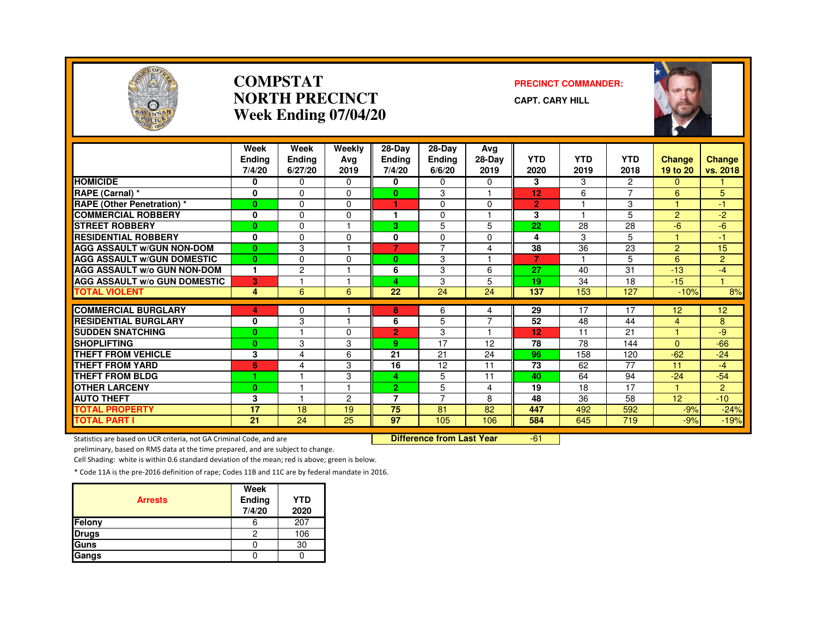

#### **COMPSTATNORTH PRECINCTWeek Ending 07/04/20**

#### **PRECINCT COMMANDER:**

**CAPT. CARY HILL**



|                                     | Week<br><b>Endina</b><br>7/4/20 | Week<br>Endina<br>6/27/20 | Weekly<br>Avg<br>2019 | $28-Dav$<br><b>Ending</b><br>7/4/20 | 28-Day<br><b>Endina</b><br>6/6/20 | Avg<br>28-Day<br>2019 | <b>YTD</b><br>2020 | <b>YTD</b><br>2019 | <b>YTD</b><br>2018       | <b>Change</b><br>19 to 20 | <b>Change</b><br>vs. 2018 |
|-------------------------------------|---------------------------------|---------------------------|-----------------------|-------------------------------------|-----------------------------------|-----------------------|--------------------|--------------------|--------------------------|---------------------------|---------------------------|
| <b>HOMICIDE</b>                     | 0                               | 0                         | $\Omega$              | 0                                   | $\Omega$                          | $\Omega$              | 3                  | 3                  | 2                        | 0                         |                           |
| RAPE (Carnal) *                     | $\mathbf 0$                     | $\Omega$                  | $\Omega$              | $\bf{0}$                            | 3                                 | 1                     | 12                 | 6                  | $\overline{\phantom{a}}$ | 6                         | 5                         |
| <b>RAPE (Other Penetration) *</b>   | $\bf{0}$                        | $\Omega$                  | $\Omega$              | ٠                                   | $\Omega$                          | $\Omega$              | $\overline{2}$     |                    | 3                        | и                         | $-1$                      |
| <b>COMMERCIAL ROBBERY</b>           | 0                               | $\Omega$                  | $\Omega$              | ٠                                   | $\Omega$                          | 1                     | 3                  |                    | 5                        | $\overline{2}$            | $-2$                      |
| <b>STREET ROBBERY</b>               | $\bf{0}$                        | $\Omega$                  |                       | 3.                                  | 5                                 | 5                     | 22                 | 28                 | 28                       | $-6$                      | $-6$                      |
| <b>RESIDENTIAL ROBBERY</b>          | $\mathbf{0}$                    | $\Omega$                  | $\Omega$              | 0                                   | $\Omega$                          | $\Omega$              | 4                  | 3                  | 5                        |                           | -1                        |
| <b>AGG ASSAULT W/GUN NON-DOM</b>    | $\bf{0}$                        | 3                         |                       | $\overline{7}$                      | $\overline{7}$                    | 4                     | 38                 | 36                 | 23                       | $\overline{2}$            | 15                        |
| <b>AGG ASSAULT W/GUN DOMESTIC</b>   | $\mathbf{0}$                    | $\Omega$                  | $\Omega$              | $\bf{0}$                            | 3                                 |                       | 7                  |                    | 5                        | 6                         | $\overline{2}$            |
| <b>AGG ASSAULT W/o GUN NON-DOM</b>  | 1                               | $\overline{c}$            |                       | 6                                   | 3                                 | 6                     | 27                 | 40                 | 31                       | $-13$                     | $-4$                      |
| <b>AGG ASSAULT W/o GUN DOMESTIC</b> | 3                               |                           |                       | 4                                   | 3                                 | 5                     | 19                 | 34                 | 18                       | $-15$                     | и                         |
| <b>TOTAL VIOLENT</b>                | 4                               | 6                         | 6                     | 22                                  | 24                                | 24                    | 137                | 153                | 127                      | $-10%$                    | $\frac{8}{6}$             |
|                                     |                                 |                           |                       |                                     |                                   |                       |                    |                    |                          |                           |                           |
| <b>COMMERCIAL BURGLARY</b>          | 4                               | 0                         |                       | 8                                   | 6                                 | 4<br>$\overline{7}$   | 29                 | 17                 | 17                       | 12                        | 12 <sup>2</sup>           |
| <b>RESIDENTIAL BURGLARY</b>         | 0                               | 3                         |                       | 6                                   | 5                                 | 1                     | 52                 | 48                 | 44                       | $\overline{4}$<br>4       | 8                         |
| <b>SUDDEN SNATCHING</b>             | $\bf{0}$                        |                           | $\Omega$              | $\overline{2}$                      | 3                                 |                       | 12                 | 11                 | 21                       |                           | -9                        |
| <b>SHOPLIFTING</b>                  | $\bf{0}$                        | 3                         | 3                     | 9                                   | 17                                | 12                    | 78                 | 78                 | 144                      | $\Omega$                  | $-66$                     |
| THEFT FROM VEHICLE                  | 3                               | $\overline{\mathbf{4}}$   | 6                     | 21                                  | 21                                | 24                    | 96                 | 158                | 120                      | $-62$                     | $-24$                     |
| <b>THEFT FROM YARD</b>              | 6                               | $\overline{4}$            | 3                     | 16                                  | 12                                | 11                    | 73                 | 62                 | 77                       | 11                        | $-4$                      |
| <b>THEFT FROM BLDG</b>              | 4                               |                           | 3                     | 4                                   | 5                                 | 11                    | 40                 | 64                 | 94                       | $-24$                     | $-54$                     |
| <b>OTHER LARCENY</b>                | $\bf{0}$                        |                           |                       | $\overline{2}$                      | 5                                 | 4                     | 19                 | 18                 | 17                       | 1.                        | $\overline{2}$            |
| <b>AUTO THEFT</b>                   | 3                               |                           | 2                     | 7                                   | $\overline{7}$                    | 8                     | 48                 | 36                 | 58                       | 12                        | $-10$                     |
| <b>TOTAL PROPERTY</b>               | 17                              | 18                        | 19                    | 75                                  | 81                                | 82                    | 447                | 492                | 592                      | $-9%$                     | $-24%$                    |
| <b>TOTAL PART I</b>                 | 21                              | $\overline{24}$           | 25                    | 97                                  | 105                               | 106                   | 584                | 645                | 719                      | $-9%$                     | $-19%$                    |

Statistics are based on UCR criteria, not GA Criminal Code, and are **Difference from Last Year** 

-61

preliminary, based on RMS data at the time prepared, and are subject to change.

Cell Shading: white is within 0.6 standard deviation of the mean; red is above; green is below.

| <b>Arrests</b> | Week<br>Ending<br>7/4/20 | <b>YTD</b><br>2020 |
|----------------|--------------------------|--------------------|
| Felony         | 6                        | 207                |
| <b>Drugs</b>   | 2                        | 106                |
| <b>Guns</b>    |                          | 30                 |
| Gangs          |                          |                    |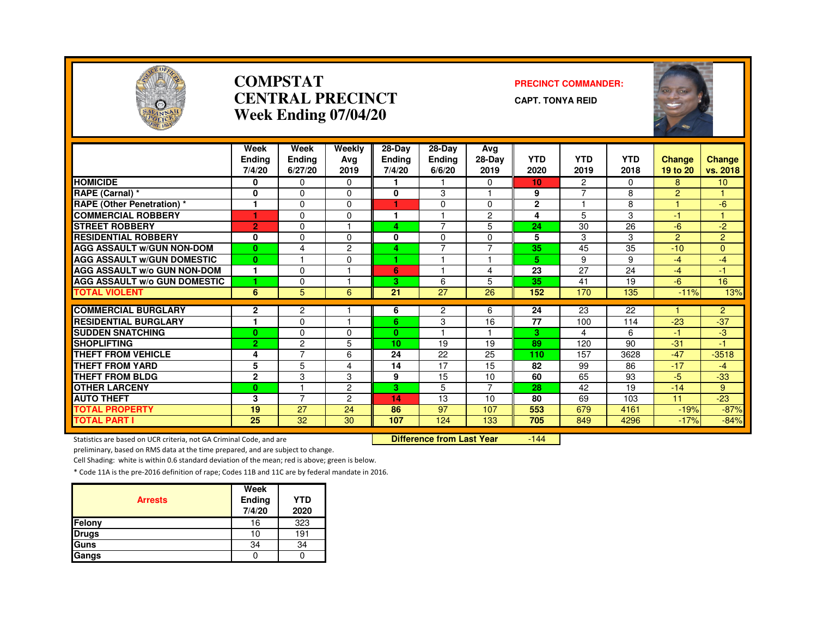

#### **COMPSTATCENTRAL PRECINCTWeek Ending 07/04/20**

#### **PRECINCT COMMANDER:**

**CAPT. TONYA REID**



|                                     | Week<br><b>Ending</b><br>7/4/20 | Week<br><b>Ending</b><br>6/27/20 | Weekly<br>Ava<br>2019 | 28-Day<br><b>Ending</b><br>7/4/20 | 28-Day<br><b>Ending</b><br>6/6/20 | Avg<br>28-Day<br>2019 | <b>YTD</b><br>2020 | <b>YTD</b><br>2019 | <b>YTD</b><br>2018 | <b>Change</b><br>19 to 20 | <b>Change</b><br>vs. 2018 |
|-------------------------------------|---------------------------------|----------------------------------|-----------------------|-----------------------------------|-----------------------------------|-----------------------|--------------------|--------------------|--------------------|---------------------------|---------------------------|
| <b>HOMICIDE</b>                     | 0                               | $\mathbf{0}$                     | 0                     |                                   |                                   | $\Omega$              | 10                 | $\overline{2}$     | $\Omega$           | 8                         | 10 <sup>°</sup>           |
| <b>RAPE (Carnal) *</b>              | $\bf{0}$                        | $\Omega$                         | $\Omega$              | 0                                 | 3                                 |                       | 9                  | $\overline{7}$     | 8                  | $\overline{2}$            | 1                         |
| <b>RAPE (Other Penetration) *</b>   | 1                               | $\Omega$                         | 0                     | 1                                 | $\Omega$                          | $\Omega$              | $\mathbf{2}$       |                    | 8                  | и                         | $-6$                      |
| <b>COMMERCIAL ROBBERY</b>           |                                 | $\Omega$                         | 0                     | ٠                                 |                                   | 2                     | 4                  | 5                  | 3                  | $-1$                      |                           |
| <b>STREET ROBBERY</b>               | $\overline{2}$                  | $\Omega$                         |                       | 4                                 | $\overline{7}$                    | 5                     | 24                 | 30                 | 26                 | -6                        | $-2$                      |
| <b>RESIDENTIAL ROBBERY</b>          | 0                               | $\Omega$                         | $\Omega$              | 0                                 | $\mathbf 0$                       | $\Omega$              | 5                  | 3                  | 3                  | $\overline{2}$            | $\overline{2}$            |
| <b>AGG ASSAULT W/GUN NON-DOM</b>    | $\bf{0}$                        | 4                                | $\overline{c}$        | 4                                 | $\overline{7}$                    | $\overline{7}$        | $\overline{35}$    | 45                 | 35                 | $-10$                     | $\Omega$                  |
| <b>AGG ASSAULT W/GUN DOMESTIC</b>   | $\bf{0}$                        |                                  | 0                     | 4                                 |                                   |                       | 5                  | 9                  | 9                  | $-4$                      | $-4$                      |
| <b>AGG ASSAULT W/o GUN NON-DOM</b>  | 1                               | $\Omega$                         |                       | 6                                 |                                   | 4                     | 23                 | 27                 | 24                 | $-4$                      | -1                        |
| <b>AGG ASSAULT w/o GUN DOMESTIC</b> | и                               | $\Omega$                         |                       | 3                                 | 6                                 | 5                     | 35                 | 41                 | 19                 | $-6$                      | 16                        |
| <b>TOTAL VIOLENT</b>                | 6                               | 5                                | 6                     | 21                                | 27                                | 26                    | 152                | 170                | 135                | $-11%$                    | 13%                       |
|                                     |                                 |                                  |                       |                                   |                                   |                       |                    |                    |                    |                           |                           |
| <b>COMMERCIAL BURGLARY</b>          | $\overline{2}$<br>1             | $\overline{c}$                   |                       | 6                                 | $\overline{2}$                    | 6                     | 24                 | 23                 | 22                 |                           | $\overline{2}$            |
| <b>RESIDENTIAL BURGLARY</b>         |                                 | $\Omega$                         |                       | 6                                 | 3                                 | 16                    | 77                 | 100                | 114                | $-23$                     | $-37$                     |
| <b>SUDDEN SNATCHING</b>             | $\bf{0}$                        | $\Omega$                         | 0                     | $\mathbf{0}$                      |                                   |                       | 3                  | 4                  | 6                  | -1                        | -3                        |
| <b>SHOPLIFTING</b>                  | $\overline{2}$                  | $\overline{c}$<br>$\overline{ }$ | 5                     | 10                                | 19                                | 19                    | 89                 | 120                | 90                 | $-31$                     | $-1$                      |
| <b>THEFT FROM VEHICLE</b>           | 4                               |                                  | 6                     | 24                                | 22                                | 25                    | 110                | 157                | 3628               | $-47$                     | $-3518$                   |
| <b>THEFT FROM YARD</b>              | 5                               | 5                                | 4                     | 14                                | 17                                | 15                    | 82                 | 99                 | 86                 | $-17$                     | $-4$                      |
| THEFT FROM BLDG                     | $\mathbf{2}$                    | 3                                | 3                     | 9                                 | 15                                | 10                    | 60                 | 65                 | 93                 | $-5$                      | $-33$                     |
| <b>OTHER LARCENY</b>                | $\bf{0}$                        |                                  | $\overline{c}$        | 3.                                | 5                                 | 7                     | 28                 | 42                 | 19                 | $-14$                     | 9                         |
| <b>AUTO THEFT</b>                   | 3                               | $\overline{7}$                   | $\overline{2}$        | 14                                | 13                                | 10                    | 80                 | 69                 | 103                | 11                        | $-23$                     |
| <b>TOTAL PROPERTY</b>               | 19                              | 27                               | 24                    | 86                                | 97                                | 107                   | 553                | 679                | 4161               | $-19%$                    | $-87%$                    |
| <b>TOTAL PART I</b>                 | 25                              | 32                               | 30                    | 107                               | 124                               | 133                   | 705                | 849                | 4296               | $-17%$                    | $-84%$                    |

Statistics are based on UCR criteria, not GA Criminal Code, and are **Difference from Last Year** 

-144

preliminary, based on RMS data at the time prepared, and are subject to change.

Cell Shading: white is within 0.6 standard deviation of the mean; red is above; green is below.

| <b>Arrests</b> | Week<br>Ending<br>7/4/20 | <b>YTD</b><br>2020 |
|----------------|--------------------------|--------------------|
| Felony         | 16                       | 323                |
| <b>Drugs</b>   | 10                       | 191                |
| Guns           | 34                       | 34                 |
| Gangs          |                          |                    |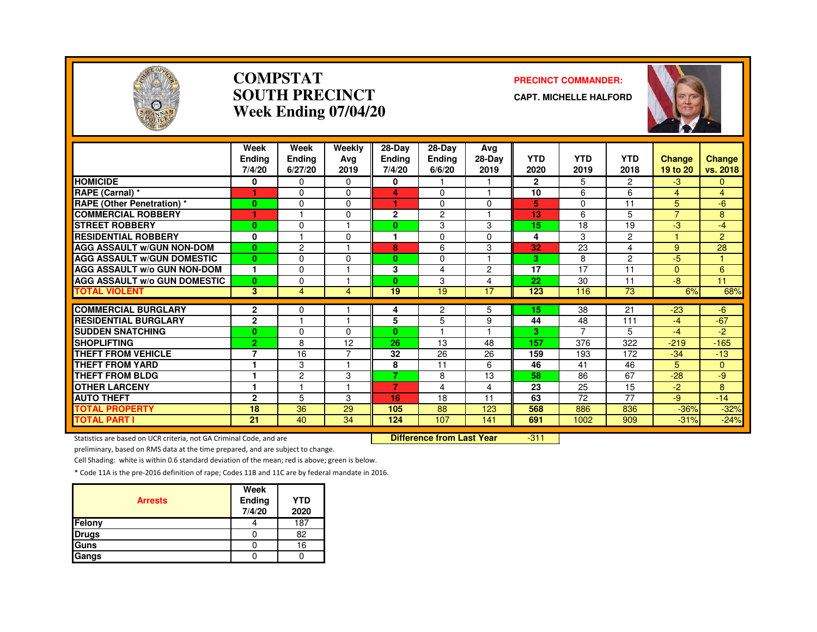

#### **COMPSTATSOUTH PRECINCTWeek Ending 07/04/20**

#### **PRECINCT COMMANDER:**

**CAPT. MICHELLE HALFORD**



|                                               | Week<br><b>Endina</b><br>7/4/20 | Week<br>Ending<br>6/27/20 | Weekly<br>Ava<br>2019 | 28-Day<br><b>Ending</b><br>7/4/20 | 28-Day<br><b>Ending</b><br>6/6/20 | Avg<br>28-Day<br>2019   | <b>YTD</b><br>2020 | <b>YTD</b><br>2019 | <b>YTD</b><br>2018 | <b>Change</b><br>19 to 20 | Change<br>vs. 2018 |
|-----------------------------------------------|---------------------------------|---------------------------|-----------------------|-----------------------------------|-----------------------------------|-------------------------|--------------------|--------------------|--------------------|---------------------------|--------------------|
| <b>HOMICIDE</b>                               | 0                               | $\Omega$                  | $\Omega$              | 0                                 |                                   |                         | $\overline{2}$     | 5                  | $\overline{2}$     | $-3$                      | $\Omega$           |
| RAPE (Carnal) *                               |                                 | $\Omega$                  | $\Omega$              | 4                                 | $\Omega$                          |                         | 10                 | 6                  | 6                  | $\overline{4}$            | $\overline{4}$     |
| <b>RAPE (Other Penetration)</b> *             | $\bf{0}$                        | $\Omega$                  | $\Omega$              | 1                                 | $\Omega$                          | $\Omega$                | 5                  | 0                  | 11                 | 5                         | -6                 |
| <b>COMMERCIAL ROBBERY</b>                     |                                 |                           | $\Omega$              | $\mathbf{2}$                      | $\overline{c}$                    |                         | 13                 | 6                  | 5                  | $\overline{7}$            | 8                  |
| <b>STREET ROBBERY</b>                         | $\bf{0}$                        | $\Omega$                  |                       | 0                                 | 3                                 | 3                       | 15                 | 18                 | 19                 | -3                        | $-4$               |
| <b>RESIDENTIAL ROBBERY</b>                    | 0                               |                           | $\Omega$              |                                   | $\Omega$                          | $\Omega$                | 4                  | 3                  | 2                  |                           | 2                  |
| <b>AGG ASSAULT W/GUN NON-DOM</b>              | $\mathbf{0}$                    | $\overline{c}$            |                       | 8                                 | 6                                 | 3                       | 32                 | 23                 | 4                  | 9                         | 28                 |
| <b>AGG ASSAULT W/GUN DOMESTIC</b>             | $\bf{0}$                        | $\Omega$                  | $\Omega$              | $\bf{0}$                          | $\Omega$                          | $\overline{\mathbf{1}}$ | 3                  | 8                  | $\overline{2}$     | -5                        | $\mathbf{1}$       |
| <b>AGG ASSAULT W/o GUN NON-DOM</b>            | $\mathbf{1}$                    | $\Omega$                  |                       | 3                                 | 4                                 | $\overline{2}$          | 17                 | 17                 | 11                 | $\Omega$                  | 6                  |
| <b>AGG ASSAULT w/o GUN DOMESTIC</b>           | $\mathbf{0}$                    | $\Omega$                  |                       | $\mathbf{0}$                      | 3                                 | 4                       | 22                 | 30                 | 11                 | -8                        | 11                 |
| <b>TOTAL VIOLENT</b>                          | $\mathbf{3}$                    | $\overline{4}$            | 4                     | 19                                | 19                                | 17                      | 123                | 116                | 73                 | 6%                        | 68%                |
| <b>COMMERCIAL BURGLARY</b>                    |                                 |                           |                       |                                   |                                   |                         | 15                 |                    |                    |                           |                    |
| <b>RESIDENTIAL BURGLARY</b>                   | $\mathbf{2}$<br>$\mathbf{2}$    | 0                         |                       | 4<br>5                            | 2<br>5                            | 5                       | 44                 | 38<br>48           | 21<br>111          | $-23$<br>$-4$             | $-6$<br>$-67$      |
|                                               |                                 | $\Omega$                  |                       | $\mathbf{0}$                      |                                   | 9                       | 3                  | $\overline{ }$     | 5.                 | -4                        |                    |
| <b>SUDDEN SNATCHING</b><br><b>SHOPLIFTING</b> | $\bf{0}$<br>$\overline{2}$      | 8                         | $\Omega$<br>12        | 26                                | 13                                | 48                      | 157                | 376                | 322                | $-219$                    | -2<br>$-165$       |
| <b>THEFT FROM VEHICLE</b>                     | 7                               | 16                        | $\overline{ }$        | 32                                | 26                                |                         |                    | 193                | 172                |                           | $-13$              |
| <b>THEFT FROM YARD</b>                        |                                 |                           |                       |                                   |                                   | 26                      | 159<br>46          | 41                 | 46                 | $-34$<br>5                |                    |
|                                               | 1                               | 3                         |                       | 8<br>7                            | 11                                | 6                       |                    |                    |                    |                           | $\mathbf{0}$       |
| <b>THEFT FROM BLDG</b>                        | ٠                               | $\overline{c}$            | 3                     | $\overline{7}$                    | 8                                 | 13                      | 58                 | 86                 | 67                 | $-28$                     | -9                 |
| <b>OTHER LARCENY</b>                          |                                 |                           |                       |                                   | 4                                 | 4                       | 23                 | 25                 | 15                 | $-2$                      | 8                  |
| <b>AUTO THEFT</b>                             | $\mathbf{2}$                    | 5                         | 3                     | 16                                | 18                                | 11                      | 63                 | 72                 | 77                 | -9                        | $-14$              |
| <b>TOTAL PROPERTY</b>                         | 18                              | 36                        | 29                    | 105                               | 88                                | 123                     | 568                | 886                | 836                | $-36%$                    | $-32%$             |
| <b>TOTAL PART I</b>                           | 21                              | 40                        | 34                    | 124                               | 107                               | 141                     | 691                | 1002               | 909                | $-31%$                    | $-24%$             |

Statistics are based on UCR criteria, not GA Criminal Code, and are **Difference from Last Year** 

 $-311$ 

preliminary, based on RMS data at the time prepared, and are subject to change.

Cell Shading: white is within 0.6 standard deviation of the mean; red is above; green is below.

| <b>Arrests</b> | Week<br>Ending<br>7/4/20 | <b>YTD</b><br>2020 |
|----------------|--------------------------|--------------------|
| Felony         |                          | 187                |
| <b>Drugs</b>   |                          | 82                 |
| Guns           |                          | 16                 |
| Gangs          |                          |                    |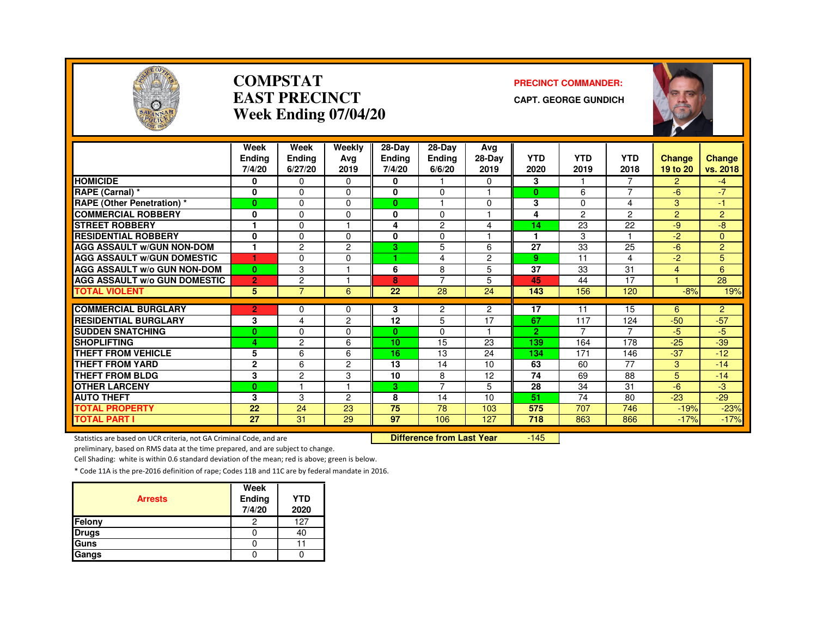

#### **COMPSTATEAST PRECINCTWeek Ending 07/04/20**

#### **PRECINCT COMMANDER:**

**CAPT. GEORGE GUNDICH**



|                                     | Week           | Week           | Weekly         | 28-Day        | $28-Dav$             | Ava            |                 |            |                 |                |                |
|-------------------------------------|----------------|----------------|----------------|---------------|----------------------|----------------|-----------------|------------|-----------------|----------------|----------------|
|                                     | <b>Endina</b>  | Ending         | Ava            | <b>Ending</b> | <b>Ending</b>        | 28-Day         | <b>YTD</b>      | <b>YTD</b> | <b>YTD</b>      | <b>Change</b>  | Change         |
|                                     | 7/4/20         | 6/27/20        | 2019           | 7/4/20        | 6/6/20               | 2019           | 2020            | 2019       | 2018            | 19 to 20       | vs. 2018       |
| <b>HOMICIDE</b>                     | 0              | $\Omega$       | $\Omega$       | 0             |                      | 0              | 3               |            |                 | $\overline{2}$ | -4             |
| RAPE (Carnal) *                     | 0              | $\Omega$       | $\Omega$       | 0             | 0                    | ٠              | $\bf{0}$        | 6          | $\overline{ }$  | $-6$           | $-7$           |
| <b>RAPE (Other Penetration) *</b>   | $\bf{0}$       | $\Omega$       | $\Omega$       | $\bf{0}$      | $\blacktriangleleft$ | $\Omega$       | 3               | $\Omega$   | 4               | 3              | 47             |
| <b>COMMERCIAL ROBBERY</b>           | 0              | $\Omega$       | 0              | $\bf{0}$      | 0                    | ٠              | 4               | 2          | $\overline{2}$  | $\overline{2}$ | $\overline{2}$ |
| <b>STREET ROBBERY</b>               |                | $\Omega$       |                | 4             | $\overline{2}$       | 4              | 14              | 23         | 22              | $-9$           | -8             |
| <b>RESIDENTIAL ROBBERY</b>          | $\mathbf{0}$   | $\Omega$       | $\Omega$       | 0             | 0                    | ٠              |                 | 3          |                 | $-2$           | $\Omega$       |
| <b>AGG ASSAULT w/GUN NON-DOM</b>    | 1              | $\overline{c}$ | 2              | 3             | 5                    | 6              | 27              | 33         | 25              | $-6$           | $\overline{2}$ |
| <b>AGG ASSAULT W/GUN DOMESTIC</b>   | 1              | $\Omega$       | $\Omega$       | н.            | 4                    | $\overline{c}$ | 9               | 11         | 4               | $-2$           | 5              |
| AGG ASSAULT w/o GUN NON-DOM         | $\bf{0}$       | 3              |                | 6             | 8                    | 5              | $\overline{37}$ | 33         | 31              | 4              | 6              |
| <b>AGG ASSAULT w/o GUN DOMESTIC</b> | $\overline{2}$ | $\overline{c}$ |                | 8             | 7                    | 5              | 45              | 44         | 17              |                | 28             |
| <b>TOTAL VIOLENT</b>                | 5              | $\overline{7}$ | 6              | 22            | 28                   | 24             | 143             | 156        | 120             | $-8%$          | 19%            |
|                                     |                |                |                |               |                      |                |                 |            |                 |                |                |
| <b>COMMERCIAL BURGLARY</b>          | $\overline{2}$ | 0              | 0              | 3             | 2                    | $\overline{2}$ | 17              | 11         | 15              | 6              | $\overline{2}$ |
| <b>RESIDENTIAL BURGLARY</b>         | 3              | 4              | $\overline{2}$ | 12            | 5                    | 17             | 67              | 117        | 124             | $-50$          | $-57$          |
| <b>SUDDEN SNATCHING</b>             | $\bf{0}$       | $\Omega$       | 0              | $\mathbf{0}$  | 0                    | 1              | $\overline{2}$  | 7          | 7               | $-5$           | $-5$           |
| <b>SHOPLIFTING</b>                  | 4              | 2              | 6              | 10            | 15                   | 23             | 139             | 164        | 178             | $-25$          | $-39$          |
| THEFT FROM VEHICLE                  | 5              | 6              | 6              | 16            | 13                   | 24             | 134             | 171        | 146             | $-37$          | $-12$          |
| <b>THEFT FROM YARD</b>              | $\mathbf{2}$   | 6              | 2              | 13            | 14                   | 10             | 63              | 60         | $\overline{77}$ | 3              | $-14$          |
| <b>THEFT FROM BLDG</b>              | 3              | $\overline{c}$ | 3              | 10            | 8                    | 12             | 74              | 69         | 88              | 5              | $-14$          |
| <b>OTHER LARCENY</b>                | $\bf{0}$       |                |                | 3.            | 7                    | 5              | 28              | 34         | 31              | $-6$           | -3             |
| <b>AUTO THEFT</b>                   | 3              | 3              | 2              | 8             | 14                   | 10             | 51              | 74         | 80              | $-23$          | $-29$          |
| <b>TOTAL PROPERTY</b>               | 22             | 24             | 23             | 75            | 78                   | 103            | 575             | 707        | 746             | $-19%$         | $-23%$         |
| <b>TOTAL PART I</b>                 | 27             | 31             | 29             | 97            | 106                  | 127            | 718             | 863        | 866             | $-17%$         | $-17%$         |

Statistics are based on UCR criteria, not GA Criminal Code, and are **Difference from Last Year** 

 $-145$ 

preliminary, based on RMS data at the time prepared, and are subject to change.

Cell Shading: white is within 0.6 standard deviation of the mean; red is above; green is below.

| <b>Arrests</b> | Week<br>Ending<br>7/4/20 | <b>YTD</b><br>2020 |
|----------------|--------------------------|--------------------|
| Felony         | 2                        | 127                |
| <b>Drugs</b>   |                          | 4U                 |
| Guns           |                          |                    |
| Gangs          |                          |                    |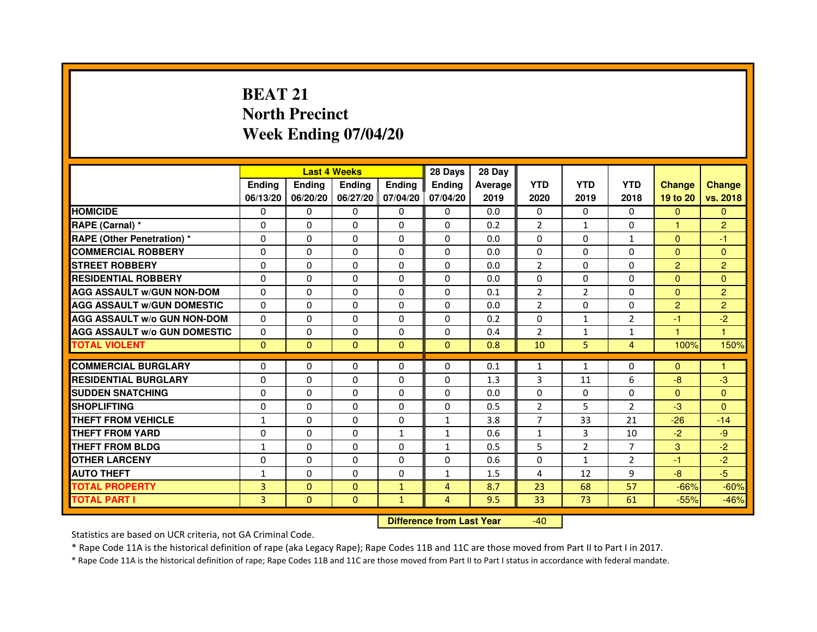# **BEAT 21 North PrecinctWeek Ending 07/04/20**

|                                     |               | <b>Last 4 Weeks</b> |                                  |                              | 28 Days        | 28 Day  |                |                |                |                  |                |
|-------------------------------------|---------------|---------------------|----------------------------------|------------------------------|----------------|---------|----------------|----------------|----------------|------------------|----------------|
|                                     | <b>Ending</b> | <b>Ending</b>       | <b>Ending</b>                    | <b>Ending</b>                | <b>Ending</b>  | Average | <b>YTD</b>     | <b>YTD</b>     | <b>YTD</b>     | <b>Change</b>    | <b>Change</b>  |
|                                     | 06/13/20      | 06/20/20            |                                  | 06/27/20 07/04/20            | 07/04/20       | 2019    | 2020           | 2019           | 2018           | 19 to 20         | vs. 2018       |
| <b>HOMICIDE</b>                     | $\mathbf{0}$  | $\Omega$            | $\Omega$                         | $\Omega$                     | 0              | 0.0     | $\Omega$       | $\Omega$       | 0              | $\Omega$         | $\Omega$       |
| RAPE (Carnal) *                     | 0             | $\Omega$            | 0                                | $\Omega$                     | $\mathbf{0}$   | 0.2     | 2              | $\mathbf{1}$   | $\Omega$       | 1.               | $\overline{2}$ |
| <b>RAPE (Other Penetration) *</b>   | $\mathbf 0$   | 0                   | $\Omega$                         | $\mathbf{0}$                 | $\Omega$       | 0.0     | $\Omega$       | $\Omega$       | $\mathbf{1}$   | $\Omega$         | $-1$           |
| <b>COMMERCIAL ROBBERY</b>           | $\mathbf 0$   | $\mathbf{0}$        | $\Omega$                         | $\mathbf{0}$                 | $\mathbf{0}$   | 0.0     | $\mathbf{0}$   | $\Omega$       | $\Omega$       | $\Omega$         | $\Omega$       |
| <b>STREET ROBBERY</b>               | $\Omega$      | $\Omega$            | $\Omega$                         | $\Omega$                     | $\Omega$       | 0.0     | 2              | $\Omega$       | $\Omega$       | $\overline{2}$   | $\overline{2}$ |
| <b>RESIDENTIAL ROBBERY</b>          | 0             | $\Omega$            | 0                                | $\Omega$                     | $\Omega$       | 0.0     | $\Omega$       | $\Omega$       | $\Omega$       | $\Omega$         | $\Omega$       |
| <b>AGG ASSAULT W/GUN NON-DOM</b>    | $\Omega$      | 0                   | $\Omega$                         | $\Omega$                     | $\Omega$       | 0.1     | $\overline{2}$ | 2              | $\Omega$       | $\Omega$         | $\overline{2}$ |
| <b>AGG ASSAULT W/GUN DOMESTIC</b>   | $\Omega$      | $\Omega$            | $\Omega$                         | $\Omega$                     | $\Omega$       | 0.0     | $\overline{2}$ | $\Omega$       | $\Omega$       | $\overline{2}$   | $\overline{2}$ |
| <b>AGG ASSAULT W/o GUN NON-DOM</b>  | $\Omega$      | 0                   | 0                                | $\mathbf{0}$                 | 0              | 0.2     | 0              | $\mathbf{1}$   | $\overline{2}$ | $-1$             | $-2$           |
| <b>AGG ASSAULT W/o GUN DOMESTIC</b> | $\Omega$      | 0                   | 0                                | $\Omega$                     | $\Omega$       | 0.4     | $\overline{2}$ | $\mathbf{1}$   | $\mathbf{1}$   | 1                | 1              |
| <b>TOTAL VIOLENT</b>                | $\mathbf{0}$  | $\mathbf{0}$        | $\mathbf{0}$                     | $\mathbf{0}$                 | $\mathbf{0}$   | 0.8     | 10             | 5              | $\overline{4}$ | 100%             | 150%           |
| <b>COMMERCIAL BURGLARY</b>          |               |                     |                                  |                              |                |         |                |                |                |                  |                |
| <b>RESIDENTIAL BURGLARY</b>         | 0<br>$\Omega$ | 0<br>$\Omega$       | 0<br>$\Omega$                    | $\mathbf{0}$<br>$\mathbf{0}$ | 0              | 0.1     | 1<br>3         | $\mathbf{1}$   | 0<br>6         | $\Omega$<br>$-8$ | 1              |
|                                     |               |                     |                                  |                              | $\mathbf{0}$   | 1.3     |                | 11             |                |                  | -3             |
| <b>SUDDEN SNATCHING</b>             | $\Omega$      | $\Omega$            | $\Omega$                         | $\Omega$                     | $\Omega$       | 0.0     | $\Omega$       | $\Omega$       | $\Omega$       | $\Omega$         | $\Omega$       |
| <b>SHOPLIFTING</b>                  | 0             | 0                   | 0                                | $\mathbf{0}$                 | 0              | 0.5     | 2              | 5              | 2              | $-3$             | $\Omega$       |
| THEFT FROM VEHICLE                  | $\mathbf{1}$  | $\Omega$            | 0                                | $\mathbf{0}$                 | $\mathbf{1}$   | 3.8     | 7              | 33             | 21             | $-26$            | $-14$          |
| THEFT FROM YARD                     | $\mathbf 0$   | 0                   | $\Omega$                         | $\mathbf{1}$                 | $\mathbf{1}$   | 0.6     | $\mathbf{1}$   | 3              | 10             | $-2$             | $-9$           |
| <b>THEFT FROM BLDG</b>              | 1             | $\Omega$            | 0                                | $\Omega$                     | $\mathbf{1}$   | 0.5     | 5              | $\overline{2}$ | $\overline{7}$ | 3                | $-2$           |
| <b>OTHER LARCENY</b>                | 0             | $\Omega$            | 0                                | $\Omega$                     | $\Omega$       | 0.6     | $\Omega$       | $\mathbf{1}$   | $\overline{2}$ | $-1$             | $-2$           |
| <b>AUTO THEFT</b>                   | $\mathbf{1}$  | $\mathbf{0}$        | $\Omega$                         | $\Omega$                     | $\mathbf{1}$   | 1.5     | 4              | 12             | 9              | $-8$             | $-5$           |
| <b>TOTAL PROPERTY</b>               | 3             | $\Omega$            | $\Omega$                         | $\mathbf{1}$                 | $\overline{4}$ | 8.7     | 23             | 68             | 57             | $-66%$           | $-60%$         |
| <b>TOTAL PART I</b>                 | 3             | $\mathbf{0}$        | $\overline{0}$                   | $\mathbf{1}$                 | 4              | 9.5     | 33             | 73             | 61             | $-55%$           | $-46%$         |
|                                     |               |                     | <b>Difference from Last Year</b> |                              | $-40$          |         |                |                |                |                  |                |

Statistics are based on UCR criteria, not GA Criminal Code.

\* Rape Code 11A is the historical definition of rape (aka Legacy Rape); Rape Codes 11B and 11C are those moved from Part II to Part I in 2017.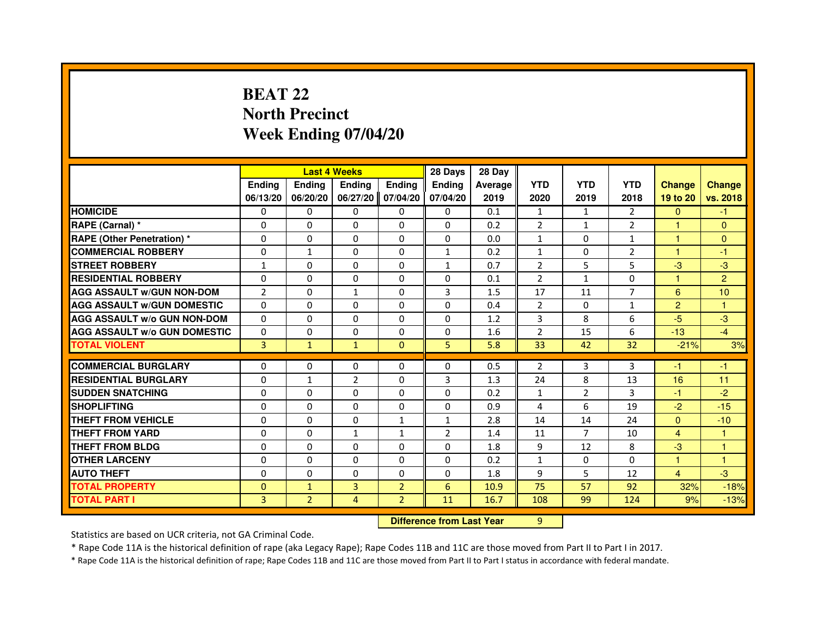## **BEAT 22 North PrecinctWeek Ending 07/04/20**

|                                     |                |                | <b>Last 4 Weeks</b>              |                | 28 Days        | 28 Day  |                |                |                |                |                |
|-------------------------------------|----------------|----------------|----------------------------------|----------------|----------------|---------|----------------|----------------|----------------|----------------|----------------|
|                                     | <b>Ending</b>  | Ending         | <b>Ending</b>                    | <b>Ending</b>  | <b>Ending</b>  | Average | <b>YTD</b>     | <b>YTD</b>     | <b>YTD</b>     | <b>Change</b>  | <b>Change</b>  |
|                                     | 06/13/20       | 06/20/20       | 06/27/20                         | 07/04/20       | 07/04/20       | 2019    | 2020           | 2019           | 2018           | 19 to 20       | vs. 2018       |
| <b>HOMICIDE</b>                     | 0              | 0              | $\Omega$                         | $\Omega$       | 0              | 0.1     | $\mathbf{1}$   | $\mathbf{1}$   | $\mathcal{P}$  | $\mathbf{0}$   | $-1$           |
| RAPE (Carnal) *                     | 0              | 0              | 0                                | 0              | 0              | 0.2     | 2              | $\mathbf{1}$   | 2              | 1              | $\mathbf{0}$   |
| RAPE (Other Penetration) *          | $\Omega$       | 0              | $\Omega$                         | $\Omega$       | $\Omega$       | 0.0     | $\mathbf{1}$   | $\Omega$       | 1              | 1              | $\mathbf{0}$   |
| <b>COMMERCIAL ROBBERY</b>           | $\Omega$       | $\mathbf{1}$   | $\Omega$                         | $\Omega$       | $\mathbf{1}$   | 0.2     | $\mathbf{1}$   | $\Omega$       | $\overline{2}$ | $\mathbf{1}$   | $-1$           |
| <b>STREET ROBBERY</b>               | $\mathbf{1}$   | $\Omega$       | $\Omega$                         | $\Omega$       | $\mathbf{1}$   | 0.7     | $\overline{2}$ | 5              | 5              | $-3$           | $-3$           |
| <b>RESIDENTIAL ROBBERY</b>          | 0              | 0              | $\Omega$                         | 0              | 0              | 0.1     | 2              | $\mathbf{1}$   | $\Omega$       | 1              | $\overline{2}$ |
| <b>AGG ASSAULT W/GUN NON-DOM</b>    | $\overline{2}$ | $\Omega$       | $\mathbf{1}$                     | $\Omega$       | 3              | 1.5     | 17             | 11             | $\overline{7}$ | 6              | 10             |
| <b>AGG ASSAULT W/GUN DOMESTIC</b>   | $\Omega$       | $\Omega$       | $\Omega$                         | $\Omega$       | $\Omega$       | 0.4     | $\overline{2}$ | $\Omega$       | $\mathbf{1}$   | $\overline{2}$ | $\mathbf{1}$   |
| <b>AGG ASSAULT W/o GUN NON-DOM</b>  | $\Omega$       | $\Omega$       | $\Omega$                         | $\Omega$       | $\Omega$       | 1.2     | 3              | 8              | 6              | $-5$           | $-3$           |
| <b>AGG ASSAULT W/o GUN DOMESTIC</b> | $\Omega$       | $\Omega$       | 0                                | $\Omega$       | $\Omega$       | 1.6     | $\overline{2}$ | 15             | 6              | $-13$          | $-4$           |
| <b>TOTAL VIOLENT</b>                | 3              | $\mathbf{1}$   | $\mathbf{1}$                     | $\mathbf{0}$   | 5              | 5.8     | 33             | 42             | 32             | $-21%$         | 3%             |
| <b>COMMERCIAL BURGLARY</b>          | 0              | 0              | 0                                | 0              | 0              | 0.5     | 2              | 3              | 3              | $-1$           | $-1$           |
| <b>RESIDENTIAL BURGLARY</b>         | 0              | 1              | $\overline{2}$                   | $\Omega$       | 3              | 1.3     | 24             | 8              | 13             | 16             | 11             |
| <b>SUDDEN SNATCHING</b>             | $\Omega$       | $\Omega$       | $\Omega$                         | $\Omega$       | $\Omega$       | 0.2     | $\mathbf{1}$   | $\overline{2}$ | 3              | $-1$           | $-2$           |
| <b>SHOPLIFTING</b>                  | 0              | $\Omega$       | $\Omega$                         | 0              | $\Omega$       | 0.9     | 4              | 6              | 19             | $-2$           | $-15$          |
| THEFT FROM VEHICLE                  | 0              | $\Omega$       | 0                                | 1              | $\mathbf{1}$   | 2.8     | 14             | 14             | 24             | $\overline{0}$ | $-10$          |
| <b>THEFT FROM YARD</b>              | $\Omega$       | $\Omega$       | $\mathbf{1}$                     | $\mathbf{1}$   | $\overline{2}$ | 1.4     | 11             | $\overline{7}$ | 10             | $\overline{4}$ | $\mathbf{1}$   |
| <b>THEFT FROM BLDG</b>              | $\Omega$       | $\Omega$       | $\Omega$                         | $\Omega$       | $\Omega$       | 1.8     | 9              | 12             | 8              | $-3$           | $\mathbf{1}$   |
| <b>OTHER LARCENY</b>                | 0              | $\Omega$       | 0                                | 0              | 0              | 0.2     | $\mathbf{1}$   | 0              | 0              | 1              | 1              |
| <b>AUTO THEFT</b>                   | $\Omega$       | $\Omega$       | $\Omega$                         | $\Omega$       | $\Omega$       | 1.8     | 9              | 5              | 12             | $\overline{4}$ | $-3$           |
| <b>TOTAL PROPERTY</b>               | $\Omega$       | $\mathbf{1}$   | $\overline{3}$                   | $\overline{2}$ | 6              | 10.9    | 75             | 57             | 92             | 32%            | $-18%$         |
| <b>TOTAL PART I</b>                 | 3              | $\overline{2}$ | 4                                | $\overline{2}$ | 11             | 16.7    | 108            | 99             | 124            | 9%             | $-13%$         |
|                                     |                |                | <b>Difference from Last Year</b> |                | 9              |         |                |                |                |                |                |

 **Difference from Last Year**

Statistics are based on UCR criteria, not GA Criminal Code.

\* Rape Code 11A is the historical definition of rape (aka Legacy Rape); Rape Codes 11B and 11C are those moved from Part II to Part I in 2017.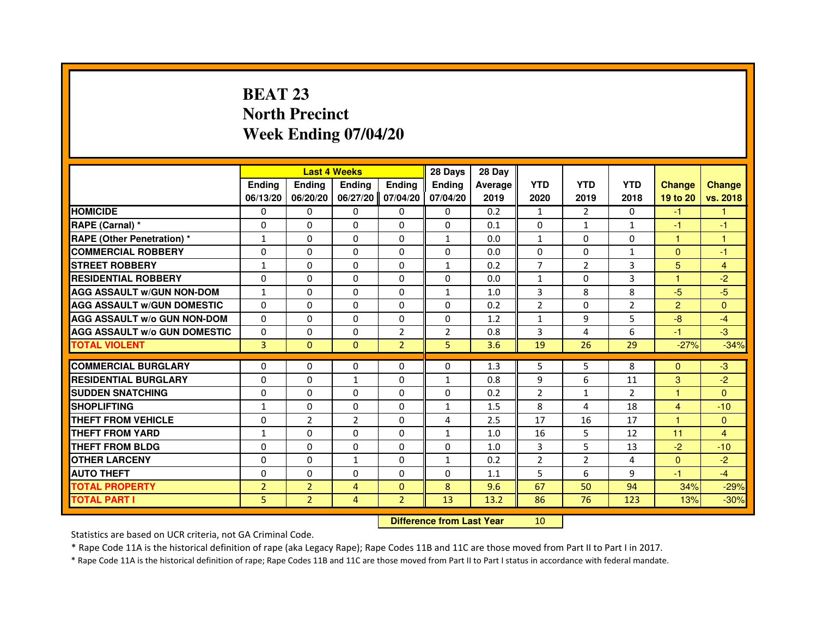## **BEAT 23 North PrecinctWeek Ending 07/04/20**

|                                     |                |                                  | <b>Last 4 Weeks</b> |                | 28 Days       | 28 Day  |                |                |                |                |                |
|-------------------------------------|----------------|----------------------------------|---------------------|----------------|---------------|---------|----------------|----------------|----------------|----------------|----------------|
|                                     | <b>Ending</b>  | Ending                           | <b>Ending</b>       | <b>Ending</b>  | <b>Ending</b> | Average | <b>YTD</b>     | <b>YTD</b>     | <b>YTD</b>     | <b>Change</b>  | <b>Change</b>  |
|                                     | 06/13/20       | 06/20/20                         | 06/27/20            | 07/04/20       | 07/04/20      | 2019    | 2020           | 2019           | 2018           | 19 to 20       | vs. 2018       |
| <b>HOMICIDE</b>                     | 0              | 0                                | $\Omega$            | 0              | 0             | 0.2     | $\mathbf{1}$   | $\mathcal{P}$  | $\Omega$       | $-1$           | $\mathbf{1}$   |
| RAPE (Carnal) *                     | 0              | 0                                | 0                   | 0              | 0             | 0.1     | 0              | $\mathbf{1}$   | 1              | $-1$           | $-1$           |
| RAPE (Other Penetration) *          | 1              | 0                                | $\Omega$            | $\Omega$       | $\mathbf{1}$  | 0.0     | $\mathbf{1}$   | $\Omega$       | $\Omega$       | 1              | 1              |
| <b>COMMERCIAL ROBBERY</b>           | $\Omega$       | $\Omega$                         | $\Omega$            | $\Omega$       | $\Omega$      | 0.0     | $\Omega$       | $\Omega$       | $\mathbf{1}$   | $\Omega$       | $-1$           |
| <b>STREET ROBBERY</b>               | $\mathbf{1}$   | $\Omega$                         | $\Omega$            | $\Omega$       | $\mathbf{1}$  | 0.2     | $\overline{7}$ | $\overline{2}$ | 3              | 5              | $\overline{4}$ |
| <b>RESIDENTIAL ROBBERY</b>          | 0              | 0                                | $\Omega$            | 0              | 0             | 0.0     | $\mathbf{1}$   | 0              | 3              | 1              | $-2$           |
| <b>AGG ASSAULT W/GUN NON-DOM</b>    | $\mathbf{1}$   | $\Omega$                         | $\Omega$            | $\Omega$       | $\mathbf{1}$  | 1.0     | $\overline{3}$ | 8              | 8              | $-5$           | $-5$           |
| <b>AGG ASSAULT W/GUN DOMESTIC</b>   | $\Omega$       | $\Omega$                         | $\Omega$            | $\Omega$       | $\Omega$      | 0.2     | $\overline{2}$ | $\Omega$       | $\overline{2}$ | $\overline{2}$ | $\Omega$       |
| <b>AGG ASSAULT W/o GUN NON-DOM</b>  | $\Omega$       | $\Omega$                         | $\Omega$            | $\Omega$       | $\Omega$      | 1.2     | $\mathbf{1}$   | 9              | 5              | $-8$           | $-4$           |
| <b>AGG ASSAULT W/o GUN DOMESTIC</b> | $\Omega$       | $\Omega$                         | 0                   | $\overline{2}$ | 2             | 0.8     | 3              | 4              | 6              | $-1$           | $-3$           |
| <b>TOTAL VIOLENT</b>                | 3              | $\mathbf{0}$                     | $\mathbf{0}$        | $\overline{2}$ | 5             | 3.6     | 19             | 26             | 29             | $-27%$         | $-34%$         |
| <b>COMMERCIAL BURGLARY</b>          | 0              | 0                                | 0                   | 0              | 0             | 1.3     | 5              | 5              | 8              | $\Omega$       | $-3$           |
| <b>RESIDENTIAL BURGLARY</b>         | 0              | $\Omega$                         | 1                   | $\Omega$       | $\mathbf{1}$  | 0.8     | 9              | 6              | 11             | 3              | $-2$           |
| <b>SUDDEN SNATCHING</b>             | $\Omega$       | $\Omega$                         | $\Omega$            | $\Omega$       | $\Omega$      | 0.2     | $\overline{2}$ | $\mathbf{1}$   | $\overline{2}$ | $\mathbf{1}$   | $\Omega$       |
| <b>SHOPLIFTING</b>                  | $\mathbf{1}$   | 0                                | $\Omega$            | 0              | $\mathbf{1}$  | 1.5     | 8              | 4              | 18             | $\overline{4}$ | $-10$          |
| THEFT FROM VEHICLE                  | 0              | $\overline{2}$                   | $\overline{2}$      | $\Omega$       | 4             | 2.5     | 17             | 16             | 17             | 1              | $\mathbf{0}$   |
| <b>THEFT FROM YARD</b>              | 1              | $\Omega$                         | $\Omega$            | $\Omega$       | $\mathbf{1}$  | 1.0     | 16             | 5              | 12             | 11             | $\overline{4}$ |
| <b>THEFT FROM BLDG</b>              | $\Omega$       | $\Omega$                         | $\Omega$            | $\Omega$       | $\Omega$      | 1.0     | 3              | 5              | 13             | $-2$           | $-10$          |
| <b>OTHER LARCENY</b>                | 0              | $\Omega$                         | 1                   | 0              | 1             | 0.2     | $\overline{2}$ | $\overline{2}$ | 4              | $\mathbf{0}$   | $-2$           |
| <b>AUTO THEFT</b>                   | $\Omega$       | $\Omega$                         | $\Omega$            | $\Omega$       | $\Omega$      | 1.1     | 5              | 6              | 9              | $-1$           | $-4$           |
| <b>TOTAL PROPERTY</b>               | $\overline{2}$ | $\overline{2}$                   | $\overline{4}$      | $\Omega$       | 8             | 9.6     | 67             | 50             | 94             | 34%            | $-29%$         |
| <b>TOTAL PART I</b>                 | 5              | $\overline{2}$                   | 4                   | $\overline{2}$ | 13            | 13.2    | 86             | 76             | 123            | 13%            | $-30%$         |
|                                     |                | <b>Difference from Last Year</b> |                     | 10             |               |         |                |                |                |                |                |

 **Difference from Last Year**

Statistics are based on UCR criteria, not GA Criminal Code.

\* Rape Code 11A is the historical definition of rape (aka Legacy Rape); Rape Codes 11B and 11C are those moved from Part II to Part I in 2017.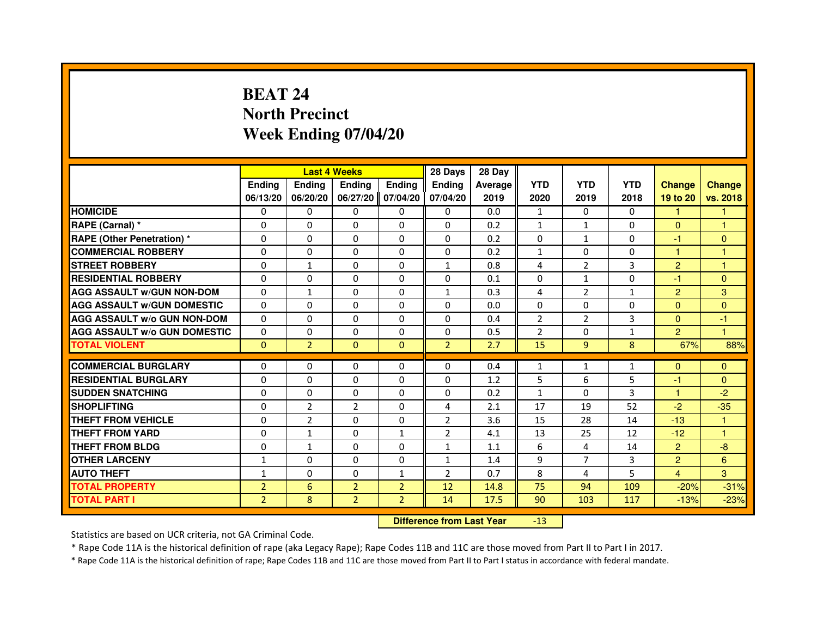# **BEAT 24 North PrecinctWeek Ending 07/04/20**

|                                     |                |                                  | <b>Last 4 Weeks</b> |                | 28 Days        | 28 Day  |                |                |              |                |                |
|-------------------------------------|----------------|----------------------------------|---------------------|----------------|----------------|---------|----------------|----------------|--------------|----------------|----------------|
|                                     | <b>Ending</b>  | Ending                           | Ending              | Ending         | Ending         | Average | <b>YTD</b>     | <b>YTD</b>     | <b>YTD</b>   | <b>Change</b>  | <b>Change</b>  |
|                                     | 06/13/20       | 06/20/20                         | 06/27/20            | 07/04/20       | 07/04/20       | 2019    | 2020           | 2019           | 2018         | 19 to 20       | vs. 2018       |
| <b>HOMICIDE</b>                     | 0              | $\mathbf{0}$                     | 0                   | 0              | $\Omega$       | 0.0     | $\mathbf{1}$   | $\Omega$       | $\Omega$     | 1.             | $\mathbf{1}$   |
| RAPE (Carnal) *                     | 0              | 0                                | 0                   | 0              | 0              | 0.2     | $\mathbf{1}$   | $\mathbf{1}$   | 0            | $\mathbf{0}$   | 1              |
| RAPE (Other Penetration) *          | $\Omega$       | $\Omega$                         | $\Omega$            | $\Omega$       | $\Omega$       | 0.2     | $\Omega$       | $\mathbf{1}$   | $\Omega$     | -1             | $\mathbf{0}$   |
| <b>COMMERCIAL ROBBERY</b>           | 0              | 0                                | $\Omega$            | $\Omega$       | $\mathbf 0$    | 0.2     | $\mathbf{1}$   | $\Omega$       | $\Omega$     | $\mathbf{1}$   | $\mathbf{1}$   |
| <b>STREET ROBBERY</b>               | $\Omega$       | $\mathbf{1}$                     | $\Omega$            | $\Omega$       | $\mathbf{1}$   | 0.8     | 4              | $\overline{2}$ | 3            | $\overline{2}$ | 1              |
| <b>RESIDENTIAL ROBBERY</b>          | 0              | 0                                | 0                   | 0              | 0              | 0.1     | 0              | $\mathbf{1}$   | $\Omega$     | $-1$           | $\mathbf{0}$   |
| <b>AGG ASSAULT w/GUN NON-DOM</b>    | $\Omega$       | $\mathbf{1}$                     | $\Omega$            | $\Omega$       | $\mathbf{1}$   | 0.3     | 4              | $\overline{2}$ | $\mathbf{1}$ | $\overline{2}$ | 3              |
| <b>AGG ASSAULT W/GUN DOMESTIC</b>   | $\Omega$       | $\Omega$                         | $\Omega$            | $\Omega$       | $\Omega$       | 0.0     | $\Omega$       | $\Omega$       | 0            | $\Omega$       | $\Omega$       |
| <b>AGG ASSAULT W/o GUN NON-DOM</b>  | $\Omega$       | $\Omega$                         | $\Omega$            | $\Omega$       | $\Omega$       | 0.4     | $\overline{2}$ | 2              | 3            | $\Omega$       | -1             |
| <b>AGG ASSAULT w/o GUN DOMESTIC</b> | $\Omega$       | $\Omega$                         | $\Omega$            | $\Omega$       | $\Omega$       | 0.5     | $\overline{2}$ | $\Omega$       | $\mathbf{1}$ | $\overline{2}$ | $\mathbf{1}$   |
| <b>TOTAL VIOLENT</b>                | $\mathbf{0}$   | $\overline{2}$                   | $\mathbf{0}$        | $\mathbf{0}$   | $\overline{2}$ | 2.7     | 15             | 9              | 8            | 67%            | 88%            |
| <b>COMMERCIAL BURGLARY</b>          | 0              | 0                                | 0                   | 0              | 0              | 0.4     | $\mathbf{1}$   | $\mathbf{1}$   | $\mathbf{1}$ | $\mathbf{0}$   | $\mathbf{0}$   |
| <b>RESIDENTIAL BURGLARY</b>         | 0              | $\Omega$                         | $\Omega$            | $\Omega$       | 0              | 1.2     | 5              | 6              | 5            | $-1$           | $\mathbf{0}$   |
| <b>SUDDEN SNATCHING</b>             | $\Omega$       | $\Omega$                         | $\Omega$            | $\Omega$       | $\Omega$       | 0.2     | $\mathbf{1}$   | $\Omega$       | 3            | $\mathbf{1}$   | $-2$           |
| <b>SHOPLIFTING</b>                  | 0              | $\overline{2}$                   | $\overline{2}$      | 0              | 4              | 2.1     | 17             | 19             | 52           | $-2$           | $-35$          |
| <b>THEFT FROM VEHICLE</b>           | 0              | $\overline{2}$                   | $\Omega$            | 0              | $\overline{2}$ | 3.6     | 15             | 28             | 14           | $-13$          | $\mathbf{1}$   |
| <b>THEFT FROM YARD</b>              | $\Omega$       | $\mathbf 1$                      | $\Omega$            | $\mathbf{1}$   | $\overline{2}$ | 4.1     | 13             | 25             | 12           | $-12$          | $\mathbf{1}$   |
| <b>THEFT FROM BLDG</b>              | $\Omega$       | $\mathbf{1}$                     | $\Omega$            | $\Omega$       | $\mathbf{1}$   | 1.1     | 6              | 4              | 14           | $\overline{2}$ | $-8$           |
| <b>OTHER LARCENY</b>                | 1              | $\Omega$                         | 0                   | $\Omega$       | $\mathbf{1}$   | 1.4     | 9              | $\overline{7}$ | 3            | $\overline{2}$ | $6\phantom{1}$ |
| <b>AUTO THEFT</b>                   | $\mathbf{1}$   | $\Omega$                         | $\Omega$            | $\mathbf{1}$   | $\overline{2}$ | 0.7     | 8              | 4              | 5            | $\overline{4}$ | 3              |
| <b>TOTAL PROPERTY</b>               | $\overline{2}$ | $6\phantom{1}$                   | $\overline{2}$      | $\overline{2}$ | 12             | 14.8    | 75             | 94             | 109          | $-20%$         | $-31%$         |
| <b>TOTAL PART I</b>                 | $\overline{2}$ | 8                                | $\overline{2}$      | $\overline{2}$ | 14             | 17.5    | 90             | 103            | 117          | $-13%$         | $-23%$         |
|                                     |                | <b>Difference from Last Year</b> |                     | $-13$          |                |         |                |                |              |                |                |

 **Difference from Last Year**

Statistics are based on UCR criteria, not GA Criminal Code.

\* Rape Code 11A is the historical definition of rape (aka Legacy Rape); Rape Codes 11B and 11C are those moved from Part II to Part I in 2017.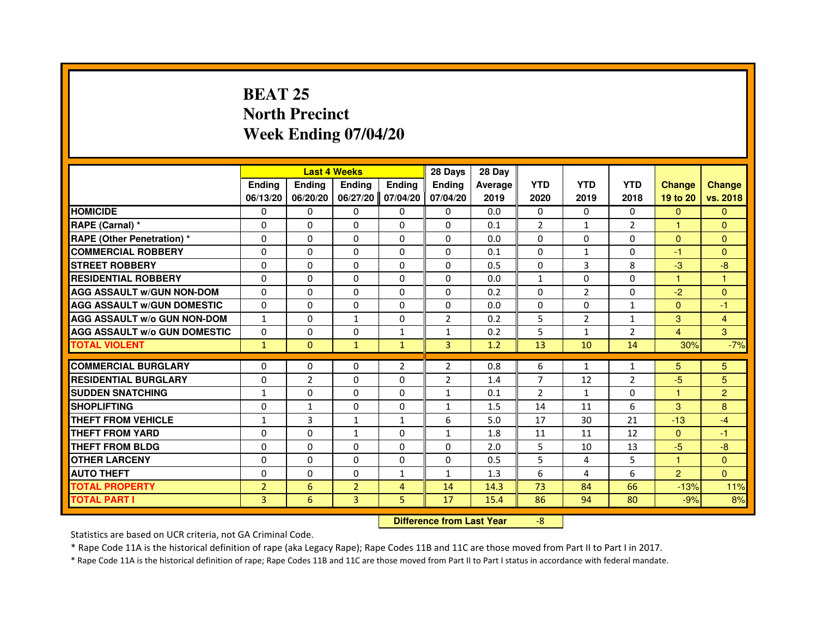## **BEAT 25 North PrecinctWeek Ending 07/04/20**

|                                     |                |                                  | <b>Last 4 Weeks</b> |                | 28 Days        | 28 Day  |                |                |                |                      |                |
|-------------------------------------|----------------|----------------------------------|---------------------|----------------|----------------|---------|----------------|----------------|----------------|----------------------|----------------|
|                                     | <b>Ending</b>  | Ending                           | Ending              | <b>Ending</b>  | <b>Ending</b>  | Average | <b>YTD</b>     | <b>YTD</b>     | <b>YTD</b>     | <b>Change</b>        | <b>Change</b>  |
|                                     | 06/13/20       | 06/20/20                         | 06/27/20            | 07/04/20       | 07/04/20       | 2019    | 2020           | 2019           | 2018           | 19 to 20             | vs. 2018       |
| <b>HOMICIDE</b>                     | 0              | 0                                | 0                   | 0              | $\mathbf{0}$   | 0.0     | 0              | 0              | $\Omega$       | $\mathbf{0}$         | $\mathbf{0}$   |
| RAPE (Carnal) *                     | 0              | 0                                | 0                   | 0              | 0              | 0.1     | $\overline{2}$ | $\mathbf{1}$   | 2              | $\blacktriangleleft$ | $\mathbf{0}$   |
| RAPE (Other Penetration) *          | $\Omega$       | $\Omega$                         | $\Omega$            | $\Omega$       | $\Omega$       | 0.0     | $\Omega$       | $\Omega$       | $\Omega$       | $\Omega$             | $\mathbf{0}$   |
| <b>COMMERCIAL ROBBERY</b>           | 0              | $\Omega$                         | $\Omega$            | $\Omega$       | $\Omega$       | 0.1     | $\Omega$       | $\mathbf{1}$   | $\Omega$       | $-1$                 | $\mathbf{0}$   |
| <b>STREET ROBBERY</b>               | $\Omega$       | $\Omega$                         | $\Omega$            | $\Omega$       | $\Omega$       | 0.5     | $\Omega$       | 3              | 8              | $-3$                 | $-8$           |
| <b>RESIDENTIAL ROBBERY</b>          | 0              | 0                                | 0                   | 0              | 0              | 0.0     | 1              | 0              | $\Omega$       | $\mathbf{1}$         | 1              |
| <b>AGG ASSAULT w/GUN NON-DOM</b>    | $\Omega$       | $\Omega$                         | $\Omega$            | $\Omega$       | $\Omega$       | 0.2     | $\Omega$       | $\overline{2}$ | $\Omega$       | $-2$                 | $\Omega$       |
| <b>AGG ASSAULT W/GUN DOMESTIC</b>   | $\Omega$       | $\Omega$                         | $\Omega$            | $\Omega$       | $\Omega$       | 0.0     | $\Omega$       | $\Omega$       | $\mathbf{1}$   | $\Omega$             | $-1$           |
| <b>AGG ASSAULT W/o GUN NON-DOM</b>  | $\mathbf{1}$   | $\Omega$                         | $\mathbf{1}$        | $\Omega$       | $\overline{2}$ | 0.2     | 5              | $\overline{2}$ | $\mathbf{1}$   | 3                    | $\overline{4}$ |
| <b>AGG ASSAULT w/o GUN DOMESTIC</b> | $\Omega$       | $\Omega$                         | 0                   | $\mathbf{1}$   | $\mathbf{1}$   | 0.2     | 5              | $\mathbf{1}$   | 2              | $\overline{4}$       | 3              |
| <b>TOTAL VIOLENT</b>                | $\mathbf{1}$   | $\mathbf{0}$                     | $\mathbf{1}$        | $\mathbf{1}$   | 3              | 1.2     | 13             | 10             | 14             | 30%                  | $-7%$          |
| <b>COMMERCIAL BURGLARY</b>          | 0              | 0                                | 0                   | 2              | 2              | 0.8     | 6              | $\mathbf{1}$   | $\mathbf{1}$   | 5                    | 5              |
| <b>RESIDENTIAL BURGLARY</b>         | 0              | $\overline{2}$                   | $\Omega$            | $\Omega$       | $\overline{2}$ | 1.4     | $\overline{7}$ | 12             | $\overline{2}$ | $-5$                 | 5              |
| <b>SUDDEN SNATCHING</b>             | $\mathbf{1}$   | $\Omega$                         | $\Omega$            | $\Omega$       | $\mathbf{1}$   | 0.1     | $\overline{2}$ | $\mathbf{1}$   | $\Omega$       | $\mathbf{1}$         | $\overline{2}$ |
| <b>SHOPLIFTING</b>                  | 0              | $\mathbf{1}$                     | 0                   | $\Omega$       | 1              | 1.5     | 14             | 11             | 6              | 3                    | 8              |
| THEFT FROM VEHICLE                  | 1              | 3                                | 1                   | 1              | 6              | 5.0     | 17             | 30             | 21             | $-13$                | $-4$           |
| <b>THEFT FROM YARD</b>              | $\Omega$       | $\Omega$                         | $\mathbf{1}$        | $\Omega$       | $\mathbf{1}$   | 1.8     | 11             | 11             | 12             | $\mathbf{0}$         | $-1$           |
| <b>THEFT FROM BLDG</b>              | $\Omega$       | $\Omega$                         | $\Omega$            | $\Omega$       | $\Omega$       | 2.0     | 5              | 10             | 13             | $-5$                 | $-8$           |
| <b>OTHER LARCENY</b>                | 0              | $\Omega$                         | 0                   | $\Omega$       | $\mathbf{0}$   | 0.5     | 5              | 4              | 5              | $\mathbf{1}$         | $\Omega$       |
| <b>AUTO THEFT</b>                   | $\Omega$       | $\Omega$                         | $\Omega$            | $\mathbf{1}$   | $\mathbf{1}$   | 1.3     | 6              | 4              | 6              | 2                    | $\Omega$       |
| <b>TOTAL PROPERTY</b>               | $\overline{2}$ | 6                                | $\overline{2}$      | $\overline{4}$ | 14             | 14.3    | 73             | 84             | 66             | $-13%$               | 11%            |
| <b>TOTAL PART I</b>                 | $\overline{3}$ | 6                                | 3                   | 5              | 17             | 15.4    | 86             | 94             | 80             | $-9%$                | 8%             |
|                                     |                | <b>Difference from Last Year</b> |                     | $-8$           |                |         |                |                |                |                      |                |

 **Difference from Last Year**

Statistics are based on UCR criteria, not GA Criminal Code.

\* Rape Code 11A is the historical definition of rape (aka Legacy Rape); Rape Codes 11B and 11C are those moved from Part II to Part I in 2017.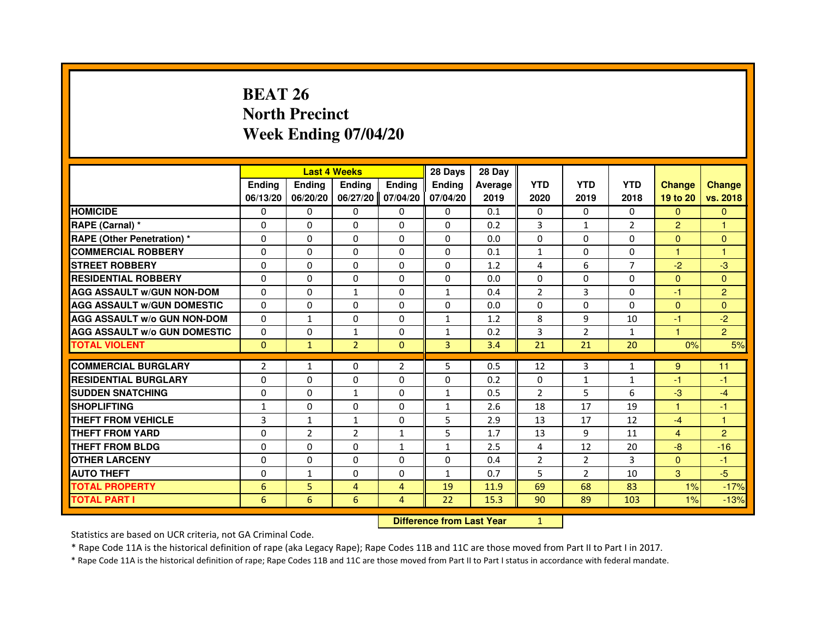# **BEAT 26 North PrecinctWeek Ending 07/04/20**

|                                     |                |                | <b>Last 4 Weeks</b> |                | 28 Days       | 28 Day  |                |              |                |                |                |
|-------------------------------------|----------------|----------------|---------------------|----------------|---------------|---------|----------------|--------------|----------------|----------------|----------------|
|                                     | <b>Ending</b>  | Ending         | <b>Ending</b>       | <b>Ending</b>  | <b>Endina</b> | Average | <b>YTD</b>     | <b>YTD</b>   | <b>YTD</b>     | <b>Change</b>  | <b>Change</b>  |
|                                     | 06/13/20       | 06/20/20       | 06/27/20            | 07/04/20       | 07/04/20      | 2019    | 2020           | 2019         | 2018           | 19 to 20       | vs. 2018       |
| <b>HOMICIDE</b>                     | 0              | $\mathbf{0}$   | 0                   | 0              | $\mathbf{0}$  | 0.1     | 0              | $\mathbf{0}$ | $\mathbf{0}$   | $\mathbf{0}$   | $\mathbf{0}$   |
| RAPE (Carnal) *                     | $\Omega$       | $\Omega$       | $\Omega$            | $\Omega$       | $\Omega$      | 0.2     | 3              | $\mathbf{1}$ | $\overline{2}$ | $\overline{2}$ | $\mathbf{1}$   |
| <b>RAPE (Other Penetration)*</b>    | 0              | $\mathbf{0}$   | 0                   | $\Omega$       | 0             | 0.0     | $\Omega$       | 0            | 0              | $\Omega$       | $\mathbf{0}$   |
| <b>COMMERCIAL ROBBERY</b>           | 0              | $\Omega$       | $\Omega$            | $\Omega$       | $\Omega$      | 0.1     | $\mathbf{1}$   | 0            | 0              | 1              | 1              |
| <b>STREET ROBBERY</b>               | $\Omega$       | $\Omega$       | $\Omega$            | $\Omega$       | $\Omega$      | 1.2     | 4              | 6            | $\overline{7}$ | $-2$           | $-3$           |
| <b>RESIDENTIAL ROBBERY</b>          | $\Omega$       | $\Omega$       | $\Omega$            | $\Omega$       | $\Omega$      | 0.0     | $\Omega$       | $\Omega$     | 0              | $\Omega$       | $\mathbf{0}$   |
| <b>AGG ASSAULT W/GUN NON-DOM</b>    | $\Omega$       | $\Omega$       | $\mathbf{1}$        | $\Omega$       | $\mathbf{1}$  | 0.4     | $\overline{2}$ | 3            | $\Omega$       | $-1$           | $\overline{2}$ |
| <b>AGG ASSAULT W/GUN DOMESTIC</b>   | $\Omega$       | $\Omega$       | $\Omega$            | $\Omega$       | $\Omega$      | 0.0     | $\Omega$       | $\Omega$     | $\Omega$       | $\Omega$       | $\Omega$       |
| <b>AGG ASSAULT W/o GUN NON-DOM</b>  | $\Omega$       | 1              | $\Omega$            | $\Omega$       | $\mathbf{1}$  | 1.2     | 8              | 9            | 10             | -1             | $-2$           |
| <b>AGG ASSAULT w/o GUN DOMESTIC</b> | $\Omega$       | 0              | $\mathbf{1}$        | $\Omega$       | $\mathbf{1}$  | 0.2     | 3              | 2            | $\mathbf{1}$   | $\overline{1}$ | $\overline{2}$ |
| <b>TOTAL VIOLENT</b>                | $\mathbf{0}$   | $\mathbf{1}$   | $\overline{2}$      | $\mathbf{0}$   | 3             | 3.4     | 21             | 21           | 20             | 0%             | 5%             |
|                                     |                |                |                     |                |               |         |                |              |                |                |                |
| <b>COMMERCIAL BURGLARY</b>          | $\overline{2}$ | 1              | 0                   | $\overline{2}$ | 5             | 0.5     | 12             | 3            | $\mathbf{1}$   | 9              | 11             |
| <b>RESIDENTIAL BURGLARY</b>         | $\Omega$       | $\Omega$       | $\Omega$            | $\Omega$       | $\Omega$      | 0.2     | $\Omega$       | $\mathbf{1}$ | $\mathbf{1}$   | -1             | $-1$           |
| <b>SUDDEN SNATCHING</b>             | 0              | 0              | $\mathbf{1}$        | 0              | $\mathbf{1}$  | 0.5     | 2              | 5            | 6              | $-3$           | $-4$           |
| <b>SHOPLIFTING</b>                  | $\mathbf{1}$   | $\Omega$       | $\Omega$            | $\Omega$       | $\mathbf{1}$  | 2.6     | 18             | 17           | 19             | $\mathbf{1}$   | $-1$           |
| <b>THEFT FROM VEHICLE</b>           | $\overline{3}$ | $\mathbf{1}$   | $\mathbf{1}$        | $\Omega$       | 5             | 2.9     | 13             | 17           | 12             | $-4$           | 1              |
| <b>THEFT FROM YARD</b>              | 0              | $\overline{2}$ | $\overline{2}$      | $\mathbf{1}$   | 5             | 1.7     | 13             | 9            | 11             | 4              | $\overline{2}$ |
| THEFT FROM BLDG                     | $\Omega$       | $\Omega$       | $\Omega$            | $\mathbf{1}$   | $\mathbf{1}$  | 2.5     | 4              | 12           | 20             | $-8$           | $-16$          |
| <b>OTHER LARCENY</b>                | $\Omega$       | $\Omega$       | $\Omega$            | $\Omega$       | $\Omega$      | 0.4     | $\overline{2}$ | 2            | 3              | $\Omega$       | -1             |
| <b>AUTO THEFT</b>                   | $\Omega$       | $\mathbf{1}$   | $\Omega$            | $\Omega$       | $\mathbf{1}$  | 0.7     | 5              | 2            | 10             | 3              | $-5$           |
| <b>TOTAL PROPERTY</b>               | 6              | 5              | $\overline{4}$      | 4              | 19            | 11.9    | 69             | 68           | 83             | 1%             | $-17%$         |
| TOTAL PART I                        | 6              | 6              | 6                   | 4              | 22            | 15.3    | 90             | 89           | 103            | 1%             | $-13%$         |

 **Difference from Last Year**

<sup>1</sup>

Statistics are based on UCR criteria, not GA Criminal Code.

\* Rape Code 11A is the historical definition of rape (aka Legacy Rape); Rape Codes 11B and 11C are those moved from Part II to Part I in 2017.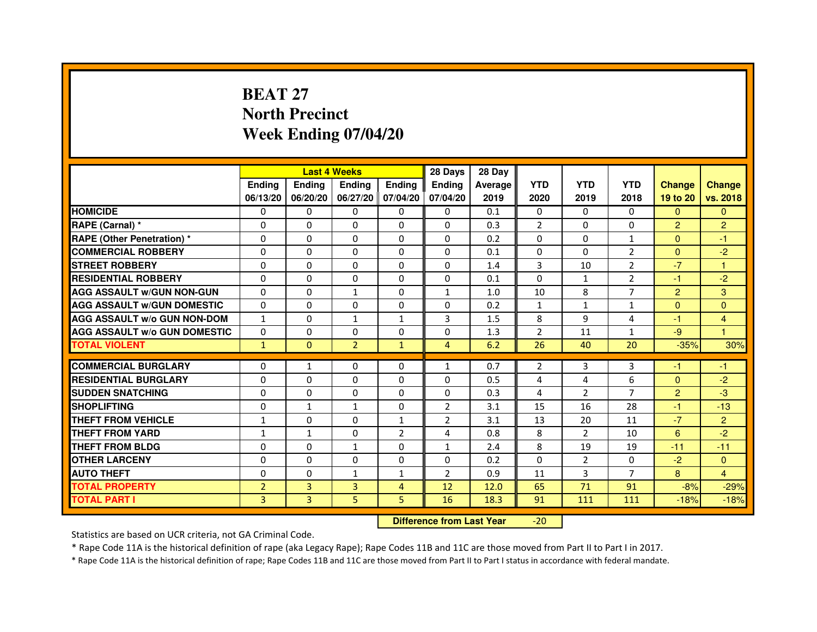# **BEAT 27 North PrecinctWeek Ending 07/04/20**

|                                     |                |               | <b>Last 4 Weeks</b> |                   | 28 Days        | 28 Day  |                |                |                |                |                |
|-------------------------------------|----------------|---------------|---------------------|-------------------|----------------|---------|----------------|----------------|----------------|----------------|----------------|
|                                     | <b>Ending</b>  | <b>Endina</b> | <b>Endina</b>       | Ending            | <b>Endina</b>  | Average | <b>YTD</b>     | <b>YTD</b>     | <b>YTD</b>     | <b>Change</b>  | <b>Change</b>  |
|                                     | 06/13/20       | 06/20/20      |                     | 06/27/20 07/04/20 | 07/04/20       | 2019    | 2020           | 2019           | 2018           | 19 to 20       | vs. 2018       |
| <b>HOMICIDE</b>                     | 0              | 0             | $\mathbf{0}$        | 0                 | 0              | 0.1     | $\mathbf{0}$   | 0              | $\mathbf{0}$   | $\mathbf{0}$   | $\mathbf{0}$   |
| RAPE (Carnal) *                     | $\Omega$       | $\Omega$      | $\Omega$            | $\Omega$          | $\Omega$       | 0.3     | $\overline{2}$ | $\Omega$       | $\Omega$       | $\overline{2}$ | $\overline{2}$ |
| <b>RAPE (Other Penetration) *</b>   | 0              | $\Omega$      | 0                   | $\mathbf{0}$      | $\Omega$       | 0.2     | $\Omega$       | $\Omega$       | $\mathbf{1}$   | $\Omega$       | $-1$           |
| <b>COMMERCIAL ROBBERY</b>           | 0              | 0             | 0                   | 0                 | $\Omega$       | 0.1     | $\Omega$       | $\Omega$       | 2              | $\Omega$       | $-2$           |
| <b>STREET ROBBERY</b>               | 0              | 0             | 0                   | 0                 | 0              | 1.4     | 3              | 10             | $\overline{2}$ | $-7$           | 1              |
| <b>RESIDENTIAL ROBBERY</b>          | 0              | $\Omega$      | $\Omega$            | $\Omega$          | $\Omega$       | 0.1     | $\Omega$       | $\mathbf{1}$   | $\overline{2}$ | $-1$           | $-2$           |
| <b>AGG ASSAULT W/GUN NON-GUN</b>    | $\Omega$       | $\mathbf 0$   | $\mathbf{1}$        | $\Omega$          | $\mathbf{1}$   | 1.0     | 10             | 8              | $\overline{7}$ | $\overline{2}$ | 3              |
| <b>AGG ASSAULT W/GUN DOMESTIC</b>   | 0              | 0             | 0                   | 0                 | 0              | 0.2     | $\mathbf{1}$   | $\mathbf{1}$   | $\mathbf{1}$   | $\Omega$       | $\Omega$       |
| <b>AGG ASSAULT W/o GUN NON-DOM</b>  | $\mathbf{1}$   | 0             | 1                   | $\mathbf{1}$      | 3              | 1.5     | 8              | 9              | 4              | $-1$           | 4              |
| <b>AGG ASSAULT W/o GUN DOMESTIC</b> | $\Omega$       | $\Omega$      | 0                   | 0                 | 0              | 1.3     | $\overline{2}$ | 11             | $\mathbf{1}$   | $-9$           | 1              |
| <b>TOTAL VIOLENT</b>                | $\mathbf{1}$   | $\Omega$      | $\overline{2}$      | $\mathbf{1}$      | $\overline{4}$ | 6.2     | 26             | 40             | 20             | $-35%$         | 30%            |
|                                     |                |               |                     |                   |                |         |                |                |                |                |                |
| <b>COMMERCIAL BURGLARY</b>          | 0              | 1             | 0                   | 0                 | $\mathbf{1}$   | 0.7     | 2              | 3              | 3              | -1             | -1             |
| <b>RESIDENTIAL BURGLARY</b>         | 0              | $\Omega$      | 0                   | $\Omega$          | $\Omega$       | 0.5     | 4              | $\overline{4}$ | 6              | $\Omega$       | $-2$           |
| <b>SUDDEN SNATCHING</b>             | 0              | 0             | 0                   | 0                 | $\Omega$       | 0.3     | $\overline{4}$ | $\overline{2}$ | $\overline{7}$ | $\overline{2}$ | -3             |
| <b>SHOPLIFTING</b>                  | 0              | $\mathbf{1}$  | $\mathbf{1}$        | $\Omega$          | $\overline{2}$ | 3.1     | 15             | 16             | 28             | $-1$           | $-13$          |
| <b>THEFT FROM VEHICLE</b>           | $\mathbf{1}$   | $\Omega$      | $\Omega$            | $\mathbf{1}$      | $\overline{2}$ | 3.1     | 13             | 20             | 11             | $-7$           | $\overline{2}$ |
| <b>THEFT FROM YARD</b>              | 1              | $\mathbf{1}$  | $\Omega$            | $\overline{2}$    | $\overline{a}$ | 0.8     | 8              | $\mathcal{P}$  | 10             | 6              | $-2$           |
| <b>THEFT FROM BLDG</b>              | 0              | 0             | 1                   | 0                 | 1              | 2.4     | 8              | 19             | 19             | $-11$          | $-11$          |
| <b>OTHER LARCENY</b>                | 0              | 0             | $\Omega$            | $\Omega$          | $\Omega$       | 0.2     | $\Omega$       | 2              | $\Omega$       | $-2$           | $\Omega$       |
| <b>AUTO THEFT</b>                   | $\mathbf 0$    | 0             | $\mathbf{1}$        | $\mathbf{1}$      | $\overline{2}$ | 0.9     | 11             | 3              | 7              | 8              | $\overline{4}$ |
| <b>TOTAL PROPERTY</b>               | $\overline{2}$ | 3             | 3                   | 4                 | 12             | 12.0    | 65             | 71             | 91             | $-8%$          | $-29%$         |
| <b>TOTAL PART I</b>                 | 3              | 3             | 5                   | 5                 | 16             | 18.3    | 91             | 111            | 111            | $-18%$         | $-18%$         |

 **Difference from Last Year**-20

Statistics are based on UCR criteria, not GA Criminal Code.

\* Rape Code 11A is the historical definition of rape (aka Legacy Rape); Rape Codes 11B and 11C are those moved from Part II to Part I in 2017.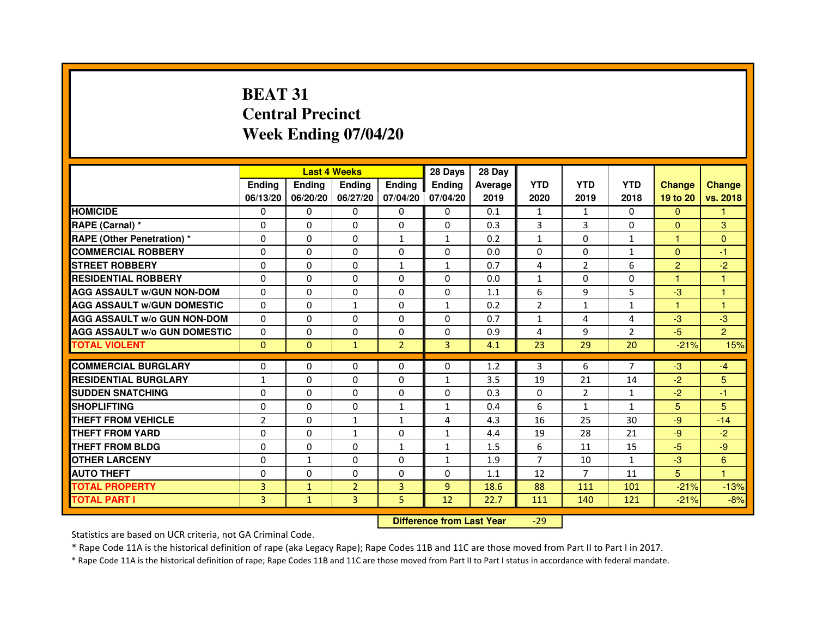# **BEAT 31 Central PrecinctWeek Ending 07/04/20**

|                                     |                | <b>Last 4 Weeks</b> |                |                   | 28 Days       | 28 Day  |                |              |                |                |                |
|-------------------------------------|----------------|---------------------|----------------|-------------------|---------------|---------|----------------|--------------|----------------|----------------|----------------|
|                                     | <b>Endina</b>  | Ending              | <b>Endina</b>  | <b>Endina</b>     | <b>Endina</b> | Average | <b>YTD</b>     | <b>YTD</b>   | <b>YTD</b>     | <b>Change</b>  | <b>Change</b>  |
|                                     | 06/13/20       | 06/20/20            |                | 06/27/20 07/04/20 | 07/04/20      | 2019    | 2020           | 2019         | 2018           | 19 to 20       | vs. 2018       |
| <b>HOMICIDE</b>                     | 0              | 0                   | 0              | 0                 | 0             | 0.1     | $\mathbf{1}$   | $\mathbf{1}$ | $\Omega$       | $\mathbf{0}$   | 1              |
| RAPE (Carnal) *                     | $\Omega$       | $\Omega$            | $\Omega$       | $\Omega$          | $\Omega$      | 0.3     | 3              | 3            | $\Omega$       | $\Omega$       | 3              |
| <b>RAPE (Other Penetration)*</b>    | $\Omega$       | $\Omega$            | $\Omega$       | $\mathbf{1}$      | $\mathbf{1}$  | 0.2     | $\mathbf{1}$   | $\Omega$     | $\mathbf{1}$   | 1              | $\Omega$       |
| <b>COMMERCIAL ROBBERY</b>           | 0              | 0                   | 0              | 0                 | 0             | 0.0     | 0              | 0            | $\mathbf{1}$   | $\Omega$       | $-1$           |
| <b>STREET ROBBERY</b>               | 0              | $\Omega$            | 0              | $\mathbf{1}$      | $\mathbf{1}$  | 0.7     | 4              | 2            | 6              | $\overline{2}$ | $-2$           |
| <b>RESIDENTIAL ROBBERY</b>          | 0              | $\Omega$            | 0              | $\Omega$          | $\Omega$      | 0.0     | $\mathbf{1}$   | $\Omega$     | $\Omega$       | 1              | 1              |
| <b>AGG ASSAULT w/GUN NON-DOM</b>    | $\Omega$       | $\Omega$            | $\Omega$       | $\mathbf{0}$      | $\Omega$      | 1.1     | 6              | 9            | 5              | $-3$           | 1              |
| <b>AGG ASSAULT W/GUN DOMESTIC</b>   | $\Omega$       | $\Omega$            | $\mathbf{1}$   | $\Omega$          | $\mathbf{1}$  | 0.2     | $\mathcal{P}$  | $\mathbf{1}$ | $\mathbf{1}$   | 1              | 1              |
| <b>AGG ASSAULT W/o GUN NON-DOM</b>  | 0              | 0                   | $\Omega$       | $\Omega$          | $\Omega$      | 0.7     | $\mathbf{1}$   | 4            | 4              | $-3$           | -3             |
| <b>AGG ASSAULT W/o GUN DOMESTIC</b> | 0              | 0                   | 0              | 0                 | 0             | 0.9     | 4              | 9            | 2              | $-5$           | $\overline{2}$ |
| <b>TOTAL VIOLENT</b>                | $\Omega$       | $\Omega$            | $\mathbf{1}$   | $\overline{2}$    | 3             | 4.1     | 23             | 29           | 20             | $-21%$         | 15%            |
|                                     |                |                     |                |                   |               |         |                |              |                |                |                |
| <b>COMMERCIAL BURGLARY</b>          | 0              | 0                   | 0              | 0                 | $\Omega$      | 1.2     | 3              | 6            | $\overline{7}$ | $-3$           | $-4$           |
| <b>RESIDENTIAL BURGLARY</b>         | $\mathbf{1}$   | 0                   | 0              | $\Omega$          | $\mathbf{1}$  | 3.5     | 19             | 21           | 14             | $-2$           | 5              |
| <b>SUDDEN SNATCHING</b>             | 0              | $\Omega$            | $\Omega$       | $\Omega$          | $\Omega$      | 0.3     | $\Omega$       | 2            | $\mathbf{1}$   | $-2$           | $-1$           |
| <b>SHOPLIFTING</b>                  | $\Omega$       | $\Omega$            | $\Omega$       | $\mathbf{1}$      | $\mathbf{1}$  | 0.4     | 6              | $\mathbf{1}$ | $\mathbf{1}$   | 5              | 5              |
| <b>THEFT FROM VEHICLE</b>           | $\overline{2}$ | $\Omega$            | $\mathbf{1}$   | $\mathbf{1}$      | 4             | 4.3     | 16             | 25           | 30             | $-9$           | $-14$          |
| <b>THEFT FROM YARD</b>              | $\Omega$       | 0                   | 1              | $\Omega$          | $\mathbf{1}$  | 4.4     | 19             | 28           | 21             | $-9$           | $-2$           |
| <b>THEFT FROM BLDG</b>              | 0              | $\Omega$            | $\Omega$       | 1                 | 1             | 1.5     | 6              | 11           | 15             | $-5$           | -9             |
| <b>OTHER LARCENY</b>                | 0              | $\mathbf{1}$        | $\Omega$       | $\Omega$          | $\mathbf{1}$  | 1.9     | $\overline{7}$ | 10           | 1              | $-3$           | 6              |
| <b>AUTO THEFT</b>                   | $\mathbf 0$    | 0                   | 0              | $\mathbf{0}$      | $\Omega$      | 1.1     | 12             | 7            | 11             | 5              | 1              |
| <b>TOTAL PROPERTY</b>               | 3              | $\mathbf{1}$        | $\overline{2}$ | $\overline{3}$    | 9             | 18.6    | 88             | 111          | 101            | $-21%$         | $-13%$         |
| <b>TOTAL PART I</b>                 | 3              | $\mathbf{1}$        | 3              | 5                 | 12            | 22.7    | 111            | 140          | 121            | $-21%$         | $-8%$          |

 **Difference from Last Year**-29

Statistics are based on UCR criteria, not GA Criminal Code.

\* Rape Code 11A is the historical definition of rape (aka Legacy Rape); Rape Codes 11B and 11C are those moved from Part II to Part I in 2017.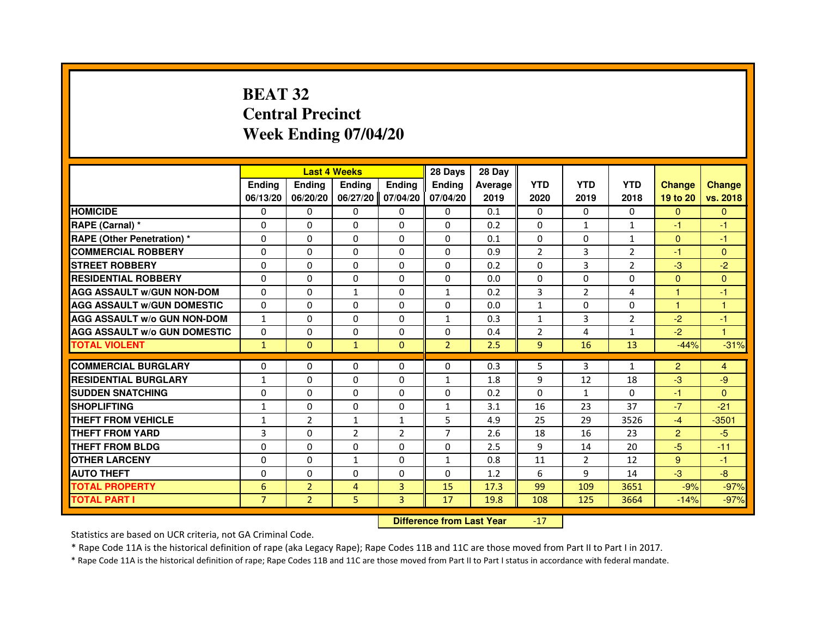## **BEAT 32 Central PrecinctWeek Ending 07/04/20**

|                                     |                |                                  | <b>Last 4 Weeks</b> |                | 28 Days        | 28 Day  |                |                |                |                |               |
|-------------------------------------|----------------|----------------------------------|---------------------|----------------|----------------|---------|----------------|----------------|----------------|----------------|---------------|
|                                     | <b>Ending</b>  | Ending                           | <b>Ending</b>       | <b>Ending</b>  | <b>Endina</b>  | Average | <b>YTD</b>     | <b>YTD</b>     | <b>YTD</b>     | <b>Change</b>  | <b>Change</b> |
|                                     | 06/13/20       | 06/20/20                         | 06/27/20            | 07/04/20       | 07/04/20       | 2019    | 2020           | 2019           | 2018           | 19 to 20       | vs. 2018      |
| <b>HOMICIDE</b>                     | 0              | 0                                | 0                   | 0              | 0              | 0.1     | 0              | 0              | $\Omega$       | $\Omega$       | $\mathbf{0}$  |
| RAPE (Carnal) *                     | 0              | 0                                | 0                   | 0              | 0              | 0.2     | 0              | 1              | 1              | -1             | -1            |
| <b>RAPE (Other Penetration) *</b>   | $\Omega$       | $\Omega$                         | $\Omega$            | $\Omega$       | $\Omega$       | 0.1     | $\Omega$       | $\mathbf{0}$   | $\mathbf{1}$   | $\mathbf{0}$   | -1            |
| <b>COMMERCIAL ROBBERY</b>           | $\Omega$       | $\Omega$                         | $\Omega$            | $\Omega$       | $\Omega$       | 0.9     | $\overline{2}$ | 3              | $\overline{2}$ | $-1$           | $\mathbf{0}$  |
| <b>STREET ROBBERY</b>               | $\Omega$       | $\Omega$                         | $\Omega$            | $\Omega$       | $\Omega$       | 0.2     | $\Omega$       | 3              | $\overline{2}$ | $-3$           | $-2$          |
| <b>RESIDENTIAL ROBBERY</b>          | $\Omega$       | 0                                | $\Omega$            | $\Omega$       | 0              | 0.0     | 0              | 0              | $\Omega$       | $\overline{0}$ | $\mathbf{0}$  |
| <b>AGG ASSAULT w/GUN NON-DOM</b>    | $\Omega$       | $\Omega$                         | $\mathbf{1}$        | $\Omega$       | $\mathbf{1}$   | 0.2     | 3              | $\overline{2}$ | 4              | 1              | $-1$          |
| <b>AGG ASSAULT W/GUN DOMESTIC</b>   | $\Omega$       | $\Omega$                         | $\Omega$            | $\Omega$       | $\Omega$       | 0.0     | $\mathbf{1}$   | $\Omega$       | $\Omega$       | $\mathbf{1}$   | $\mathbf{1}$  |
| <b>AGG ASSAULT W/o GUN NON-DOM</b>  | $\mathbf{1}$   | $\Omega$                         | $\Omega$            | $\Omega$       | $\mathbf{1}$   | 0.3     | $\mathbf{1}$   | 3              | $\overline{2}$ | $-2$           | -1            |
| <b>AGG ASSAULT w/o GUN DOMESTIC</b> | $\Omega$       | $\Omega$                         | $\Omega$            | $\Omega$       | 0              | 0.4     | $\overline{2}$ | 4              | $\mathbf{1}$   | $-2$           | $\mathbf{1}$  |
| <b>TOTAL VIOLENT</b>                | $\mathbf{1}$   | $\mathbf{0}$                     | $\mathbf{1}$        | $\mathbf{0}$   | $\overline{2}$ | 2.5     | 9              | 16             | 13             | $-44%$         | $-31%$        |
| <b>COMMERCIAL BURGLARY</b>          | 0              | 0                                | 0                   | 0              | 0              | 0.3     | 5              | 3              | $\mathbf{1}$   | $\overline{2}$ | 4             |
| <b>RESIDENTIAL BURGLARY</b>         | 1              | $\Omega$                         | $\Omega$            | $\Omega$       | $\mathbf{1}$   | 1.8     | 9              | 12             | 18             | $-3$           | $-9$          |
| <b>SUDDEN SNATCHING</b>             | $\Omega$       | $\Omega$                         | $\Omega$            | $\Omega$       | $\Omega$       | 0.2     | $\Omega$       | $\mathbf{1}$   | $\Omega$       | $-1$           | $\Omega$      |
| <b>SHOPLIFTING</b>                  | $\mathbf{1}$   | 0                                | 0                   | 0              | $\mathbf{1}$   | 3.1     | 16             | 23             | 37             | $-7$           | $-21$         |
| THEFT FROM VEHICLE                  | $\mathbf{1}$   | $\overline{2}$                   | $\mathbf{1}$        | $\mathbf{1}$   | 5              | 4.9     | 25             | 29             | 3526           | $-4$           | $-3501$       |
| <b>THEFT FROM YARD</b>              | 3              | $\Omega$                         | $\overline{2}$      | $\overline{2}$ | $\overline{7}$ | 2.6     | 18             | 16             | 23             | $\overline{2}$ | $-5$          |
| <b>THEFT FROM BLDG</b>              | $\Omega$       | $\Omega$                         | $\Omega$            | $\Omega$       | $\Omega$       | 2.5     | 9              | 14             | 20             | $-5$           | $-11$         |
| <b>OTHER LARCENY</b>                | 0              | $\Omega$                         | $\mathbf{1}$        | $\Omega$       | $\mathbf{1}$   | 0.8     | 11             | $\overline{2}$ | 12             | 9              | $-1$          |
| <b>AUTO THEFT</b>                   | $\Omega$       | $\Omega$                         | $\Omega$            | $\Omega$       | $\Omega$       | 1.2     | 6              | 9              | 14             | $-3$           | $-8$          |
| <b>TOTAL PROPERTY</b>               | 6              | $\overline{2}$                   | $\overline{4}$      | 3              | 15             | 17.3    | 99             | 109            | 3651           | $-9%$          | $-97%$        |
| <b>TOTAL PART I</b>                 | $\overline{7}$ | $\overline{2}$                   | 5                   | 3              | 17             | 19.8    | 108            | 125            | 3664           | $-14%$         | $-97%$        |
|                                     |                | <b>Difference from Last Year</b> |                     | $-17$          |                |         |                |                |                |                |               |

 **Difference from Last Year**

Statistics are based on UCR criteria, not GA Criminal Code.

\* Rape Code 11A is the historical definition of rape (aka Legacy Rape); Rape Codes 11B and 11C are those moved from Part II to Part I in 2017.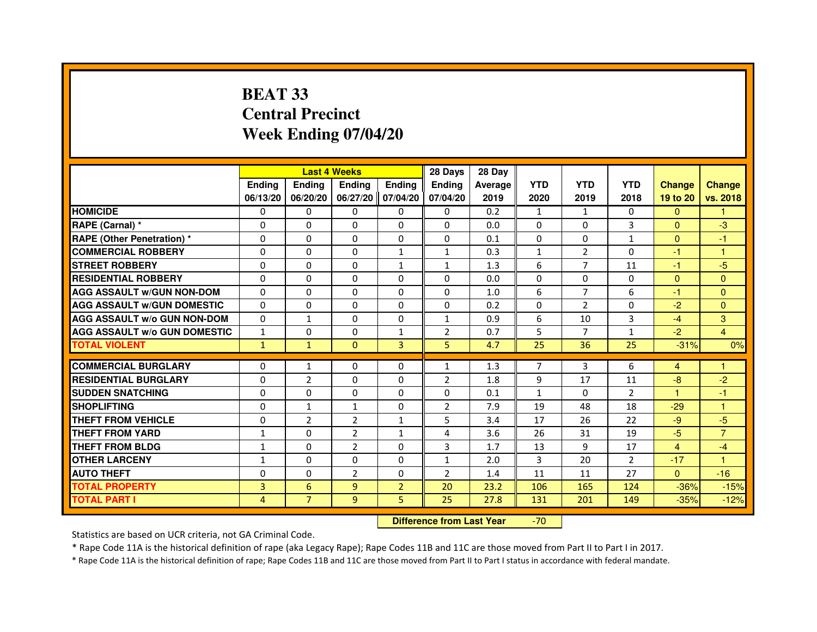# **BEAT 33 Central PrecinctWeek Ending 07/04/20**

|                                     |               |                | <b>Last 4 Weeks</b> |                   | 28 Days        | 28 Day  |                |                |              |               |                      |
|-------------------------------------|---------------|----------------|---------------------|-------------------|----------------|---------|----------------|----------------|--------------|---------------|----------------------|
|                                     | <b>Ending</b> | <b>Endina</b>  | <b>Endina</b>       | <b>Ending</b>     | <b>Endina</b>  | Average | <b>YTD</b>     | <b>YTD</b>     | <b>YTD</b>   | <b>Change</b> | <b>Change</b>        |
|                                     | 06/13/20      | 06/20/20       |                     | 06/27/20 07/04/20 | 07/04/20       | 2019    | 2020           | 2019           | 2018         | 19 to 20      | vs. 2018             |
| <b>HOMICIDE</b>                     | 0             | 0              | 0                   | 0                 | 0              | 0.2     | $\mathbf{1}$   | $\mathbf{1}$   | 0            | $\mathbf{0}$  |                      |
| RAPE (Carnal) *                     | $\Omega$      | $\Omega$       | $\Omega$            | $\Omega$          | $\Omega$       | 0.0     | $\Omega$       | $\Omega$       | 3            | $\Omega$      | $-3$                 |
| <b>RAPE (Other Penetration)*</b>    | $\Omega$      | $\Omega$       | $\Omega$            | $\mathbf{0}$      | $\Omega$       | 0.1     | $\Omega$       | $\Omega$       | $\mathbf{1}$ | $\Omega$      | $-1$                 |
| <b>COMMERCIAL ROBBERY</b>           | 0             | 0              | $\Omega$            | 1                 | 1              | 0.3     | 1              | 2              | 0            | $-1$          | $\blacktriangleleft$ |
| <b>STREET ROBBERY</b>               | 0             | 0              | 0                   | 1                 | $\mathbf{1}$   | 1.3     | 6              | $\overline{7}$ | 11           | $-1$          | $-5$                 |
| <b>RESIDENTIAL ROBBERY</b>          | 0             | $\Omega$       | $\Omega$            | $\Omega$          | $\Omega$       | 0.0     | $\Omega$       | $\Omega$       | $\Omega$     | $\Omega$      | $\Omega$             |
| <b>AGG ASSAULT W/GUN NON-DOM</b>    | $\Omega$      | $\mathbf 0$    | $\Omega$            | $\mathbf{0}$      | $\Omega$       | 1.0     | 6              | $\overline{7}$ | 6            | $-1$          | $\mathbf{0}$         |
| <b>AGG ASSAULT W/GUN DOMESTIC</b>   | $\Omega$      | 0              | $\Omega$            | 0                 | 0              | 0.2     | $\Omega$       | 2              | $\Omega$     | $-2$          | $\Omega$             |
| <b>AGG ASSAULT W/o GUN NON-DOM</b>  | $\Omega$      | $\mathbf{1}$   | $\Omega$            | $\Omega$          | 1              | 0.9     | 6              | 10             | 3            | $-4$          | 3                    |
| <b>AGG ASSAULT W/o GUN DOMESTIC</b> | $\mathbf{1}$  | $\Omega$       | 0                   | $\mathbf{1}$      | $\overline{2}$ | 0.7     | 5              | 7              | $\mathbf{1}$ | $-2$          | $\overline{4}$       |
| <b>TOTAL VIOLENT</b>                | $\mathbf{1}$  | $\mathbf{1}$   | $\mathbf{0}$        | $\overline{3}$    | 5              | 4.7     | 25             | 36             | 25           | $-31%$        | 0%                   |
|                                     |               |                |                     |                   |                |         |                |                |              |               |                      |
| <b>COMMERCIAL BURGLARY</b>          | 0             | 1              | 0                   | 0                 | $\mathbf{1}$   | 1.3     | $\overline{7}$ | 3              | 6            | 4             | $\blacktriangleleft$ |
| <b>RESIDENTIAL BURGLARY</b>         | 0             | $\overline{2}$ | 0                   | $\Omega$          | 2              | 1.8     | 9              | 17             | 11           | $-8$          | $-2$                 |
| <b>SUDDEN SNATCHING</b>             | 0             | 0              | $\Omega$            | 0                 | 0              | 0.1     | $\mathbf{1}$   | $\Omega$       | 2            | -1            | -1                   |
| <b>SHOPLIFTING</b>                  | $\Omega$      | $\mathbf{1}$   | $\mathbf{1}$        | $\Omega$          | $\overline{c}$ | 7.9     | 19             | 48             | 18           | $-29$         | $\mathbf{1}$         |
| <b>THEFT FROM VEHICLE</b>           | $\Omega$      | $\overline{2}$ | $\overline{2}$      | $\mathbf{1}$      | 5              | 3.4     | 17             | 26             | 22           | $-9$          | $-5$                 |
| <b>THEFT FROM YARD</b>              | $\mathbf{1}$  | 0              | $\overline{2}$      | $\mathbf{1}$      | $\overline{4}$ | 3.6     | 26             | 31             | 19           | $-5$          | $\overline{7}$       |
| THEFT FROM BLDG                     | $\mathbf{1}$  | 0              | $\overline{2}$      | 0                 | 3              | 1.7     | 13             | 9              | 17           | 4             | $-4$                 |
| <b>OTHER LARCENY</b>                | $\mathbf{1}$  | 0              | $\Omega$            | $\Omega$          | $\mathbf{1}$   | 2.0     | 3              | 20             | 2            | $-17$         | $\blacktriangleleft$ |
| <b>AUTO THEFT</b>                   | $\mathbf 0$   | $\mathbf 0$    | $\overline{2}$      | $\mathbf{0}$      | $\overline{2}$ | 1.4     | 11             | 11             | 27           | $\Omega$      | $-16$                |
| <b>TOTAL PROPERTY</b>               | 3             | 6              | 9                   | $\overline{2}$    | 20             | 23.2    | 106            | 165            | 124          | $-36%$        | $-15%$               |
| <b>TOTAL PART I</b>                 | 4             | $\overline{7}$ | 9                   | 5                 | 25             | 27.8    | 131            | 201            | 149          | $-35%$        | $-12%$               |

 **Difference from Last Year**-70

Statistics are based on UCR criteria, not GA Criminal Code.

\* Rape Code 11A is the historical definition of rape (aka Legacy Rape); Rape Codes 11B and 11C are those moved from Part II to Part I in 2017.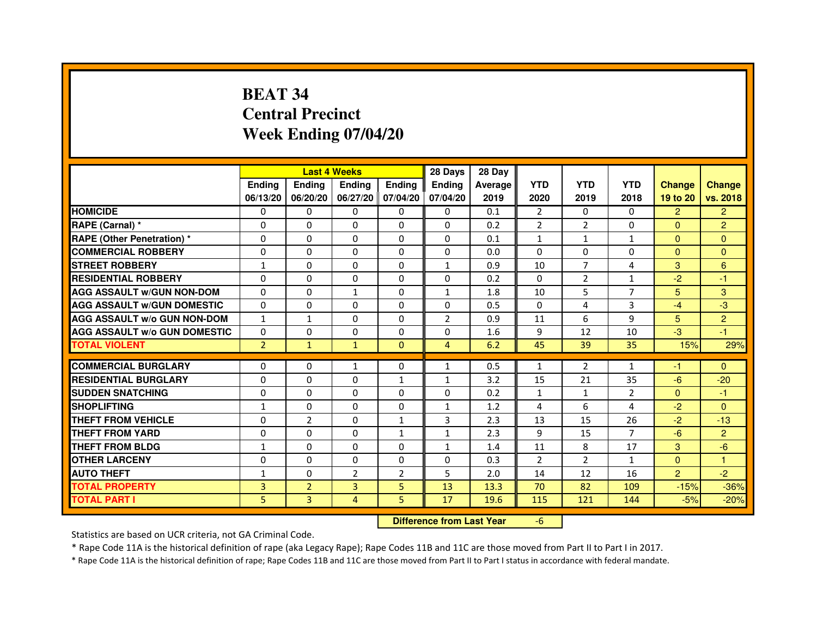# **BEAT 34 Central PrecinctWeek Ending 07/04/20**

|                                     |                | <b>Last 4 Weeks</b> |                                  |                | 28 Days        | 28 Day  |                |                |                |                |                |
|-------------------------------------|----------------|---------------------|----------------------------------|----------------|----------------|---------|----------------|----------------|----------------|----------------|----------------|
|                                     | <b>Ending</b>  | Ending              | <b>Ending</b>                    | <b>Ending</b>  | <b>Ending</b>  | Average | <b>YTD</b>     | <b>YTD</b>     | <b>YTD</b>     | <b>Change</b>  | <b>Change</b>  |
|                                     | 06/13/20       | 06/20/20            | 06/27/20 07/04/20                |                | 07/04/20       | 2019    | 2020           | 2019           | 2018           | 19 to 20       | vs. 2018       |
| <b>HOMICIDE</b>                     | 0              | $\Omega$            | $\Omega$                         | $\Omega$       | 0              | 0.1     | $\overline{2}$ | $\Omega$       | $\Omega$       | $\overline{2}$ | $\overline{2}$ |
| RAPE (Carnal) *                     | 0              | 0                   | 0                                | 0              | 0              | 0.2     | $\overline{2}$ | $\overline{2}$ | 0              | $\mathbf{0}$   | $\overline{2}$ |
| <b>RAPE (Other Penetration)*</b>    | 0              | 0                   | $\Omega$                         | 0              | $\Omega$       | 0.1     | $\mathbf{1}$   | 1              | $\mathbf{1}$   | $\mathbf{0}$   | $\Omega$       |
| <b>COMMERCIAL ROBBERY</b>           | $\Omega$       | $\Omega$            | $\Omega$                         | $\Omega$       | $\Omega$       | 0.0     | $\Omega$       | $\mathbf{0}$   | $\Omega$       | $\Omega$       | $\Omega$       |
| <b>STREET ROBBERY</b>               | $\mathbf{1}$   | $\Omega$            | $\Omega$                         | $\Omega$       | $\mathbf{1}$   | 0.9     | 10             | $\overline{7}$ | 4              | 3              | 6              |
| <b>RESIDENTIAL ROBBERY</b>          | $\Omega$       | $\Omega$            | $\Omega$                         | $\Omega$       | 0              | 0.2     | $\Omega$       | $\overline{2}$ | $\mathbf{1}$   | $-2$           | $-1$           |
| <b>AGG ASSAULT w/GUN NON-DOM</b>    | $\Omega$       | $\Omega$            | $\mathbf{1}$                     | $\Omega$       | $\mathbf{1}$   | 1.8     | 10             | 5              | $\overline{7}$ | 5              | 3              |
| <b>AGG ASSAULT w/GUN DOMESTIC</b>   | $\Omega$       | $\Omega$            | $\Omega$                         | $\Omega$       | $\Omega$       | 0.5     | $\Omega$       | 4              | 3              | $-4$           | $-3$           |
| <b>AGG ASSAULT W/o GUN NON-DOM</b>  | $\mathbf{1}$   | $\mathbf{1}$        | 0                                | 0              | 2              | 0.9     | 11             | 6              | 9              | 5              | $\overline{2}$ |
| <b>AGG ASSAULT w/o GUN DOMESTIC</b> | $\Omega$       | $\mathbf 0$         | $\Omega$                         | 0              | 0              | 1.6     | 9              | 12             | 10             | $-3$           | $-1$           |
| <b>TOTAL VIOLENT</b>                | $\overline{2}$ | $\mathbf{1}$        | $\mathbf{1}$                     | $\mathbf{0}$   | $\overline{4}$ | 6.2     | 45             | 39             | 35             | 15%            | 29%            |
| <b>COMMERCIAL BURGLARY</b>          | $\Omega$       | $\Omega$            | $\mathbf{1}$                     | 0              | $\mathbf{1}$   | 0.5     | $\mathbf{1}$   | $\overline{2}$ | $\mathbf{1}$   | -1             | $\mathbf{0}$   |
| <b>RESIDENTIAL BURGLARY</b>         | $\Omega$       | $\Omega$            | $\Omega$                         | $\mathbf{1}$   | $\mathbf{1}$   | 3.2     | 15             | 21             | 35             | $-6$           | $-20$          |
| <b>SUDDEN SNATCHING</b>             | $\Omega$       | $\Omega$            | $\Omega$                         | $\Omega$       | $\Omega$       | 0.2     | $\mathbf{1}$   | $\mathbf{1}$   | $\mathcal{P}$  | $\Omega$       | $-1$           |
| <b>SHOPLIFTING</b>                  | 1              | 0                   | 0                                | 0              | 1              | 1.2     | 4              | 6              | 4              | $-2$           | $\mathbf{0}$   |
| <b>THEFT FROM VEHICLE</b>           | $\Omega$       | $\overline{2}$      | $\Omega$                         | $\mathbf{1}$   | 3              | 2.3     | 13             | 15             | 26             | $-2$           | $-13$          |
| <b>THEFT FROM YARD</b>              | $\mathbf 0$    | 0                   | $\mathbf 0$                      | $\mathbf{1}$   | $\mathbf{1}$   | 2.3     | 9              | 15             | $\overline{7}$ | $-6$           | $\overline{2}$ |
| <b>THEFT FROM BLDG</b>              | $\mathbf{1}$   | $\Omega$            | $\Omega$                         | $\Omega$       | $\mathbf{1}$   | 1.4     | 11             | 8              | 17             | 3              | $-6$           |
| <b>OTHER LARCENY</b>                | $\mathbf 0$    | $\Omega$            | $\mathbf 0$                      | $\Omega$       | 0              | 0.3     | $\overline{2}$ | $\overline{2}$ | $\mathbf{1}$   | $\Omega$       | 1              |
| <b>AUTO THEFT</b>                   | $\mathbf{1}$   | $\Omega$            | $\overline{2}$                   | $\overline{2}$ | 5              | 2.0     | 14             | 12             | 16             | $\overline{2}$ | $-2$           |
| <b>TOTAL PROPERTY</b>               | 3              | $\overline{2}$      | $\overline{3}$                   | 5              | 13             | 13.3    | 70             | 82             | 109            | $-15%$         | $-36%$         |
|                                     | 5              | 3                   |                                  |                |                |         |                |                |                |                |                |
| <b>TOTAL PART I</b>                 | 4              | 5                   | 17                               | 19.6           | 115            | 121     | 144            | $-5%$          | $-20%$         |                |                |
|                                     |                |                     | <b>Difference from Last Year</b> |                | $-6$           |         |                |                |                |                |                |

 **Difference from Last Year**

Statistics are based on UCR criteria, not GA Criminal Code.

\* Rape Code 11A is the historical definition of rape (aka Legacy Rape); Rape Codes 11B and 11C are those moved from Part II to Part I in 2017.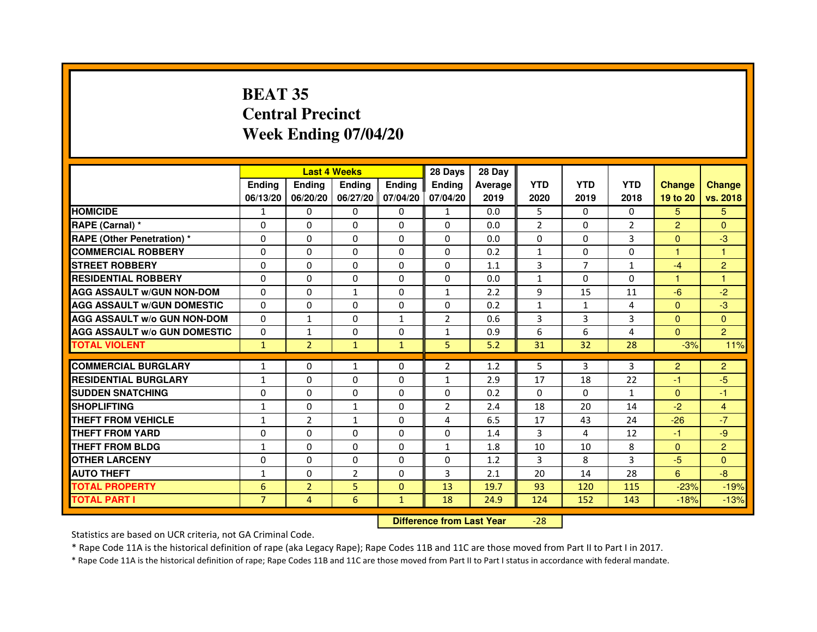# **BEAT 35 Central PrecinctWeek Ending 07/04/20**

|                                     |                | <b>Last 4 Weeks</b> |                     |              | 28 Days        | 28 Day  |                |                |                |                |                |
|-------------------------------------|----------------|---------------------|---------------------|--------------|----------------|---------|----------------|----------------|----------------|----------------|----------------|
|                                     | <b>Endina</b>  | <b>Ending</b>       | <b>Endina</b>       | Ending       | <b>Endina</b>  | Average | <b>YTD</b>     | <b>YTD</b>     | <b>YTD</b>     | <b>Change</b>  | <b>Change</b>  |
|                                     | 06/13/20       | 06/20/20            | 06/27/20   07/04/20 |              | 07/04/20       | 2019    | 2020           | 2019           | 2018           | 19 to 20       | vs. 2018       |
| <b>HOMICIDE</b>                     | 1              | 0                   | 0                   | 0            | $\mathbf{1}$   | 0.0     | 5              | 0              | $\Omega$       | 5              | 5.             |
| RAPE (Carnal) *                     | $\Omega$       | $\Omega$            | $\Omega$            | $\Omega$     | $\Omega$       | 0.0     | $\overline{2}$ | $\Omega$       | $\overline{2}$ | $\overline{2}$ | $\Omega$       |
| <b>RAPE (Other Penetration) *</b>   | $\Omega$       | $\Omega$            | $\Omega$            | $\Omega$     | $\Omega$       | 0.0     | $\Omega$       | $\Omega$       | 3              | $\Omega$       | -3             |
| <b>COMMERCIAL ROBBERY</b>           | 0              | $\Omega$            | 0                   | 0            | 0              | 0.2     | $\mathbf{1}$   | 0              | 0              | 1              | 1              |
| <b>STREET ROBBERY</b>               | $\Omega$       | $\Omega$            | $\Omega$            | 0            | 0              | 1.1     | 3              | $\overline{7}$ | $\mathbf{1}$   | $-4$           | $\overline{2}$ |
| <b>RESIDENTIAL ROBBERY</b>          | $\Omega$       | $\Omega$            | $\Omega$            | $\Omega$     | 0              | 0.0     | $\mathbf{1}$   | $\Omega$       | $\Omega$       | 1              | $\mathbf{1}$   |
| <b>AGG ASSAULT w/GUN NON-DOM</b>    | $\Omega$       | $\Omega$            | $\mathbf{1}$        | $\Omega$     | $\mathbf{1}$   | 2.2     | 9              | 15             | 11             | $-6$           | $-2$           |
| <b>AGG ASSAULT W/GUN DOMESTIC</b>   | $\Omega$       | $\Omega$            | $\Omega$            | $\Omega$     | $\Omega$       | 0.2     | $\mathbf{1}$   | $\mathbf{1}$   | $\overline{4}$ | $\Omega$       | $-3$           |
| <b>AGG ASSAULT W/o GUN NON-DOM</b>  | $\Omega$       | $\mathbf{1}$        | 0                   | 1            | $\overline{2}$ | 0.6     | 3              | 3              | 3              | $\Omega$       | $\Omega$       |
| <b>AGG ASSAULT W/o GUN DOMESTIC</b> | $\Omega$       | 1                   | 0                   | 0            | $\mathbf{1}$   | 0.9     | 6              | 6              | 4              | $\mathbf{0}$   | $\overline{2}$ |
| <b>TOTAL VIOLENT</b>                | $\mathbf{1}$   | $\overline{2}$      | $\mathbf{1}$        | $\mathbf{1}$ | 5              | 5.2     | 31             | 32             | 28             | $-3%$          | 11%            |
|                                     |                |                     |                     |              |                |         |                |                |                |                |                |
| <b>COMMERCIAL BURGLARY</b>          | $\mathbf{1}$   | 0                   | $\mathbf{1}$        | 0            | $\overline{2}$ | 1.2     | 5              | 3              | 3              | 2              | $\overline{2}$ |
| <b>RESIDENTIAL BURGLARY</b>         | $\mathbf{1}$   | 0                   | $\Omega$            | 0            | $\mathbf{1}$   | 2.9     | 17             | 18             | 22             | $-1$           | $-5$           |
| <b>SUDDEN SNATCHING</b>             | $\Omega$       | $\Omega$            | $\Omega$            | $\Omega$     | $\Omega$       | 0.2     | $\Omega$       | $\Omega$       | $\mathbf{1}$   | $\Omega$       | $-1$           |
| <b>SHOPLIFTING</b>                  | $\mathbf{1}$   | $\Omega$            | $\mathbf{1}$        | $\Omega$     | $\overline{2}$ | 2.4     | 18             | 20             | 14             | $-2$           | $\overline{4}$ |
| <b>THEFT FROM VEHICLE</b>           | $\mathbf{1}$   | $\overline{2}$      | $\mathbf{1}$        | 0            | 4              | 6.5     | 17             | 43             | 24             | $-26$          | $-7$           |
| <b>THEFT FROM YARD</b>              | $\Omega$       | $\Omega$            | $\Omega$            | $\Omega$     | $\Omega$       | 1.4     | 3              | 4              | 12             | $-1$           | -9             |
| <b>THEFT FROM BLDG</b>              | $\mathbf{1}$   | 0                   | $\Omega$            | $\Omega$     | 1              | 1.8     | 10             | 10             | 8              | $\mathbf{0}$   | $\overline{2}$ |
| <b>OTHER LARCENY</b>                | 0              | $\Omega$            | 0                   | 0            | 0              | 1.2     | 3              | 8              | 3              | $-5$           | $\Omega$       |
| <b>AUTO THEFT</b>                   | 1              | $\mathbf 0$         | $\overline{2}$      | 0            | 3              | 2.1     | 20             | 14             | 28             | 6              | -8             |
| <b>TOTAL PROPERTY</b>               | 6              | $\overline{2}$      | 5                   | $\Omega$     | 13             | 19.7    | 93             | 120            | 115            | $-23%$         | $-19%$         |
| <b>TOTAL PART I</b>                 | $\overline{7}$ | 4                   | 6                   | $\mathbf{1}$ | 18             | 24.9    | 124            | 152            | 143            | $-18%$         | $-13%$         |

 **Difference from Last Year**-28

Statistics are based on UCR criteria, not GA Criminal Code.

\* Rape Code 11A is the historical definition of rape (aka Legacy Rape); Rape Codes 11B and 11C are those moved from Part II to Part I in 2017.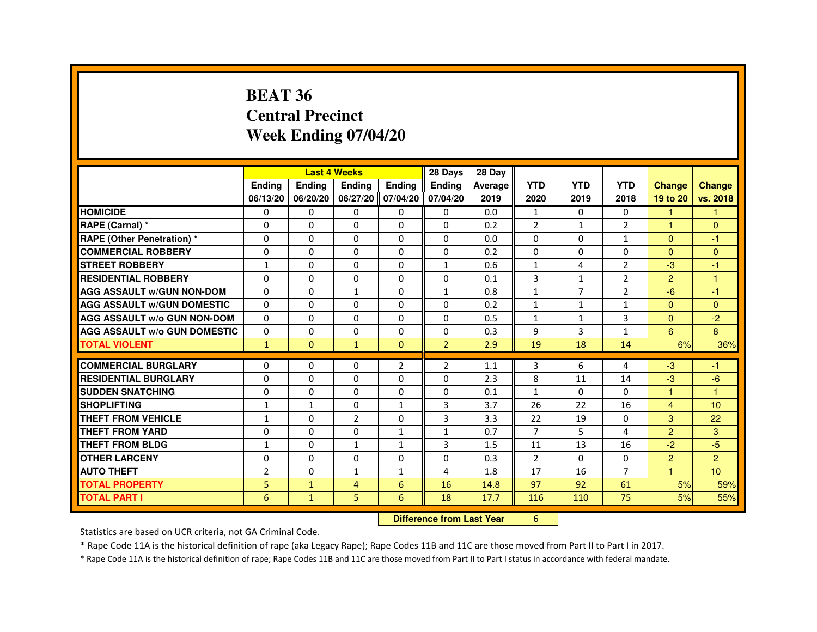#### **BEAT 36 Central PrecinctWeek Ending 07/04/20**

|                                     |              | <b>Last 4 Weeks</b>              |                   |                | 28 Days        | 28 Day  |                |                |                |                |                      |
|-------------------------------------|--------------|----------------------------------|-------------------|----------------|----------------|---------|----------------|----------------|----------------|----------------|----------------------|
|                                     | Ending       | Ending                           | Ending            | Ending         | Ending         | Average | <b>YTD</b>     | <b>YTD</b>     | <b>YTD</b>     | <b>Change</b>  | <b>Change</b>        |
|                                     | 06/13/20     | 06/20/20                         | 06/27/20 07/04/20 |                | 07/04/20       | 2019    | 2020           | 2019           | 2018           | 19 to 20       | vs. 2018             |
| <b>HOMICIDE</b>                     | 0            | 0                                | 0                 | $\mathbf{0}$   | $\mathbf{0}$   | 0.0     | $\mathbf{1}$   | $\Omega$       | $\mathbf{0}$   | 1              |                      |
| RAPE (Carnal) *                     | 0            | $\Omega$                         | $\Omega$          | $\Omega$       | $\Omega$       | 0.2     | $\overline{2}$ | $\mathbf{1}$   | $\overline{2}$ |                | $\Omega$             |
| <b>RAPE (Other Penetration) *</b>   | $\Omega$     | 0                                | $\Omega$          | $\Omega$       | $\Omega$       | 0.0     | $\Omega$       | $\Omega$       | $\mathbf{1}$   | $\Omega$       | $-1$                 |
| <b>COMMERCIAL ROBBERY</b>           | $\Omega$     | $\Omega$                         | $\Omega$          | $\Omega$       | $\Omega$       | 0.2     | $\Omega$       | $\Omega$       | $\Omega$       | $\Omega$       | $\Omega$             |
| <b>STREET ROBBERY</b>               | $\mathbf{1}$ | $\Omega$                         | $\Omega$          | $\Omega$       | $\mathbf{1}$   | 0.6     | $\mathbf{1}$   | 4              | $\overline{2}$ | -3             | -1                   |
| <b>RESIDENTIAL ROBBERY</b>          | $\Omega$     | $\mathbf 0$                      | 0                 | 0              | 0              | 0.1     | 3              | $\mathbf{1}$   | $\overline{2}$ | $\overline{2}$ | $\overline{1}$       |
| <b>AGG ASSAULT w/GUN NON-DOM</b>    | $\Omega$     | 0                                | $\mathbf{1}$      | $\Omega$       | $\mathbf{1}$   | 0.8     | $\mathbf{1}$   | $\overline{7}$ | $\overline{2}$ | $-6$           | $-1$                 |
| <b>AGG ASSAULT W/GUN DOMESTIC</b>   | $\Omega$     | $\Omega$                         | $\Omega$          | $\Omega$       | 0              | 0.2     | $\mathbf{1}$   | $\mathbf{1}$   | $\mathbf{1}$   | $\Omega$       | $\Omega$             |
| <b>AGG ASSAULT w/o GUN NON-DOM</b>  | $\Omega$     | 0                                | 0                 | 0              | 0              | 0.5     | $\mathbf{1}$   | $\mathbf{1}$   | 3              | $\mathbf{0}$   | $-2$                 |
| <b>AGG ASSAULT W/o GUN DOMESTIC</b> | $\Omega$     | $\mathbf 0$                      | $\Omega$          | 0              | 0              | 0.3     | 9              | 3              | $\mathbf{1}$   | 6              | 8                    |
| <b>TOTAL VIOLENT</b>                | $\mathbf{1}$ | $\mathbf{0}$                     | $\mathbf{1}$      | $\mathbf{0}$   | $\overline{2}$ | 2.9     | 19             | 18             | 14             | 6%             | 36%                  |
| <b>COMMERCIAL BURGLARY</b>          | $\Omega$     | 0                                | 0                 | $\overline{2}$ | 2              | 1.1     | 3              | 6              | 4              | -3             | -1                   |
| <b>RESIDENTIAL BURGLARY</b>         | 0            | $\mathbf 0$                      | 0                 | 0              | 0              | 2.3     | 8              | 11             | 14             | $-3$           | $-6$                 |
| <b>SUDDEN SNATCHING</b>             | $\Omega$     | $\Omega$                         | $\Omega$          | $\Omega$       | $\Omega$       | 0.1     | $\mathbf{1}$   | $\Omega$       | $\Omega$       | $\overline{1}$ | $\blacktriangleleft$ |
| <b>SHOPLIFTING</b>                  | $\mathbf{1}$ | $\mathbf{1}$                     | 0                 | $\mathbf{1}$   | 3              | 3.7     | 26             | 22             | 16             | $\overline{4}$ | 10                   |
| THEFT FROM VEHICLE                  | $\mathbf{1}$ | $\Omega$                         | $\overline{2}$    | 0              | 3              | 3.3     | 22             | 19             | $\Omega$       | 3              | 22                   |
| <b>THEFT FROM YARD</b>              | $\Omega$     | $\Omega$                         | $\Omega$          | $\mathbf{1}$   | $\mathbf{1}$   | 0.7     | $\overline{7}$ | 5              | 4              | $\overline{2}$ | 3                    |
| <b>THEFT FROM BLDG</b>              | $\mathbf{1}$ | $\Omega$                         | $\mathbf{1}$      | $\mathbf{1}$   | 3              | 1.5     | 11             | 13             | 16             | $-2$           | $-5$                 |
| <b>OTHER LARCENY</b>                | $\Omega$     | $\Omega$                         | $\Omega$          | 0              | 0              | 0.3     | $\overline{2}$ | 0              | 0              | 2              | $\overline{2}$       |
| <b>AUTO THEFT</b>                   | 2            | 0                                | $\mathbf{1}$      | $\mathbf{1}$   | 4              | 1.8     | 17             | 16             | $\overline{7}$ |                | 10                   |
| <b>TOTAL PROPERTY</b>               | 5            | $\mathbf{1}$                     | 4                 | 6              | 16             | 14.8    | 97             | 92             | 61             | 5%             | 59%                  |
| <b>TOTAL PART I</b>                 | 6            | $\mathbf{1}$                     | 5                 | 6              | 18             | 17.7    | 116            | 110            | 75             | 5%             | 55%                  |
|                                     |              | <b>Difference from Last Year</b> |                   | 6              |                |         |                |                |                |                |                      |

 **Difference from Last Year**

Statistics are based on UCR criteria, not GA Criminal Code.

\* Rape Code 11A is the historical definition of rape (aka Legacy Rape); Rape Codes 11B and 11C are those moved from Part II to Part I in 2017.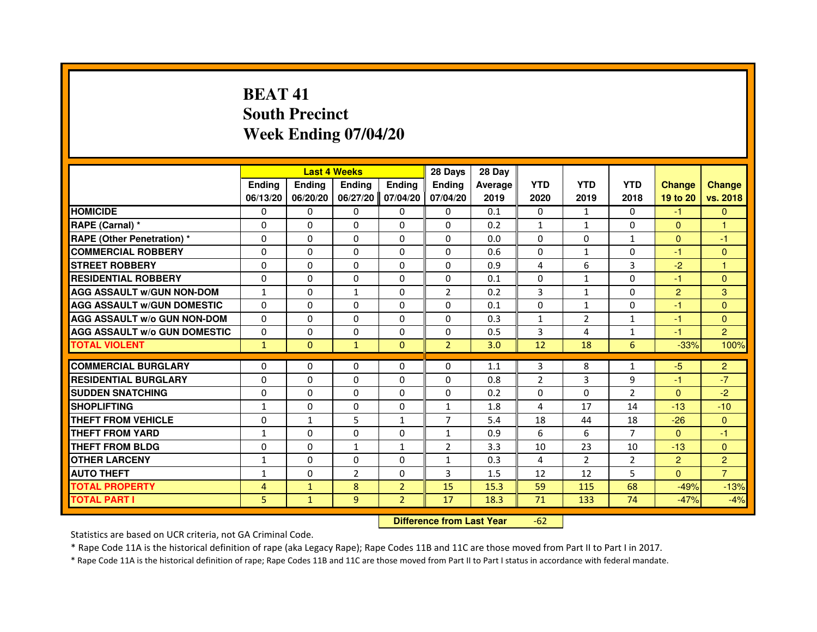# **BEAT 41 South PrecinctWeek Ending 07/04/20**

|                                     |               |                                  | <b>Last 4 Weeks</b> |                | 28 Days        | 28 Day  |                |                |                |                |                |
|-------------------------------------|---------------|----------------------------------|---------------------|----------------|----------------|---------|----------------|----------------|----------------|----------------|----------------|
|                                     | <b>Ending</b> | Ending                           | Ending              | <b>Ending</b>  | <b>Ending</b>  | Average | <b>YTD</b>     | <b>YTD</b>     | <b>YTD</b>     | <b>Change</b>  | <b>Change</b>  |
|                                     | 06/13/20      | 06/20/20                         | 06/27/20            | 07/04/20       | 07/04/20       | 2019    | 2020           | 2019           | 2018           | 19 to 20       | vs. 2018       |
| <b>HOMICIDE</b>                     | 0             | 0                                | 0                   | 0              | $\mathbf{0}$   | 0.1     | 0              | $\mathbf{1}$   | $\Omega$       | $-1$           | $\mathbf{0}$   |
| RAPE (Carnal) *                     | 0             | 0                                | 0                   | 0              | 0              | 0.2     | 1              | $\mathbf{1}$   | 0              | $\Omega$       | 1              |
| RAPE (Other Penetration) *          | $\Omega$      | $\Omega$                         | $\Omega$            | $\Omega$       | $\Omega$       | 0.0     | $\Omega$       | $\Omega$       | $\mathbf{1}$   | $\Omega$       | $-1$           |
| <b>COMMERCIAL ROBBERY</b>           | 0             | $\Omega$                         | $\Omega$            | $\Omega$       | $\Omega$       | 0.6     | $\Omega$       | $\mathbf{1}$   | $\Omega$       | $-1$           | $\mathbf{0}$   |
| <b>STREET ROBBERY</b>               | $\Omega$      | $\Omega$                         | $\Omega$            | $\Omega$       | $\Omega$       | 0.9     | 4              | 6              | 3              | $-2$           | $\mathbf{1}$   |
| <b>RESIDENTIAL ROBBERY</b>          | 0             | 0                                | 0                   | 0              | 0              | 0.1     | 0              | $\mathbf{1}$   | $\Omega$       | $-1$           | $\mathbf{0}$   |
| <b>AGG ASSAULT w/GUN NON-DOM</b>    | $\mathbf{1}$  | $\Omega$                         | $\mathbf{1}$        | $\Omega$       | $\overline{2}$ | 0.2     | 3              | $\mathbf{1}$   | $\Omega$       | $\overline{2}$ | 3              |
| <b>AGG ASSAULT W/GUN DOMESTIC</b>   | $\Omega$      | $\Omega$                         | $\Omega$            | $\Omega$       | $\Omega$       | 0.1     | $\Omega$       | $\mathbf{1}$   | $\Omega$       | $-1$           | $\Omega$       |
| <b>AGG ASSAULT W/o GUN NON-DOM</b>  | $\Omega$      | $\Omega$                         | $\Omega$            | $\Omega$       | $\Omega$       | 0.3     | $\mathbf{1}$   | $\overline{2}$ | $\mathbf{1}$   | $-1$           | $\Omega$       |
| <b>AGG ASSAULT w/o GUN DOMESTIC</b> | $\Omega$      | $\Omega$                         | 0                   | $\Omega$       | $\Omega$       | 0.5     | 3              | 4              | $\mathbf{1}$   | $-1$           | $\overline{2}$ |
| <b>TOTAL VIOLENT</b>                | $\mathbf{1}$  | $\mathbf{0}$                     | $\mathbf{1}$        | $\mathbf{0}$   | $\overline{2}$ | 3.0     | 12             | 18             | 6              | $-33%$         | 100%           |
| <b>COMMERCIAL BURGLARY</b>          | 0             | 0                                | 0                   | $\mathbf{0}$   | $\mathbf{0}$   | 1.1     | 3              | 8              | $\mathbf{1}$   | $-5$           | $\overline{2}$ |
| <b>RESIDENTIAL BURGLARY</b>         | 0             | $\Omega$                         | $\Omega$            | $\Omega$       | $\Omega$       | 0.8     | $\overline{2}$ | 3              | 9              | $-1$           | $-7$           |
| <b>SUDDEN SNATCHING</b>             | $\Omega$      | $\Omega$                         | $\Omega$            | $\Omega$       | $\Omega$       | 0.2     | $\Omega$       | $\Omega$       | $\overline{2}$ | $\Omega$       | $-2$           |
| <b>SHOPLIFTING</b>                  | $\mathbf{1}$  | $\Omega$                         | 0                   | $\Omega$       | 1              | 1.8     | 4              | 17             | 14             | $-13$          | $-10$          |
| THEFT FROM VEHICLE                  | 0             | $\mathbf{1}$                     | 5                   | 1              | $\overline{7}$ | 5.4     | 18             | 44             | 18             | $-26$          | $\mathbf{0}$   |
| <b>THEFT FROM YARD</b>              | $\mathbf{1}$  | $\Omega$                         | 0                   | $\Omega$       | $\mathbf{1}$   | 0.9     | 6              | 6              | $\overline{7}$ | $\Omega$       | $-1$           |
| <b>THEFT FROM BLDG</b>              | $\Omega$      | $\Omega$                         | $\mathbf{1}$        | $\mathbf{1}$   | $\overline{2}$ | 3.3     | 10             | 23             | 10             | $-13$          | $\Omega$       |
| <b>OTHER LARCENY</b>                | 1             | 0                                | 0                   | $\Omega$       | 1              | 0.3     | 4              | $\overline{2}$ | $\overline{2}$ | $\overline{2}$ | $\overline{2}$ |
| <b>AUTO THEFT</b>                   | $\mathbf{1}$  | $\Omega$                         | $\overline{2}$      | $\Omega$       | 3              | 1.5     | 12             | 12             | 5              | $\mathbf{0}$   | $\overline{7}$ |
| <b>TOTAL PROPERTY</b>               | 4             | $\mathbf{1}$                     | 8                   | $\overline{2}$ | 15             | 15.3    | 59             | 115            | 68             | $-49%$         | $-13%$         |
| <b>TOTAL PART I</b>                 | 5             | $\mathbf{1}$                     | 9                   | $\overline{2}$ | 17             | 18.3    | 71             | 133            | 74             | $-47%$         | $-4%$          |
|                                     |               | <b>Difference from Last Year</b> |                     | $-62$          |                |         |                |                |                |                |                |

 **Difference from Last Year**

Statistics are based on UCR criteria, not GA Criminal Code.

\* Rape Code 11A is the historical definition of rape (aka Legacy Rape); Rape Codes 11B and 11C are those moved from Part II to Part I in 2017.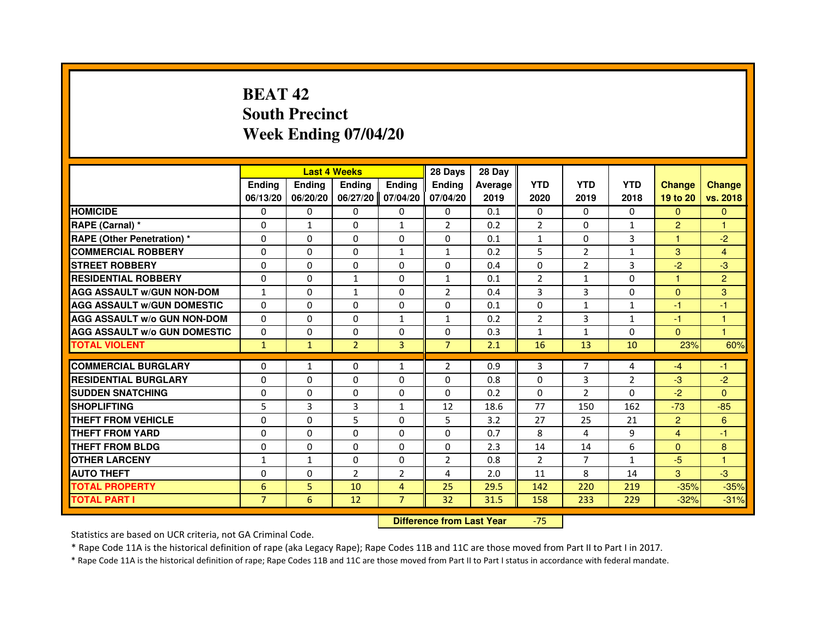## **BEAT 42 South PrecinctWeek Ending 07/04/20**

|                                     |                |              | <b>Last 4 Weeks</b> |                | 28 Days        | 28 Day  |                |                |              |                |                |
|-------------------------------------|----------------|--------------|---------------------|----------------|----------------|---------|----------------|----------------|--------------|----------------|----------------|
|                                     | <b>Endina</b>  | Ending       | <b>Endina</b>       | <b>Endina</b>  | <b>Endina</b>  | Average | <b>YTD</b>     | <b>YTD</b>     | <b>YTD</b>   | <b>Change</b>  | <b>Change</b>  |
|                                     | 06/13/20       | 06/20/20     | 06/27/20            | 07/04/20       | 07/04/20       | 2019    | 2020           | 2019           | 2018         | 19 to 20       | vs. 2018       |
| <b>HOMICIDE</b>                     | 0              | 0            | 0                   | 0              | 0              | 0.1     | $\mathbf{0}$   | 0              | 0            | $\Omega$       | $\mathbf{0}$   |
| RAPE (Carnal) *                     | $\Omega$       | $\mathbf{1}$ | $\Omega$            | $\mathbf{1}$   | $\overline{2}$ | 0.2     | $\overline{2}$ | $\Omega$       | $\mathbf{1}$ | $\overline{2}$ | $\mathbf{1}$   |
| <b>RAPE (Other Penetration)*</b>    | $\Omega$       | $\Omega$     | $\Omega$            | $\Omega$       | $\Omega$       | 0.1     | $\mathbf{1}$   | $\Omega$       | 3            | $\mathbf{1}$   | $-2$           |
| <b>COMMERCIAL ROBBERY</b>           | 0              | 0            | 0                   | 1              | $\mathbf{1}$   | 0.2     | 5              | 2              | $\mathbf{1}$ | 3              | 4              |
| <b>STREET ROBBERY</b>               | $\Omega$       | $\mathbf{0}$ | 0                   | $\Omega$       | 0              | 0.4     | $\Omega$       | $\overline{2}$ | 3            | $-2$           | $-3$           |
| <b>RESIDENTIAL ROBBERY</b>          | $\Omega$       | $\Omega$     | $\mathbf{1}$        | $\Omega$       | $\mathbf{1}$   | 0.1     | $\overline{2}$ | $\mathbf{1}$   | $\Omega$     | 1              | $\overline{2}$ |
| <b>AGG ASSAULT W/GUN NON-DOM</b>    | $\mathbf{1}$   | $\Omega$     | $\mathbf{1}$        | $\Omega$       | $\overline{2}$ | 0.4     | 3              | 3              | $\Omega$     | $\mathbf{0}$   | 3              |
| <b>AGG ASSAULT W/GUN DOMESTIC</b>   | $\Omega$       | $\Omega$     | $\Omega$            | $\Omega$       | $\Omega$       | 0.1     | $\Omega$       | $\mathbf{1}$   | $\mathbf{1}$ | $-1$           | $-1$           |
| <b>AGG ASSAULT W/o GUN NON-DOM</b>  | 0              | 0            | 0                   | $\mathbf{1}$   | $\mathbf{1}$   | 0.2     | $\overline{2}$ | 3              | $\mathbf{1}$ | -1             | 1              |
| <b>AGG ASSAULT W/o GUN DOMESTIC</b> | 0              | 0            | 0                   | 0              | 0              | 0.3     | $\mathbf{1}$   | $\mathbf{1}$   | 0            | $\Omega$       | $\overline{1}$ |
| <b>TOTAL VIOLENT</b>                | $\mathbf{1}$   | $\mathbf{1}$ | $\overline{2}$      | 3              | $\overline{7}$ | 2.1     | 16             | 13             | 10           | 23%            | 60%            |
|                                     |                |              |                     |                |                |         |                |                |              |                |                |
| <b>COMMERCIAL BURGLARY</b>          | 0              | $\mathbf{1}$ | 0                   | $\mathbf{1}$   | 2              | 0.9     | 3              | $\overline{7}$ | 4            | -4             | -1             |
| <b>RESIDENTIAL BURGLARY</b>         | 0              | $\mathbf{0}$ | 0                   | 0              | 0              | 0.8     | $\Omega$       | 3              | 2            | $-3$           | $-2$           |
| <b>SUDDEN SNATCHING</b>             | $\Omega$       | $\Omega$     | $\Omega$            | $\Omega$       | $\Omega$       | 0.2     | $\Omega$       | $\overline{2}$ | $\Omega$     | $-2$           | $\Omega$       |
| <b>SHOPLIFTING</b>                  | 5              | 3            | 3                   | $\mathbf{1}$   | 12             | 18.6    | 77             | 150            | 162          | $-73$          | $-85$          |
| <b>THEFT FROM VEHICLE</b>           | $\Omega$       | $\mathbf{0}$ | 5                   | $\mathbf{0}$   | 5              | 3.2     | 27             | 25             | 21           | $\overline{2}$ | 6              |
| <b>THEFT FROM YARD</b>              | $\Omega$       | $\Omega$     | $\Omega$            | $\Omega$       | $\Omega$       | 0.7     | 8              | 4              | 9            | 4              | $-1$           |
| <b>THEFT FROM BLDG</b>              | 0              | $\mathbf{0}$ | 0                   | $\Omega$       | $\mathbf{0}$   | 2.3     | 14             | 14             | 6            | $\mathbf{0}$   | 8              |
| <b>OTHER LARCENY</b>                | $\mathbf{1}$   | $\mathbf{1}$ | 0                   | 0              | $\overline{2}$ | 0.8     | $\overline{2}$ | $\overline{7}$ | $\mathbf{1}$ | $-5$           | $\overline{1}$ |
| <b>AUTO THEFT</b>                   | 0              | 0            | $\overline{2}$      | $\overline{2}$ | 4              | 2.0     | 11             | 8              | 14           | 3              | -3             |
| <b>TOTAL PROPERTY</b>               | 6              | 5            | 10                  | 4              | 25             | 29.5    | 142            | 220            | 219          | $-35%$         | $-35%$         |
| <b>TOTAL PART I</b>                 | $\overline{7}$ | 6            | 12                  | $\overline{7}$ | 32             | 31.5    | 158            | 233            | 229          | $-32%$         | $-31%$         |

 **Difference from Last Year**-75

Statistics are based on UCR criteria, not GA Criminal Code.

\* Rape Code 11A is the historical definition of rape (aka Legacy Rape); Rape Codes 11B and 11C are those moved from Part II to Part I in 2017.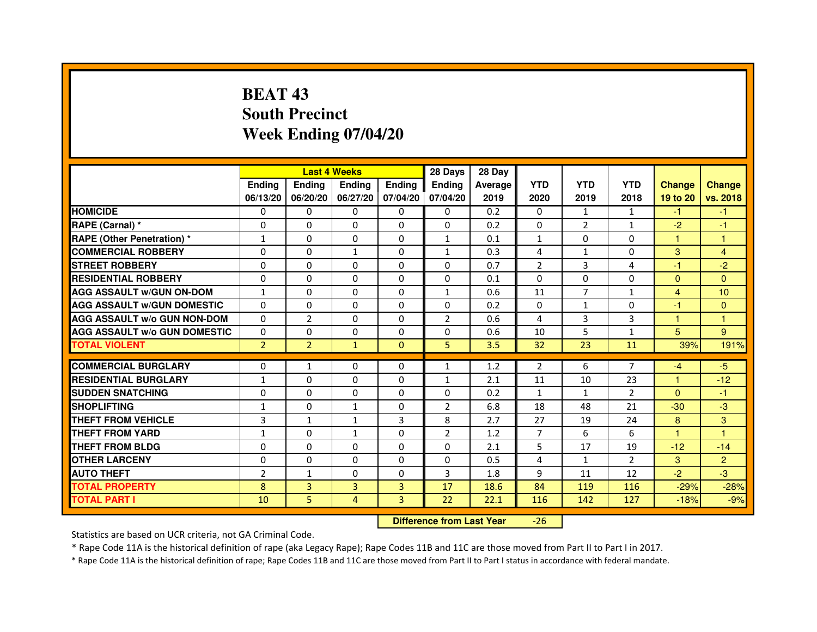# **BEAT 43 South PrecinctWeek Ending 07/04/20**

|                                     |                |                | <b>Last 4 Weeks</b> |                   | 28 Days        | 28 Day  |                |                |                |                |                |
|-------------------------------------|----------------|----------------|---------------------|-------------------|----------------|---------|----------------|----------------|----------------|----------------|----------------|
|                                     | <b>Ending</b>  | <b>Endina</b>  | <b>Endina</b>       | Ending            | <b>Endina</b>  | Average | <b>YTD</b>     | <b>YTD</b>     | <b>YTD</b>     | <b>Change</b>  | <b>Change</b>  |
|                                     | 06/13/20       | 06/20/20       |                     | 06/27/20 07/04/20 | 07/04/20       | 2019    | 2020           | 2019           | 2018           | 19 to 20       | vs. 2018       |
| <b>HOMICIDE</b>                     | 0              | 0              | $\mathbf{0}$        | 0                 | 0              | 0.2     | $\mathbf{0}$   | 1              | $\mathbf{1}$   | $-1$           | $-1$           |
| RAPE (Carnal) *                     | 0              | $\Omega$       | $\Omega$            | $\Omega$          | $\Omega$       | 0.2     | $\Omega$       | $\overline{2}$ | $\mathbf{1}$   | $-2$           | $-1$           |
| <b>RAPE (Other Penetration) *</b>   | $\mathbf{1}$   | $\Omega$       | 0                   | $\mathbf{0}$      | $\mathbf{1}$   | 0.1     | $\mathbf{1}$   | $\Omega$       | $\Omega$       | 1              | $\mathbf{1}$   |
| <b>COMMERCIAL ROBBERY</b>           | 0              | 0              | 1                   | 0                 | $\mathbf{1}$   | 0.3     | 4              | $\mathbf{1}$   | $\Omega$       | 3              | 4              |
| <b>STREET ROBBERY</b>               | 0              | 0              | 0                   | 0                 | 0              | 0.7     | $\overline{2}$ | 3              | $\overline{4}$ | $-1$           | $-2$           |
| <b>RESIDENTIAL ROBBERY</b>          | 0              | $\Omega$       | $\Omega$            | $\Omega$          | $\Omega$       | 0.1     | $\Omega$       | $\Omega$       | $\Omega$       | $\Omega$       | $\Omega$       |
| <b>AGG ASSAULT w/GUN ON-DOM</b>     | $\mathbf{1}$   | $\mathbf 0$    | $\Omega$            | $\Omega$          | $\mathbf{1}$   | 0.6     | 11             | $\overline{7}$ | $\mathbf{1}$   | $\overline{4}$ | 10             |
| <b>AGG ASSAULT W/GUN DOMESTIC</b>   | 0              | 0              | 0                   | 0                 | 0              | 0.2     | 0              | $\mathbf{1}$   | $\Omega$       | $-1$           | $\Omega$       |
| <b>AGG ASSAULT W/o GUN NON-DOM</b>  | $\Omega$       | $\overline{2}$ | 0                   | $\Omega$          | $\overline{2}$ | 0.6     | 4              | 3              | 3              | 1              | 1              |
| <b>AGG ASSAULT W/o GUN DOMESTIC</b> | $\Omega$       | 0              | 0                   | $\Omega$          | 0              | 0.6     | 10             | 5              | $\mathbf{1}$   | 5              | 9              |
| <b>TOTAL VIOLENT</b>                | $\overline{2}$ | $\overline{2}$ | $\mathbf{1}$        | $\Omega$          | 5              | 3.5     | 32             | 23             | 11             | 39%            | 191%           |
|                                     |                |                |                     |                   |                |         |                |                |                |                |                |
| <b>COMMERCIAL BURGLARY</b>          | 0              | 1              | 0                   | 0                 | $\mathbf{1}$   | 1.2     | 2              | 6              | $\overline{7}$ | $-4$           | $-5$           |
| <b>RESIDENTIAL BURGLARY</b>         | $\mathbf{1}$   | $\Omega$       | 0                   | $\Omega$          | 1              | 2.1     | 11             | 10             | 23             | 1              | $-12$          |
| <b>SUDDEN SNATCHING</b>             | 0              | 0              | 0                   | 0                 | $\Omega$       | 0.2     | $\mathbf{1}$   | $\mathbf{1}$   | $\overline{2}$ | $\Omega$       | $-1$           |
| <b>SHOPLIFTING</b>                  | $\mathbf{1}$   | 0              | $\mathbf{1}$        | $\Omega$          | $\overline{2}$ | 6.8     | 18             | 48             | 21             | $-30$          | -3             |
| <b>THEFT FROM VEHICLE</b>           | 3              | $\mathbf{1}$   | $\mathbf{1}$        | 3                 | 8              | 2.7     | 27             | 19             | 24             | 8              | 3              |
| <b>THEFT FROM YARD</b>              | 1              | 0              | $\mathbf{1}$        | $\Omega$          | $\overline{2}$ | 1.2     | $\overline{7}$ | 6              | 6              | $\mathbf{1}$   | $\mathbf{1}$   |
| <b>THEFT FROM BLDG</b>              | 0              | 0              | 0                   | 0                 | 0              | 2.1     | 5              | 17             | 19             | $-12$          | $-14$          |
| <b>OTHER LARCENY</b>                | 0              | 0              | $\Omega$            | $\Omega$          | $\Omega$       | 0.5     | 4              | $\mathbf{1}$   | $\mathcal{P}$  | 3              | $\overline{2}$ |
| <b>AUTO THEFT</b>                   | $\overline{2}$ | 1              | $\Omega$            | $\Omega$          | 3              | 1.8     | 9              | 11             | 12             | $-2$           | $-3$           |
| <b>TOTAL PROPERTY</b>               | 8              | 3              | 3                   | 3                 | 17             | 18.6    | 84             | 119            | 116            | $-29%$         | $-28%$         |
| <b>TOTAL PART I</b>                 | 10             | 5              | 4                   | 3                 | 22             | 22.1    | 116            | 142            | 127            | $-18%$         | $-9%$          |

 **Difference from Last Year**-26

Statistics are based on UCR criteria, not GA Criminal Code.

\* Rape Code 11A is the historical definition of rape (aka Legacy Rape); Rape Codes 11B and 11C are those moved from Part II to Part I in 2017.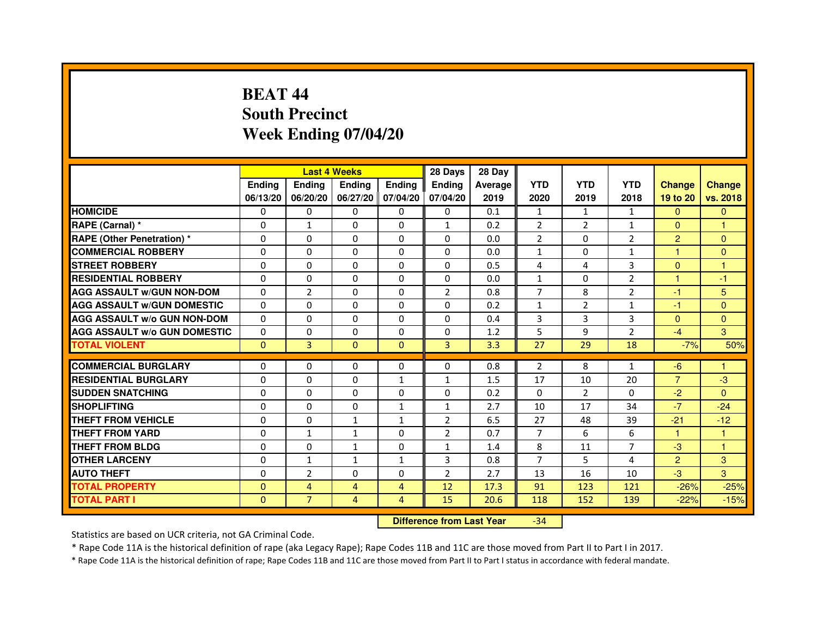# **BEAT 44 South PrecinctWeek Ending 07/04/20**

|                                     |               | <b>Last 4 Weeks</b> |                |                   | 28 Days                          | 28 Day  |                |                |                |                |               |
|-------------------------------------|---------------|---------------------|----------------|-------------------|----------------------------------|---------|----------------|----------------|----------------|----------------|---------------|
|                                     | <b>Ending</b> | Ending              | <b>Ending</b>  | <b>Ending</b>     | <b>Ending</b>                    | Average | <b>YTD</b>     | <b>YTD</b>     | <b>YTD</b>     | <b>Change</b>  | <b>Change</b> |
|                                     | 06/13/20      | 06/20/20            |                | 06/27/20 07/04/20 | 07/04/20                         | 2019    | 2020           | 2019           | 2018           | 19 to 20       | vs. 2018      |
| <b>HOMICIDE</b>                     | 0             | 0                   | $\mathbf{0}$   | 0                 | 0                                | 0.1     | $\mathbf{1}$   | $\mathbf{1}$   | $\mathbf{1}$   | $\Omega$       | $\mathbf{0}$  |
| RAPE (Carnal) *                     | 0             | 1                   | 0              | 0                 | $\mathbf{1}$                     | 0.2     | $\overline{2}$ | 2              | 1              | $\Omega$       | 1             |
| <b>RAPE (Other Penetration) *</b>   | 0             | 0                   | 0              | $\mathbf{0}$      | $\Omega$                         | 0.0     | $\overline{2}$ | $\mathbf{0}$   | $\overline{2}$ | $\overline{2}$ | $\Omega$      |
| <b>COMMERCIAL ROBBERY</b>           | $\mathbf 0$   | 0                   | $\Omega$       | $\mathbf{0}$      | $\mathbf{0}$                     | 0.0     | $\mathbf{1}$   | $\Omega$       | $\mathbf{1}$   | $\mathbf{1}$   | $\mathbf{0}$  |
| <b>STREET ROBBERY</b>               | 0             | $\Omega$            | $\Omega$       | $\Omega$          | $\Omega$                         | 0.5     | 4              | 4              | 3              | $\Omega$       | 1             |
| <b>RESIDENTIAL ROBBERY</b>          | 0             | 0                   | 0              | 0                 | $\Omega$                         | 0.0     | $\mathbf{1}$   | $\Omega$       | $\overline{2}$ | 1              | $-1$          |
| <b>AGG ASSAULT W/GUN NON-DOM</b>    | $\Omega$      | $\overline{2}$      | 0              | $\Omega$          | $\overline{2}$                   | 0.8     | $\overline{7}$ | 8              | $\overline{2}$ | $-1$           | 5             |
| <b>AGG ASSAULT W/GUN DOMESTIC</b>   | $\Omega$      | $\Omega$            | $\Omega$       | $\Omega$          | $\Omega$                         | 0.2     | $\mathbf{1}$   | $\overline{2}$ | $\mathbf{1}$   | $-1$           | $\Omega$      |
| <b>AGG ASSAULT W/o GUN NON-DOM</b>  | $\Omega$      | $\Omega$            | $\Omega$       | $\Omega$          | $\Omega$                         | 0.4     | 3              | 3              | 3              | $\Omega$       | $\Omega$      |
| <b>AGG ASSAULT W/o GUN DOMESTIC</b> | $\Omega$      | 0                   | 0              | $\Omega$          | $\Omega$                         | 1.2     | 5              | 9              | $\overline{2}$ | $-4$           | 3             |
| <b>TOTAL VIOLENT</b>                | $\mathbf{0}$  | 3                   | $\overline{0}$ | $\mathbf{0}$      | 3                                | 3.3     | 27             | 29             | 18             | $-7%$          | 50%           |
| <b>COMMERCIAL BURGLARY</b>          | 0             | 0                   | 0              | 0                 | 0                                | 0.8     | 2              | 8              | $\mathbf{1}$   | -6             | 1             |
| <b>RESIDENTIAL BURGLARY</b>         | 0             | 0                   | $\Omega$       | $\mathbf{1}$      | $\mathbf{1}$                     | 1.5     | 17             | 10             | 20             | $\overline{7}$ | $-3$          |
| <b>SUDDEN SNATCHING</b>             | 0             | $\Omega$            | $\Omega$       | $\Omega$          | $\Omega$                         | 0.2     | $\Omega$       | $\overline{2}$ | $\Omega$       | $-2$           | $\Omega$      |
| <b>SHOPLIFTING</b>                  | 0             | $\mathbf{0}$        | 0              | $\mathbf{1}$      | $\mathbf{1}$                     | 2.7     | 10             | 17             | 34             | $-7$           | $-24$         |
| THEFT FROM VEHICLE                  | 0             | 0                   | $\mathbf{1}$   | $\mathbf{1}$      | $\overline{2}$                   | 6.5     | 27             | 48             | 39             | $-21$          | $-12$         |
| <b>THEFT FROM YARD</b>              | $\Omega$      | $\mathbf{1}$        | $\mathbf{1}$   | $\Omega$          | $\overline{2}$                   | 0.7     | $\overline{7}$ | 6              | 6              | $\mathbf{1}$   | $\mathbf{1}$  |
| <b>THEFT FROM BLDG</b>              | 0             | $\Omega$            | $\mathbf{1}$   | $\Omega$          | $\mathbf{1}$                     | 1.4     | 8              | 11             | 7              | $-3$           | $\mathbf{1}$  |
| <b>OTHER LARCENY</b>                | 0             | $\mathbf{1}$        | 1              | 1                 | 3                                | 0.8     | $\overline{7}$ | 5              | 4              | $\overline{2}$ | 3             |
| <b>AUTO THEFT</b>                   | $\Omega$      | $\overline{2}$      | $\Omega$       | $\Omega$          | $\overline{2}$                   | 2.7     | 13             | 16             | 10             | $-3$           | 3             |
| <b>TOTAL PROPERTY</b>               | $\Omega$      | 4                   | $\overline{4}$ | $\overline{4}$    | 12                               | 17.3    | 91             | 123            | 121            | $-26%$         | $-25%$        |
| <b>TOTAL PART I</b>                 | $\mathbf{0}$  | $\overline{7}$      | 4              | $\overline{4}$    | 15                               | 20.6    | 118            | 152            | 139            | $-22%$         | $-15%$        |
|                                     |               |                     |                |                   | <b>Difference from Last Year</b> |         | $-34$          |                |                |                |               |

 **Difference from Last Year**

Statistics are based on UCR criteria, not GA Criminal Code.

\* Rape Code 11A is the historical definition of rape (aka Legacy Rape); Rape Codes 11B and 11C are those moved from Part II to Part I in 2017.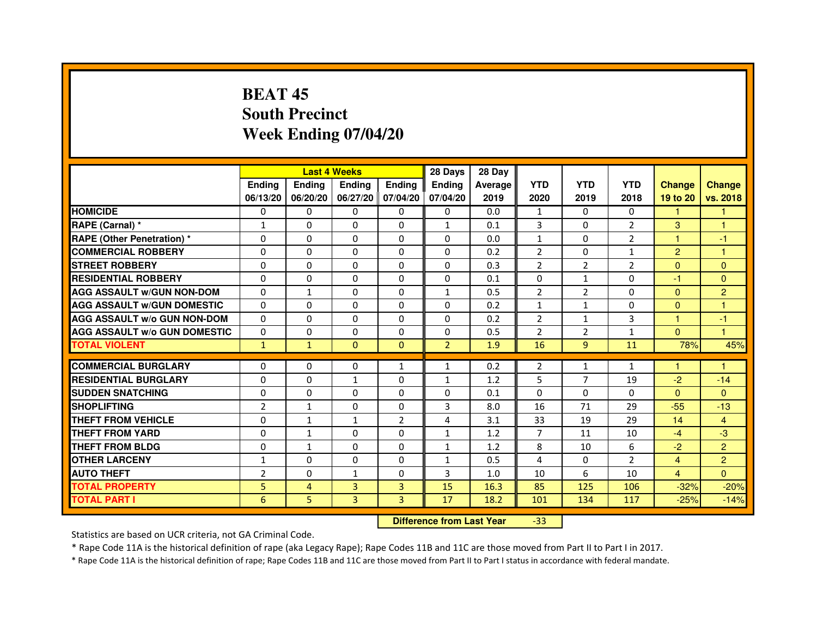# **BEAT 45 South PrecinctWeek Ending 07/04/20**

|                                     |                | <b>Last 4 Weeks</b> |               |                   | 28 Days        | 28 Day  |                |                |                |                |                |
|-------------------------------------|----------------|---------------------|---------------|-------------------|----------------|---------|----------------|----------------|----------------|----------------|----------------|
|                                     | <b>Endina</b>  | Ending              | <b>Endina</b> | <b>Endina</b>     | <b>Endina</b>  | Average | <b>YTD</b>     | <b>YTD</b>     | <b>YTD</b>     | <b>Change</b>  | <b>Change</b>  |
|                                     | 06/13/20       | 06/20/20            |               | 06/27/20 07/04/20 | 07/04/20       | 2019    | 2020           | 2019           | 2018           | 19 to 20       | vs. 2018       |
| <b>HOMICIDE</b>                     | 0              | 0                   | 0             | 0                 | 0              | 0.0     | $\mathbf{1}$   | $\Omega$       | $\Omega$       | $\mathbf{1}$   | 1              |
| RAPE (Carnal) *                     | $\mathbf{1}$   | $\Omega$            | $\Omega$      | $\Omega$          | $\mathbf{1}$   | 0.1     | 3              | $\Omega$       | $\overline{2}$ | 3              | 1              |
| <b>RAPE (Other Penetration)*</b>    | $\Omega$       | $\Omega$            | $\Omega$      | $\Omega$          | $\Omega$       | 0.0     | $\mathbf{1}$   | $\Omega$       | 2              | 1              | $-1$           |
| <b>COMMERCIAL ROBBERY</b>           | 0              | 0                   | 0             | 0                 | 0              | 0.2     | $\overline{2}$ | 0              | $\mathbf{1}$   | $\overline{2}$ | 1              |
| <b>STREET ROBBERY</b>               | 0              | $\Omega$            | 0             | 0                 | 0              | 0.3     | $\overline{2}$ | $\overline{2}$ | 2              | $\Omega$       | $\Omega$       |
| <b>RESIDENTIAL ROBBERY</b>          | 0              | $\Omega$            | 0             | $\Omega$          | $\Omega$       | 0.1     | $\Omega$       | $\mathbf{1}$   | $\Omega$       | $-1$           | $\Omega$       |
| <b>AGG ASSAULT w/GUN NON-DOM</b>    | $\Omega$       | $\mathbf{1}$        | $\Omega$      | $\mathbf{0}$      | $\mathbf{1}$   | 0.5     | $\overline{2}$ | $\overline{2}$ | $\Omega$       | $\Omega$       | $\overline{2}$ |
| <b>AGG ASSAULT W/GUN DOMESTIC</b>   | $\Omega$       | $\Omega$            | $\Omega$      | $\Omega$          | $\Omega$       | 0.2     | $\mathbf{1}$   | $\mathbf{1}$   | $\Omega$       | $\Omega$       | 1              |
| <b>AGG ASSAULT W/o GUN NON-DOM</b>  | 0              | 0                   | 0             | 0                 | $\Omega$       | 0.2     | $\overline{2}$ | $\mathbf{1}$   | 3              | 1              | $-1$           |
| <b>AGG ASSAULT W/o GUN DOMESTIC</b> | 0              | 0                   | 0             | $\mathbf{0}$      | 0              | 0.5     | $\overline{2}$ | 2              | $\mathbf{1}$   | $\Omega$       | 1              |
| <b>TOTAL VIOLENT</b>                | $\mathbf{1}$   | $\mathbf{1}$        | $\Omega$      | $\Omega$          | $\overline{2}$ | 1.9     | 16             | 9              | 11             | 78%            | 45%            |
|                                     |                |                     |               |                   |                |         |                |                |                |                |                |
| <b>COMMERCIAL BURGLARY</b>          | 0              | 0                   | 0             | $\mathbf{1}$      | $\mathbf{1}$   | 0.2     | 2              | $\mathbf{1}$   | $\mathbf{1}$   | 1              | 1              |
| <b>RESIDENTIAL BURGLARY</b>         | 0              | 0                   | $\mathbf{1}$  | $\Omega$          | $\mathbf{1}$   | 1.2     | 5              | 7              | 19             | $-2$           | $-14$          |
| <b>SUDDEN SNATCHING</b>             | 0              | $\Omega$            | $\Omega$      | $\Omega$          | $\Omega$       | 0.1     | $\Omega$       | $\Omega$       | $\Omega$       | $\Omega$       | $\Omega$       |
| <b>SHOPLIFTING</b>                  | $\overline{2}$ | $\mathbf{1}$        | $\Omega$      | $\mathbf{0}$      | 3              | 8.0     | 16             | 71             | 29             | $-55$          | $-13$          |
| <b>THEFT FROM VEHICLE</b>           | 0              | $\mathbf{1}$        | $\mathbf{1}$  | $\overline{2}$    | 4              | 3.1     | 33             | 19             | 29             | 14             | $\overline{4}$ |
| <b>THEFT FROM YARD</b>              | $\Omega$       | 1                   | $\Omega$      | $\Omega$          | $\mathbf{1}$   | 1.2     | $\overline{7}$ | 11             | 10             | $-4$           | $-3$           |
| <b>THEFT FROM BLDG</b>              | 0              | 1                   | 0             | $\mathbf{0}$      | 1              | 1.2     | 8              | 10             | 6              | $-2$           | $\overline{2}$ |
| <b>OTHER LARCENY</b>                | 1              | 0                   | $\Omega$      | $\Omega$          | $\mathbf{1}$   | 0.5     | $\overline{4}$ | $\Omega$       | $\mathfrak{p}$ | $\overline{4}$ | $\overline{2}$ |
| <b>AUTO THEFT</b>                   | $\overline{2}$ | $\mathbf 0$         | $\mathbf{1}$  | $\mathbf{0}$      | 3              | 1.0     | 10             | 6              | 10             | $\overline{4}$ | $\Omega$       |
| <b>TOTAL PROPERTY</b>               | 5              | 4                   | 3             | $\overline{3}$    | 15             | 16.3    | 85             | 125            | 106            | $-32%$         | $-20%$         |
| <b>TOTAL PART I</b>                 | 6              | 5                   | 3             | 3                 | 17             | 18.2    | 101            | 134            | 117            | $-25%$         | $-14%$         |

 **Difference from Last Year**-33

Statistics are based on UCR criteria, not GA Criminal Code.

\* Rape Code 11A is the historical definition of rape (aka Legacy Rape); Rape Codes 11B and 11C are those moved from Part II to Part I in 2017.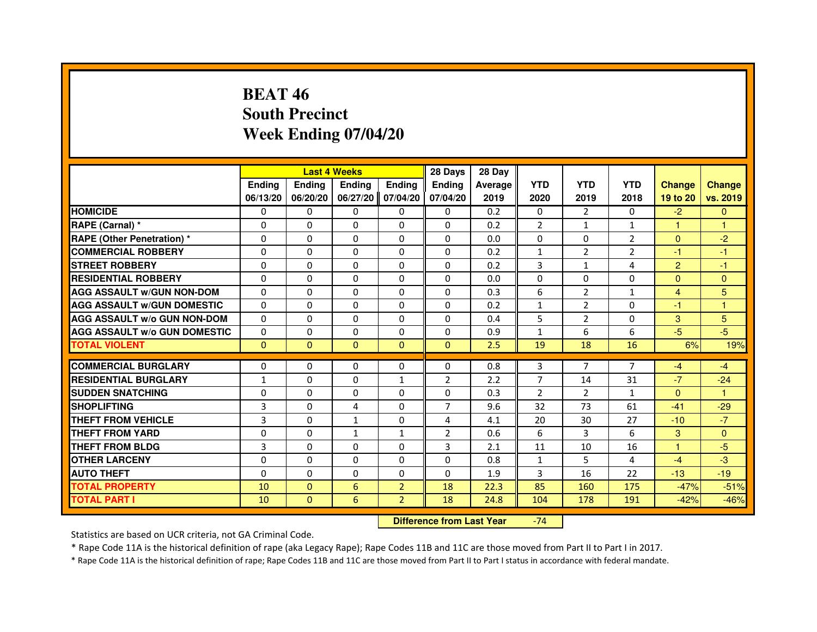## **BEAT 46 South PrecinctWeek Ending 07/04/20**

|                                     |               |              | <b>Last 4 Weeks</b> |                | 28 Days        | 28 Day  |                |                |                |                |               |
|-------------------------------------|---------------|--------------|---------------------|----------------|----------------|---------|----------------|----------------|----------------|----------------|---------------|
|                                     | <b>Endina</b> | Ending       | <b>Endina</b>       | <b>Ending</b>  | <b>Endina</b>  | Average | <b>YTD</b>     | <b>YTD</b>     | <b>YTD</b>     | <b>Change</b>  | <b>Change</b> |
|                                     | 06/13/20      | 06/20/20     | 06/27/20            | 07/04/20       | 07/04/20       | 2019    | 2020           | 2019           | 2018           | 19 to 20       | vs. 2019      |
| <b>HOMICIDE</b>                     | 0             | 0            | 0                   | 0              | 0              | 0.2     | 0              | $\overline{2}$ | 0              | $-2$           | $\mathbf{0}$  |
| RAPE (Carnal) *                     | $\Omega$      | $\Omega$     | $\Omega$            | $\Omega$       | $\Omega$       | 0.2     | 2              | $\mathbf{1}$   | $\mathbf{1}$   | $\mathbf{1}$   | $\mathbf{1}$  |
| <b>RAPE (Other Penetration) *</b>   | $\Omega$      | $\Omega$     | $\Omega$            | $\Omega$       | $\Omega$       | 0.0     | $\Omega$       | $\Omega$       | $\overline{2}$ | $\Omega$       | $-2$          |
| <b>COMMERCIAL ROBBERY</b>           | 0             | 0            | 0                   | 0              | 0              | 0.2     | $\mathbf{1}$   | 2              | 2              | $-1$           | -1            |
| <b>STREET ROBBERY</b>               | $\Omega$      | $\Omega$     | $\Omega$            | $\Omega$       | $\Omega$       | 0.2     | 3              | $\mathbf{1}$   | 4              | $\overline{2}$ | $-1$          |
| <b>RESIDENTIAL ROBBERY</b>          | $\Omega$      | $\Omega$     | $\Omega$            | $\Omega$       | $\Omega$       | 0.0     | $\Omega$       | $\Omega$       | 0              | $\Omega$       | $\Omega$      |
| <b>AGG ASSAULT W/GUN NON-DOM</b>    | $\Omega$      | $\Omega$     | $\Omega$            | $\Omega$       | $\Omega$       | 0.3     | 6              | $\overline{2}$ | 1              | $\overline{4}$ | 5             |
| <b>AGG ASSAULT W/GUN DOMESTIC</b>   | $\Omega$      | 0            | $\Omega$            | 0              | $\Omega$       | 0.2     | $\mathbf{1}$   | 2              | $\Omega$       | $-1$           | 1             |
| <b>AGG ASSAULT W/o GUN NON-DOM</b>  | $\Omega$      | 0            | 0                   | $\Omega$       | $\Omega$       | 0.4     | 5              | 2              | 0              | 3              | 5             |
| <b>AGG ASSAULT W/o GUN DOMESTIC</b> | $\Omega$      | 0            | 0                   | 0              | 0              | 0.9     | 1              | 6              | 6              | $-5$           | -5            |
| <b>TOTAL VIOLENT</b>                | $\Omega$      | $\Omega$     | $\Omega$            | $\Omega$       | $\mathbf{0}$   | 2.5     | 19             | 18             | 16             | 6%             | 19%           |
|                                     |               |              |                     |                |                |         |                |                |                |                |               |
| <b>COMMERCIAL BURGLARY</b>          | 0             | 0            | 0                   | 0              | 0              | 0.8     | 3              | 7              | 7              | -4             | $-4$          |
| <b>RESIDENTIAL BURGLARY</b>         | $\mathbf{1}$  | 0            | 0                   | $\mathbf{1}$   | 2              | 2.2     | $\overline{7}$ | 14             | 31             | $-7$           | $-24$         |
| <b>SUDDEN SNATCHING</b>             | $\Omega$      | $\Omega$     | $\Omega$            | $\Omega$       | $\Omega$       | 0.3     | $\overline{2}$ | 2              | $\mathbf{1}$   | $\Omega$       | 1             |
| <b>SHOPLIFTING</b>                  | 3             | $\Omega$     | 4                   | $\Omega$       | $\overline{7}$ | 9.6     | 32             | 73             | 61             | $-41$          | $-29$         |
| <b>THEFT FROM VEHICLE</b>           | 3             | $\Omega$     | $\mathbf{1}$        | $\Omega$       | 4              | 4.1     | 20             | 30             | 27             | $-10$          | $-7$          |
| <b>THEFT FROM YARD</b>              | $\Omega$      | $\Omega$     | $\mathbf{1}$        | $\mathbf{1}$   | 2              | 0.6     | 6              | 3              | 6              | 3              | $\Omega$      |
| <b>THEFT FROM BLDG</b>              | 3             | 0            | $\Omega$            | $\Omega$       | 3              | 2.1     | 11             | 10             | 16             | 1              | $-5$          |
| <b>OTHER LARCENY</b>                | $\Omega$      | $\Omega$     | 0                   | $\Omega$       | $\Omega$       | 0.8     | $\mathbf{1}$   | 5              | 4              | $-4$           | $-3$          |
| <b>AUTO THEFT</b>                   | $\Omega$      | $\Omega$     | $\Omega$            | $\Omega$       | $\Omega$       | 1.9     | 3              | 16             | 22             | $-13$          | $-19$         |
| <b>TOTAL PROPERTY</b>               | 10            | $\Omega$     | 6                   | $\overline{2}$ | 18             | 22.3    | 85             | 160            | 175            | $-47%$         | $-51%$        |
| <b>TOTAL PART I</b>                 | 10            | $\mathbf{0}$ | 6                   | $\overline{2}$ | 18             | 24.8    | 104            | 178            | 191            | $-42%$         | $-46%$        |

 **Difference from Last Year**-74

Statistics are based on UCR criteria, not GA Criminal Code.

\* Rape Code 11A is the historical definition of rape (aka Legacy Rape); Rape Codes 11B and 11C are those moved from Part II to Part I in 2017.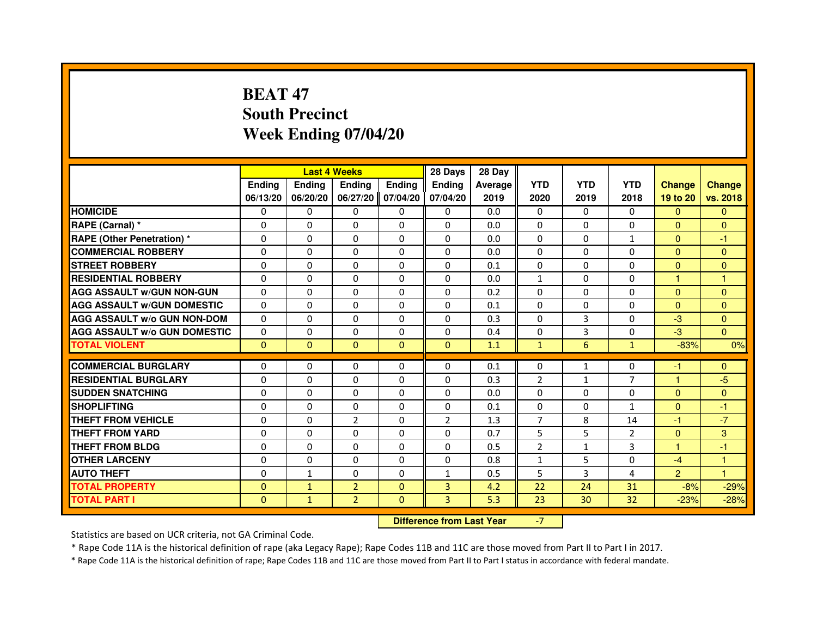# **BEAT 47 South PrecinctWeek Ending 07/04/20**

|                                     |               |                                  | <b>Last 4 Weeks</b> |              | 28 Days        | 28 Day  |                |              |                 |                |               |
|-------------------------------------|---------------|----------------------------------|---------------------|--------------|----------------|---------|----------------|--------------|-----------------|----------------|---------------|
|                                     | <b>Ending</b> | <b>Ending</b>                    | Ending              | Ending       | Ending         | Average | <b>YTD</b>     | <b>YTD</b>   | <b>YTD</b>      | <b>Change</b>  | <b>Change</b> |
|                                     | 06/13/20      | 06/20/20                         | 06/27/20            | 07/04/20     | 07/04/20       | 2019    | 2020           | 2019         | 2018            | 19 to 20       | vs. 2018      |
| <b>HOMICIDE</b>                     | 0             | 0                                | 0                   | 0            | $\mathbf{0}$   | 0.0     | $\Omega$       | 0            | $\Omega$        | $\mathbf{0}$   | $\mathbf{0}$  |
| RAPE (Carnal) *                     | 0             | 0                                | 0                   | $\mathbf{0}$ | 0              | 0.0     | 0              | 0            | 0               | $\mathbf{0}$   | $\mathbf{0}$  |
| RAPE (Other Penetration) *          | 0             | 0                                | $\Omega$            | $\Omega$     | $\mathbf{0}$   | 0.0     | $\Omega$       | $\Omega$     | $\mathbf{1}$    | $\Omega$       | $-1$          |
| <b>COMMERCIAL ROBBERY</b>           | 0             | $\Omega$                         | $\Omega$            | $\Omega$     | 0              | 0.0     | $\Omega$       | $\Omega$     | $\Omega$        | $\Omega$       | $\mathbf{0}$  |
| <b>STREET ROBBERY</b>               | $\Omega$      | $\Omega$                         | $\Omega$            | $\Omega$     | $\Omega$       | 0.1     | $\Omega$       | $\Omega$     | $\Omega$        | $\Omega$       | $\Omega$      |
| <b>RESIDENTIAL ROBBERY</b>          | 0             | 0                                | 0                   | 0            | 0              | 0.0     | 1              | 0            | $\Omega$        | $\mathbf{1}$   | 1             |
| <b>AGG ASSAULT w/GUN NON-GUN</b>    | $\Omega$      | $\Omega$                         | $\Omega$            | $\Omega$     | $\Omega$       | 0.2     | $\Omega$       | $\Omega$     | $\Omega$        | $\Omega$       | $\Omega$      |
| <b>AGG ASSAULT W/GUN DOMESTIC</b>   | $\Omega$      | $\Omega$                         | $\Omega$            | $\Omega$     | $\Omega$       | 0.1     | $\Omega$       | $\Omega$     | $\Omega$        | $\Omega$       | $\Omega$      |
| <b>AGG ASSAULT W/o GUN NON-DOM</b>  | $\Omega$      | $\Omega$                         | $\Omega$            | $\Omega$     | $\Omega$       | 0.3     | $\Omega$       | 3            | $\Omega$        | $-3$           | $\Omega$      |
| <b>AGG ASSAULT w/o GUN DOMESTIC</b> | $\Omega$      | $\Omega$                         | 0                   | $\Omega$     | $\Omega$       | 0.4     | $\Omega$       | 3            | $\Omega$        | $-3$           | $\Omega$      |
| <b>TOTAL VIOLENT</b>                | $\mathbf{0}$  | $\mathbf{0}$                     | $\mathbf 0$         | $\mathbf{0}$ | $\mathbf{0}$   | 1.1     | $\mathbf{1}$   | 6            | $\mathbf{1}$    | $-83%$         | 0%            |
| <b>COMMERCIAL BURGLARY</b>          | 0             | 0                                | 0                   | 0            | 0              | 0.1     | 0              | $\mathbf{1}$ | 0               | $-1$           | $\mathbf{0}$  |
| <b>RESIDENTIAL BURGLARY</b>         | 0             | $\Omega$                         | $\Omega$            | $\Omega$     | 0              | 0.3     | $\overline{2}$ | $\mathbf{1}$ | $\overline{7}$  | $\mathbf{1}$   | $-5$          |
| <b>SUDDEN SNATCHING</b>             | $\Omega$      | $\Omega$                         | $\Omega$            | $\Omega$     | $\Omega$       | 0.0     | $\Omega$       | $\Omega$     | $\Omega$        | $\Omega$       | $\mathbf{0}$  |
| <b>SHOPLIFTING</b>                  | 0             | $\Omega$                         | 0                   | $\Omega$     | $\Omega$       | 0.1     | $\Omega$       | $\Omega$     | $\mathbf{1}$    | $\Omega$       | $-1$          |
| <b>THEFT FROM VEHICLE</b>           | 0             | 0                                | $\overline{2}$      | $\Omega$     | $\overline{2}$ | 1.3     | $\overline{7}$ | 8            | 14              | $-1$           | $-7$          |
| <b>THEFT FROM YARD</b>              | $\Omega$      | $\Omega$                         | $\Omega$            | $\Omega$     | $\Omega$       | 0.7     | 5              | 5            | $\overline{2}$  | $\mathbf{0}$   | 3             |
| <b>THEFT FROM BLDG</b>              | $\Omega$      | $\Omega$                         | $\Omega$            | $\Omega$     | $\Omega$       | 0.5     | $\overline{2}$ | $\mathbf{1}$ | 3               | $\mathbf{1}$   | $-1$          |
| <b>OTHER LARCENY</b>                | 0             | $\Omega$                         | 0                   | $\Omega$     | $\mathbf{0}$   | 0.8     | 1              | 5            | $\Omega$        | $-4$           | 1             |
| <b>AUTO THEFT</b>                   | $\Omega$      | $\mathbf{1}$                     | $\Omega$            | $\Omega$     | $\mathbf{1}$   | 0.5     | 5              | 3            | $\overline{a}$  | $\overline{2}$ | $\mathbf{1}$  |
| <b>TOTAL PROPERTY</b>               | $\Omega$      | $\mathbf{1}$                     | $\overline{2}$      | $\Omega$     | 3              | 4.2     | 22             | 24           | 31              | $-8%$          | $-29%$        |
| <b>TOTAL PART I</b>                 | $\mathbf{0}$  | $\mathbf{1}$                     | $\overline{2}$      | $\mathbf{0}$ | 3              | 5.3     | 23             | 30           | 32 <sub>2</sub> | $-23%$         | $-28%$        |
|                                     |               | <b>Difference from Last Year</b> |                     | $-7$         |                |         |                |              |                 |                |               |

 **Difference from Last Year**

Statistics are based on UCR criteria, not GA Criminal Code.

\* Rape Code 11A is the historical definition of rape (aka Legacy Rape); Rape Codes 11B and 11C are those moved from Part II to Part I in 2017.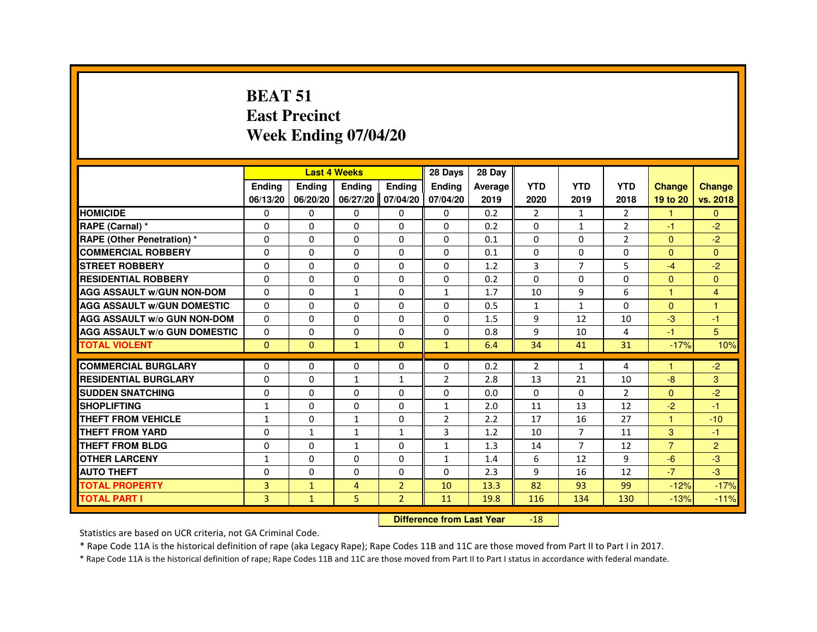#### **BEAT 51 East PrecinctWeek Ending 07/04/20**

|                                     |                |                                  | <b>Last 4 Weeks</b> |                   | 28 Days        | 28 Day  |                |                |                |                      |                |
|-------------------------------------|----------------|----------------------------------|---------------------|-------------------|----------------|---------|----------------|----------------|----------------|----------------------|----------------|
|                                     | <b>Ending</b>  | Ending                           | Ending              | <b>Ending</b>     | <b>Ending</b>  | Average | <b>YTD</b>     | <b>YTD</b>     | <b>YTD</b>     | <b>Change</b>        | <b>Change</b>  |
|                                     | 06/13/20       | 06/20/20                         |                     | 06/27/20 07/04/20 | 07/04/20       | 2019    | 2020           | 2019           | 2018           | 19 to 20             | vs. 2018       |
| <b>HOMICIDE</b>                     | 0              | $\Omega$                         | $\Omega$            | $\mathbf{0}$      | 0              | 0.2     | $\overline{2}$ | $\mathbf{1}$   | $\overline{2}$ | 1                    | $\Omega$       |
| RAPE (Carnal) *                     | 0              | 0                                | 0                   | 0                 | 0              | 0.2     | 0              | $\mathbf{1}$   | $\overline{2}$ | $-1$                 | $-2$           |
| <b>RAPE (Other Penetration) *</b>   | 0              | 0                                | $\Omega$            | $\Omega$          | $\Omega$       | 0.1     | $\Omega$       | $\Omega$       | $\overline{2}$ | $\mathbf{0}$         | $-2$           |
| <b>COMMERCIAL ROBBERY</b>           | $\Omega$       | $\Omega$                         | $\Omega$            | $\Omega$          | $\Omega$       | 0.1     | $\Omega$       | $\Omega$       | $\Omega$       | $\Omega$             | $\Omega$       |
| <b>STREET ROBBERY</b>               | 0              | $\Omega$                         | $\Omega$            | 0                 | $\Omega$       | 1.2     | 3              | $\overline{7}$ | 5              | $-4$                 | $-2$           |
| <b>RESIDENTIAL ROBBERY</b>          | 0              | 0                                | 0                   | 0                 | 0              | 0.2     | $\Omega$       | 0              | $\Omega$       | $\mathbf{0}$         | $\Omega$       |
| <b>AGG ASSAULT w/GUN NON-DOM</b>    | $\Omega$       | $\Omega$                         | $\mathbf{1}$        | $\Omega$          | $\mathbf{1}$   | 1.7     | 10             | 9              | 6              | $\mathbf{1}$         | $\overline{4}$ |
| <b>AGG ASSAULT W/GUN DOMESTIC</b>   | $\Omega$       | 0                                | $\Omega$            | $\Omega$          | $\Omega$       | 0.5     | $\mathbf{1}$   | $\mathbf{1}$   | $\Omega$       | $\Omega$             | $\overline{1}$ |
| <b>AGG ASSAULT w/o GUN NON-DOM</b>  | $\mathbf{0}$   | 0                                | 0                   | 0                 | 0              | 1.5     | 9              | 12             | 10             | $-3$                 | -1             |
| <b>AGG ASSAULT W/o GUN DOMESTIC</b> | $\Omega$       | 0                                | 0                   | 0                 | 0              | 0.8     | 9              | 10             | 4              | $-1$                 | 5              |
| <b>TOTAL VIOLENT</b>                | $\Omega$       | $\mathbf{0}$                     | $\mathbf{1}$        | $\mathbf{0}$      | $\mathbf{1}$   | 6.4     | 34             | 41             | 31             | $-17%$               | 10%            |
| <b>COMMERCIAL BURGLARY</b>          | 0              | 0                                | 0                   | 0                 | 0              | 0.2     | $\overline{2}$ | $\mathbf{1}$   | 4              | -1                   | $-2$           |
| <b>RESIDENTIAL BURGLARY</b>         | $\Omega$       | $\Omega$                         | $\mathbf{1}$        | $\mathbf{1}$      | $\overline{2}$ | 2.8     | 13             | 21             | 10             | $-8$                 | 3              |
| <b>SUDDEN SNATCHING</b>             | 0              | $\Omega$                         | $\Omega$            | $\Omega$          | $\Omega$       | 0.0     | $\Omega$       | $\Omega$       | $\overline{2}$ | $\Omega$             | $-2$           |
| <b>SHOPLIFTING</b>                  | 1              | 0                                | 0                   | 0                 | $\mathbf{1}$   | 2.0     | 11             | 13             | 12             | $-2$                 | $-1$           |
| THEFT FROM VEHICLE                  | $\mathbf{1}$   | 0                                | $\mathbf{1}$        | 0                 | $\overline{2}$ | 2.2     | 17             | 16             | 27             | $\blacktriangleleft$ | $-10$          |
| <b>THEFT FROM YARD</b>              | $\mathbf 0$    | $\mathbf{1}$                     | $\mathbf{1}$        | $\mathbf{1}$      | 3              | 1.2     | 10             | $\overline{7}$ | 11             | 3                    | $-1$           |
| <b>THEFT FROM BLDG</b>              | 0              | $\Omega$                         | $\mathbf{1}$        | $\Omega$          | $\mathbf{1}$   | 1.3     | 14             | $\overline{7}$ | 12             | $\overline{7}$       | $\overline{2}$ |
| <b>OTHER LARCENY</b>                | $\mathbf{1}$   | $\Omega$                         | $\Omega$            | $\Omega$          | $\mathbf{1}$   | 1.4     | 6              | 12             | 9              | $-6$                 | $-3$           |
| <b>AUTO THEFT</b>                   | 0              | 0                                | 0                   | 0                 | 0              | 2.3     | 9              | 16             | 12             | $-7$                 | $-3$           |
| <b>TOTAL PROPERTY</b>               | $\overline{3}$ | $\mathbf{1}$                     | 4                   | $\overline{2}$    | 10             | 13.3    | 82             | 93             | 99             | $-12%$               | $-17%$         |
| <b>TOTAL PART I</b>                 | 3              | $\mathbf{1}$                     | 5                   | $\overline{2}$    | 11             | 19.8    | 116            | 134            | 130            | $-13%$               | $-11%$         |
|                                     |                | <b>Difference from Last Year</b> |                     | $-18$             |                |         |                |                |                |                      |                |

#### **Difference from Last Year**

Statistics are based on UCR criteria, not GA Criminal Code.

\* Rape Code 11A is the historical definition of rape (aka Legacy Rape); Rape Codes 11B and 11C are those moved from Part II to Part I in 2017.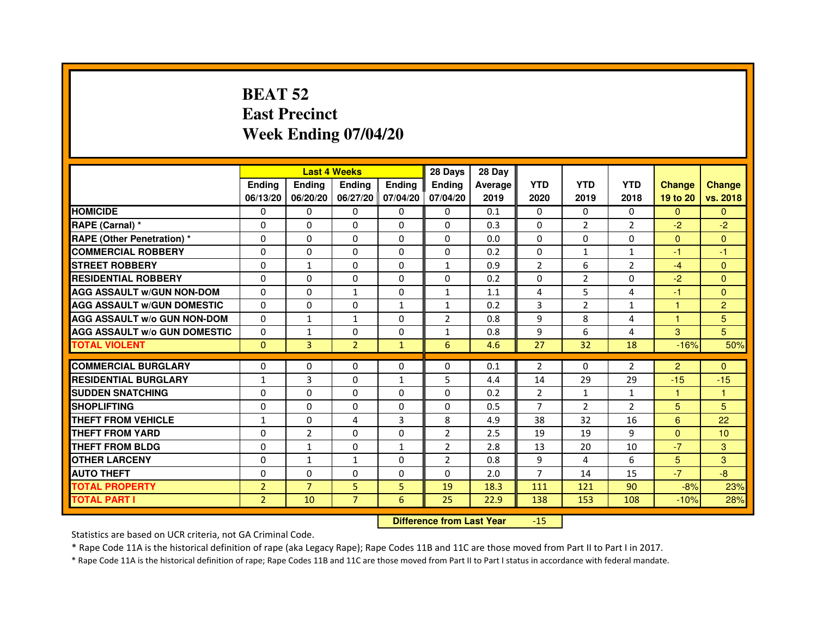# **BEAT 52 East PrecinctWeek Ending 07/04/20**

|                                     |                |                | <b>Last 4 Weeks</b> |                   | 28 Days        | 28 Day  |                |                |                |                |                |
|-------------------------------------|----------------|----------------|---------------------|-------------------|----------------|---------|----------------|----------------|----------------|----------------|----------------|
|                                     | <b>Endina</b>  | <b>Endina</b>  | <b>Endina</b>       | Ending            | <b>Endina</b>  | Average | <b>YTD</b>     | <b>YTD</b>     | <b>YTD</b>     | <b>Change</b>  | <b>Change</b>  |
|                                     | 06/13/20       | 06/20/20       |                     | 06/27/20 07/04/20 | 07/04/20       | 2019    | 2020           | 2019           | 2018           | 19 to 20       | vs. 2018       |
| <b>HOMICIDE</b>                     | 0              | 0              | $\mathbf{0}$        | 0                 | 0              | 0.1     | $\mathbf{0}$   | 0              | $\mathbf{0}$   | $\mathbf{0}$   | $\mathbf{0}$   |
| RAPE (Carnal) *                     | $\Omega$       | $\Omega$       | $\Omega$            | $\Omega$          | $\Omega$       | 0.3     | $\Omega$       | 2              | $\overline{2}$ | $-2$           | $-2$           |
| <b>RAPE (Other Penetration) *</b>   | 0              | $\Omega$       | 0                   | $\Omega$          | $\Omega$       | 0.0     | $\Omega$       | $\Omega$       | $\Omega$       | $\Omega$       | $\Omega$       |
| <b>COMMERCIAL ROBBERY</b>           | 0              | 0              | 0                   | 0                 | $\Omega$       | 0.2     | $\Omega$       | $\mathbf{1}$   | $\mathbf{1}$   | $-1$           | $-1$           |
| <b>STREET ROBBERY</b>               | 0              | 1              | 0                   | 0                 | $\mathbf{1}$   | 0.9     | $\overline{2}$ | 6              | $\overline{2}$ | $-4$           | $\Omega$       |
| <b>RESIDENTIAL ROBBERY</b>          | 0              | $\Omega$       | $\Omega$            | $\Omega$          | $\Omega$       | 0.2     | $\Omega$       | $\overline{2}$ | $\Omega$       | $-2$           | $\Omega$       |
| <b>AGG ASSAULT W/GUN NON-DOM</b>    | $\Omega$       | $\mathbf 0$    | $\mathbf{1}$        | $\Omega$          | $\mathbf{1}$   | 1.1     | 4              | 5              | 4              | $-1$           | $\mathbf{0}$   |
| <b>AGG ASSAULT W/GUN DOMESTIC</b>   | 0              | 0              | 0                   | $\mathbf{1}$      | $\mathbf{1}$   | 0.2     | 3              | 2              | $\mathbf{1}$   | $\mathbf{1}$   | $\overline{2}$ |
| <b>AGG ASSAULT W/o GUN NON-DOM</b>  | 0              | 1              | 1                   | $\Omega$          | $\overline{2}$ | 0.8     | 9              | 8              | 4              | 1              | 5              |
| <b>AGG ASSAULT W/o GUN DOMESTIC</b> | $\Omega$       | $\mathbf{1}$   | 0                   | $\Omega$          | $\mathbf{1}$   | 0.8     | 9              | 6              | 4              | 3              | 5              |
| <b>TOTAL VIOLENT</b>                | $\Omega$       | 3              | $\overline{2}$      | $\mathbf{1}$      | 6              | 4.6     | 27             | 32             | 18             | $-16%$         | 50%            |
|                                     |                |                |                     |                   |                |         |                |                |                |                |                |
| <b>COMMERCIAL BURGLARY</b>          | 0              | 0              | 0                   | 0                 | $\Omega$       | 0.1     | 2              | $\Omega$       | 2              | $\overline{2}$ | $\Omega$       |
| <b>RESIDENTIAL BURGLARY</b>         | $\mathbf{1}$   | 3              | 0                   | $\mathbf{1}$      | 5              | 4.4     | 14             | 29             | 29             | $-15$          | $-15$          |
| <b>SUDDEN SNATCHING</b>             | 0              | 0              | 0                   | $\Omega$          | $\Omega$       | 0.2     | $\overline{2}$ | $\mathbf{1}$   | $\mathbf{1}$   | 1              | 1              |
| <b>SHOPLIFTING</b>                  | 0              | 0              | 0                   | $\Omega$          | $\Omega$       | 0.5     | $\overline{7}$ | $\overline{2}$ | $\overline{2}$ | 5              | 5              |
| <b>THEFT FROM VEHICLE</b>           | $\mathbf{1}$   | $\Omega$       | 4                   | 3                 | 8              | 4.9     | 38             | 32             | 16             | 6              | 22             |
| <b>THEFT FROM YARD</b>              | $\Omega$       | $\overline{2}$ | $\Omega$            | $\Omega$          | $\overline{2}$ | 2.5     | 19             | 19             | 9              | $\Omega$       | 10             |
| <b>THEFT FROM BLDG</b>              | 0              | 1              | 0                   | 1                 | $\overline{2}$ | 2.8     | 13             | 20             | 10             | $-7$           | 3              |
| <b>OTHER LARCENY</b>                | 0              | $\mathbf{1}$   | 1                   | $\Omega$          | $\overline{2}$ | 0.8     | 9              | 4              | 6              | 5              | 3              |
| <b>AUTO THEFT</b>                   | $\mathbf 0$    | 0              | $\Omega$            | $\Omega$          | $\Omega$       | 2.0     | $\overline{7}$ | 14             | 15             | $-7$           | -8             |
| <b>TOTAL PROPERTY</b>               | $\overline{2}$ | $\overline{7}$ | 5                   | 5                 | 19             | 18.3    | 111            | 121            | 90             | $-8%$          | 23%            |
| <b>TOTAL PART I</b>                 | $\overline{2}$ | 10             | $\overline{7}$      | 6                 | 25             | 22.9    | 138            | 153            | 108            | $-10%$         | 28%            |

 **Difference from Last Year**-15

Statistics are based on UCR criteria, not GA Criminal Code.

\* Rape Code 11A is the historical definition of rape (aka Legacy Rape); Rape Codes 11B and 11C are those moved from Part II to Part I in 2017.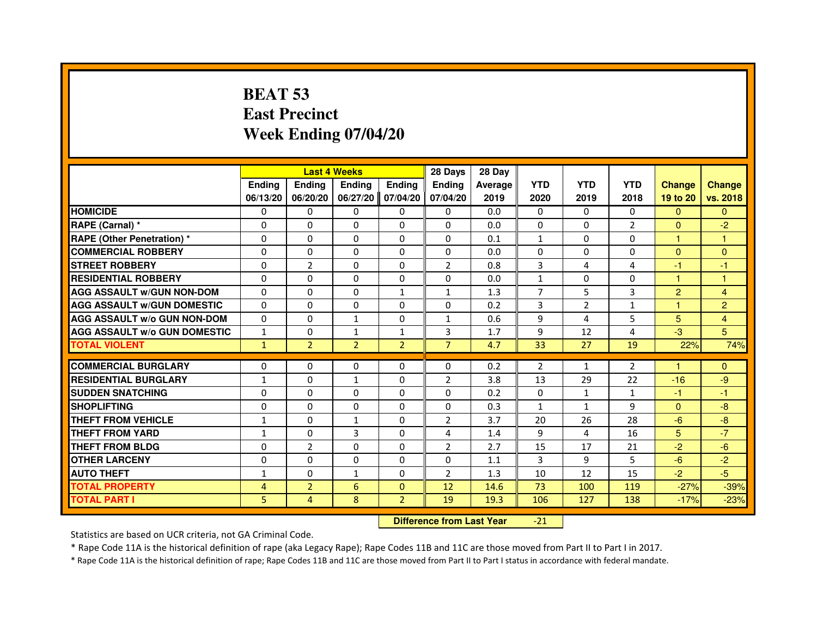# **BEAT 53 East PrecinctWeek Ending 07/04/20**

|                                     |                |                                  | <b>Last 4 Weeks</b> |                | 28 Days        | 28 Day  |                |                |                |                      |                |
|-------------------------------------|----------------|----------------------------------|---------------------|----------------|----------------|---------|----------------|----------------|----------------|----------------------|----------------|
|                                     | <b>Ending</b>  | <b>Ending</b>                    | <b>Ending</b>       | <b>Ending</b>  | Ending         | Average | <b>YTD</b>     | <b>YTD</b>     | <b>YTD</b>     | <b>Change</b>        | <b>Change</b>  |
|                                     | 06/13/20       | 06/20/20                         | 06/27/20            | 07/04/20       | 07/04/20       | 2019    | 2020           | 2019           | 2018           | 19 to 20             | vs. 2018       |
| <b>HOMICIDE</b>                     | $\Omega$       | $\Omega$                         | $\mathbf{0}$        | 0              | 0              | 0.0     | $\Omega$       | $\Omega$       | $\Omega$       | $\mathbf{0}$         | $\mathbf{0}$   |
| RAPE (Carnal) *                     | 0              | 0                                | 0                   | 0              | 0              | 0.0     | 0              | 0              | $\overline{2}$ | $\mathbf{0}$         | $-2$           |
| <b>RAPE (Other Penetration) *</b>   | $\Omega$       | $\Omega$                         | $\Omega$            | $\Omega$       | $\Omega$       | 0.1     | 1              | $\Omega$       | $\Omega$       | $\mathbf{1}$         | $\mathbf{1}$   |
| <b>COMMERCIAL ROBBERY</b>           | $\Omega$       | $\Omega$                         | $\Omega$            | $\Omega$       | 0              | 0.0     | 0              | $\Omega$       | $\Omega$       | $\Omega$             | $\mathbf{0}$   |
| <b>STREET ROBBERY</b>               | $\Omega$       | $\overline{2}$                   | $\Omega$            | $\Omega$       | $\overline{2}$ | 0.8     | 3              | 4              | 4              | $-1$                 | $-1$           |
| <b>RESIDENTIAL ROBBERY</b>          | 0              | 0                                | 0                   | 0              | 0              | 0.0     | $\mathbf{1}$   | 0              | $\Omega$       | $\blacktriangleleft$ | 1              |
| <b>AGG ASSAULT w/GUN NON-DOM</b>    | $\Omega$       | $\Omega$                         | $\Omega$            | $\mathbf{1}$   | $\mathbf{1}$   | 1.3     | $\overline{7}$ | 5              | 3              | $\overline{2}$       | 4              |
| <b>AGG ASSAULT W/GUN DOMESTIC</b>   | $\Omega$       | $\Omega$                         | $\Omega$            | $\Omega$       | $\Omega$       | 0.2     | 3              | $\overline{2}$ | $\mathbf{1}$   | $\mathbf{1}$         | $\overline{c}$ |
| <b>AGG ASSAULT w/o GUN NON-DOM</b>  | $\Omega$       | $\Omega$                         | $\mathbf{1}$        | $\Omega$       | $\mathbf{1}$   | 0.6     | 9              | 4              | 5              | 5                    | 4              |
| <b>AGG ASSAULT W/o GUN DOMESTIC</b> | $\mathbf{1}$   | $\Omega$                         | $\mathbf{1}$        | $\mathbf{1}$   | $\overline{3}$ | 1.7     | 9              | 12             | 4              | $-3$                 | 5              |
| <b>TOTAL VIOLENT</b>                | $\mathbf{1}$   | $\overline{2}$                   | $\overline{2}$      | $\overline{2}$ | $\overline{7}$ | 4.7     | 33             | 27             | 19             | 22%                  | 74%            |
| <b>COMMERCIAL BURGLARY</b>          | 0              | 0                                | 0                   | 0              | 0              | 0.2     | $\overline{2}$ | 1              | 2              | 1                    | $\mathbf{0}$   |
| <b>RESIDENTIAL BURGLARY</b>         | $\mathbf{1}$   | $\Omega$                         | $\mathbf{1}$        | $\Omega$       | $\overline{2}$ | 3.8     | 13             | 29             | 22             | $-16$                | $-9$           |
| <b>SUDDEN SNATCHING</b>             | $\Omega$       | $\Omega$                         | $\Omega$            | $\Omega$       | $\Omega$       | 0.2     | $\Omega$       | $\mathbf{1}$   | $\mathbf{1}$   | $-1$                 | $-1$           |
| <b>SHOPLIFTING</b>                  | 0              | $\Omega$                         | $\Omega$            | 0              | 0              | 0.3     | $\mathbf{1}$   | $\mathbf{1}$   | 9              | $\mathbf{0}$         | $-8$           |
| <b>THEFT FROM VEHICLE</b>           | 1              | 0                                | $\mathbf{1}$        | $\Omega$       | $\overline{2}$ | 3.7     | 20             | 26             | 28             | $-6$                 | $-8$           |
| <b>THEFT FROM YARD</b>              | $\mathbf{1}$   | $\Omega$                         | 3                   | $\Omega$       | 4              | 1.4     | 9              | 4              | 16             | $5\phantom{.}$       | $-7$           |
| <b>THEFT FROM BLDG</b>              | $\Omega$       | $\overline{2}$                   | $\Omega$            | $\Omega$       | $\overline{2}$ | 2.7     | 15             | 17             | 21             | $-2$                 | $-6$           |
| <b>OTHER LARCENY</b>                | 0              | $\Omega$                         | $\Omega$            | $\Omega$       | 0              | 1.1     | 3              | 9              | 5              | $-6$                 | $-2$           |
| <b>AUTO THEFT</b>                   | $\mathbf{1}$   | $\Omega$                         | $\mathbf{1}$        | $\Omega$       | $\overline{2}$ | 1.3     | 10             | 12             | 15             | $-2$                 | $-5$           |
| <b>TOTAL PROPERTY</b>               | $\overline{4}$ | $\overline{2}$                   | 6                   | $\mathbf{0}$   | 12             | 14.6    | 73             | 100            | 119            | $-27%$               | $-39%$         |
| <b>TOTAL PART I</b>                 | 5              | $\overline{4}$                   | 8                   | $\overline{2}$ | 19             | 19.3    | 106            | 127            | 138            | $-17%$               | $-23%$         |
|                                     |                | <b>Difference from Last Year</b> |                     | $-21$          |                |         |                |                |                |                      |                |

 **Difference from Last Year**

Statistics are based on UCR criteria, not GA Criminal Code.

\* Rape Code 11A is the historical definition of rape (aka Legacy Rape); Rape Codes 11B and 11C are those moved from Part II to Part I in 2017.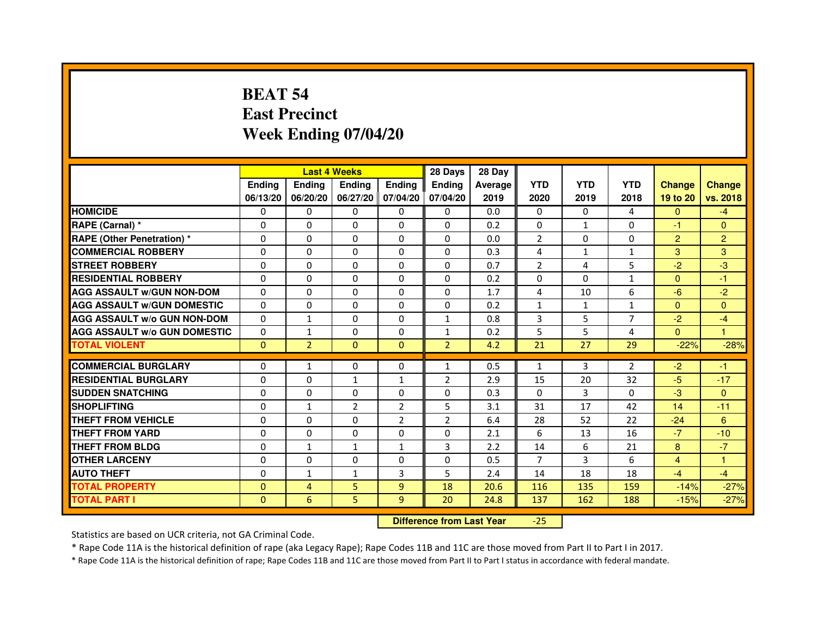# **BEAT 54 East PrecinctWeek Ending 07/04/20**

|                                     |               | <b>Last 4 Weeks</b> |                |                   | 28 Days        | 28 Day  |                |              |                |                |                |
|-------------------------------------|---------------|---------------------|----------------|-------------------|----------------|---------|----------------|--------------|----------------|----------------|----------------|
|                                     | <b>Endina</b> | Ending              | <b>Endina</b>  | <b>Ending</b>     | <b>Endina</b>  | Average | <b>YTD</b>     | <b>YTD</b>   | <b>YTD</b>     | <b>Change</b>  | <b>Change</b>  |
|                                     | 06/13/20      | 06/20/20            |                | 06/27/20 07/04/20 | 07/04/20       | 2019    | 2020           | 2019         | 2018           | 19 to 20       | vs. 2018       |
| <b>HOMICIDE</b>                     | 0             | 0                   | 0              | 0                 | 0              | 0.0     | $\mathbf{0}$   | $\Omega$     | 4              | $\mathbf{0}$   | $-4$           |
| RAPE (Carnal) *                     | $\Omega$      | $\Omega$            | $\Omega$       | $\Omega$          | $\Omega$       | 0.2     | $\Omega$       | $\mathbf{1}$ | $\Omega$       | $-1$           | $\Omega$       |
| <b>RAPE (Other Penetration) *</b>   | 0             | 0                   | $\Omega$       | $\Omega$          | $\Omega$       | 0.0     | $\overline{2}$ | $\Omega$     | $\Omega$       | $\overline{2}$ | $\overline{2}$ |
| <b>COMMERCIAL ROBBERY</b>           | 0             | 0                   | 0              | $\Omega$          | $\Omega$       | 0.3     | 4              | $\mathbf{1}$ | 1              | 3              | 3              |
| <b>STREET ROBBERY</b>               | 0             | $\Omega$            | 0              | $\Omega$          | 0              | 0.7     | $\overline{2}$ | 4            | 5              | $-2$           | -3             |
| <b>RESIDENTIAL ROBBERY</b>          | 0             | $\Omega$            | 0              | 0                 | 0              | 0.2     | 0              | $\Omega$     | $\mathbf{1}$   | $\Omega$       | $-1$           |
| <b>AGG ASSAULT W/GUN NON-DOM</b>    | $\Omega$      | $\mathbf 0$         | $\Omega$       | $\Omega$          | $\Omega$       | 1.7     | 4              | 10           | 6              | $-6$           | $-2$           |
| <b>AGG ASSAULT W/GUN DOMESTIC</b>   | $\Omega$      | $\Omega$            | 0              | 0                 | 0              | 0.2     | $\mathbf{1}$   | $\mathbf{1}$ | $\mathbf{1}$   | $\Omega$       | $\Omega$       |
| <b>AGG ASSAULT W/o GUN NON-DOM</b>  | $\Omega$      | $\mathbf{1}$        | $\Omega$       | 0                 | 1              | 0.8     | 3              | 5            | 7              | $-2$           | $-4$           |
| <b>AGG ASSAULT W/o GUN DOMESTIC</b> | $\Omega$      | $\mathbf{1}$        | 0              | $\Omega$          | 1              | 0.2     | 5              | 5            | $\overline{4}$ | $\Omega$       | 1              |
| <b>TOTAL VIOLENT</b>                | $\Omega$      | $\overline{2}$      | $\Omega$       | $\mathbf{0}$      | $\overline{2}$ | 4.2     | 21             | 27           | 29             | $-22%$         | $-28%$         |
|                                     |               |                     |                |                   |                |         |                |              |                |                |                |
| <b>COMMERCIAL BURGLARY</b>          | 0             | $\mathbf{1}$        | $\Omega$       | $\Omega$          | $\mathbf{1}$   | 0.5     | $\mathbf{1}$   | 3            | $\overline{2}$ | $-2$           | $-1$           |
| <b>RESIDENTIAL BURGLARY</b>         | 0             | 0                   | 1              | $\mathbf{1}$      | $\overline{2}$ | 2.9     | 15             | 20           | 32             | $-5$           | $-17$          |
| <b>SUDDEN SNATCHING</b>             | 0             | 0                   | $\Omega$       | $\Omega$          | $\Omega$       | 0.3     | $\Omega$       | 3            | $\Omega$       | $-3$           | $\Omega$       |
| <b>SHOPLIFTING</b>                  | $\mathbf 0$   | 1                   | $\overline{2}$ | $\overline{2}$    | 5              | 3.1     | 31             | 17           | 42             | 14             | $-11$          |
| <b>THEFT FROM VEHICLE</b>           | 0             | $\Omega$            | $\Omega$       | $\overline{2}$    | $\overline{2}$ | 6.4     | 28             | 52           | 22             | $-24$          | 6              |
| <b>THEFT FROM YARD</b>              | $\Omega$      | 0                   | $\Omega$       | $\Omega$          | $\Omega$       | 2.1     | 6              | 13           | 16             | $-7$           | $-10$          |
| <b>THEFT FROM BLDG</b>              | 0             | 1                   | 1              | 1                 | 3              | 2.2     | 14             | 6            | 21             | 8              | $-7$           |
| <b>OTHER LARCENY</b>                | 0             | 0                   | $\Omega$       | $\Omega$          | $\Omega$       | 0.5     | 7              | 3            | 6              | $\overline{4}$ | 1              |
| <b>AUTO THEFT</b>                   | $\mathbf 0$   | 1                   | 1              | 3                 | 5              | 2.4     | 14             | 18           | 18             | $-4$           | $-4$           |
| <b>TOTAL PROPERTY</b>               | 0             | 4                   | 5              | 9                 | 18             | 20.6    | 116            | 135          | 159            | $-14%$         | $-27%$         |
| <b>TOTAL PART I</b>                 | $\Omega$      | 6                   | 5              | 9                 | 20             | 24.8    | 137            | 162          | 188            | $-15%$         | $-27%$         |

 **Difference from Last Year**-25

Statistics are based on UCR criteria, not GA Criminal Code.

\* Rape Code 11A is the historical definition of rape (aka Legacy Rape); Rape Codes 11B and 11C are those moved from Part II to Part I in 2017.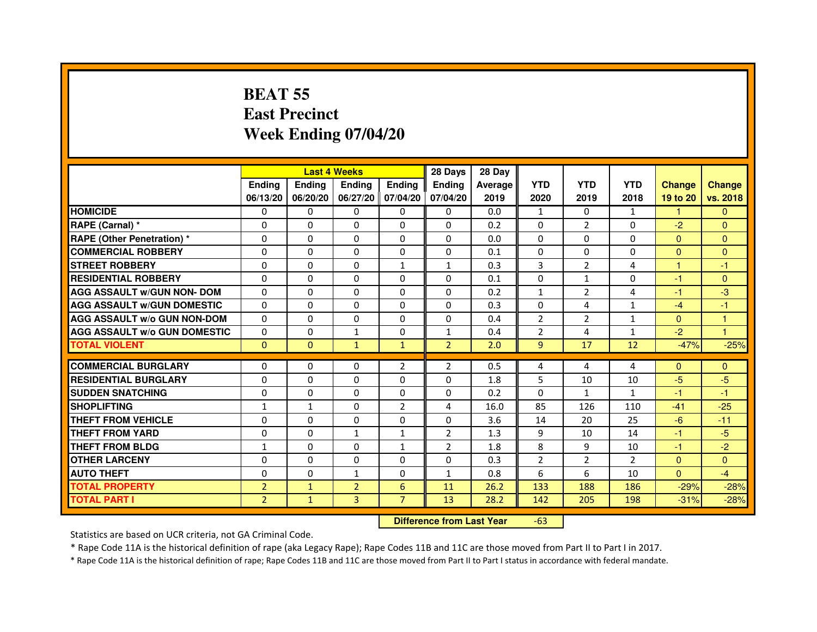# **BEAT 55 East PrecinctWeek Ending 07/04/20**

|                                     |                |                                  | <b>Last 4 Weeks</b> |                | 28 Days        | 28 Day  |                |                |              |               |                |
|-------------------------------------|----------------|----------------------------------|---------------------|----------------|----------------|---------|----------------|----------------|--------------|---------------|----------------|
|                                     | <b>Ending</b>  | <b>Ending</b>                    | <b>Ending</b>       | Ending         | Ending         | Average | <b>YTD</b>     | <b>YTD</b>     | <b>YTD</b>   | <b>Change</b> | <b>Change</b>  |
|                                     | 06/13/20       | 06/20/20                         | 06/27/20            | 07/04/20       | 07/04/20       | 2019    | 2020           | 2019           | 2018         | 19 to 20      | vs. 2018       |
| <b>HOMICIDE</b>                     | $\Omega$       | $\Omega$                         | 0                   | 0              | 0              | 0.0     | $\mathbf{1}$   | $\Omega$       | $\mathbf{1}$ | $\mathbf{1}$  | $\Omega$       |
| RAPE (Carnal) *                     | $\Omega$       | $\mathbf{0}$                     | 0                   | 0              | 0              | 0.2     | 0              | $\overline{2}$ | 0            | $-2$          | $\mathbf{0}$   |
| RAPE (Other Penetration) *          | $\Omega$       | 0                                | $\Omega$            | $\Omega$       | $\Omega$       | 0.0     | $\Omega$       | $\Omega$       | $\Omega$     | $\Omega$      | $\overline{0}$ |
| <b>COMMERCIAL ROBBERY</b>           | $\Omega$       | $\Omega$                         | $\Omega$            | 0              | 0              | 0.1     | 0              | $\Omega$       | $\Omega$     | $\mathbf{0}$  | $\mathbf{0}$   |
| <b>STREET ROBBERY</b>               | $\Omega$       | $\Omega$                         | $\Omega$            | $\mathbf{1}$   | $\mathbf{1}$   | 0.3     | 3              | $\overline{2}$ | 4            | 1             | $-1$           |
| <b>RESIDENTIAL ROBBERY</b>          | 0              | 0                                | 0                   | 0              | 0              | 0.1     | 0              | $\mathbf{1}$   | $\Omega$     | $-1$          | $\mathbf{0}$   |
| <b>AGG ASSAULT w/GUN NON- DOM</b>   | $\Omega$       | $\Omega$                         | $\Omega$            | $\Omega$       | $\Omega$       | 0.2     | $\mathbf{1}$   | $\overline{2}$ | 4            | $-1$          | $-3$           |
| <b>AGG ASSAULT W/GUN DOMESTIC</b>   | $\Omega$       | $\Omega$                         | $\Omega$            | $\Omega$       | $\Omega$       | 0.3     | $\Omega$       | 4              | $\mathbf{1}$ | $-4$          | $-1$           |
| <b>AGG ASSAULT W/o GUN NON-DOM</b>  | $\Omega$       | $\Omega$                         | $\Omega$            | $\Omega$       | $\Omega$       | 0.4     | $\overline{2}$ | $\overline{2}$ | $\mathbf{1}$ | $\Omega$      | 1              |
| <b>AGG ASSAULT W/o GUN DOMESTIC</b> | $\Omega$       | $\Omega$                         | $\mathbf{1}$        | $\Omega$       | $\mathbf{1}$   | 0.4     | $\overline{2}$ | 4              | $\mathbf{1}$ | $-2$          | 1              |
| <b>TOTAL VIOLENT</b>                | $\mathbf{0}$   | $\mathbf{0}$                     | $\mathbf{1}$        | $\mathbf{1}$   | $\overline{2}$ | 2.0     | 9              | 17             | 12           | $-47%$        | $-25%$         |
| <b>COMMERCIAL BURGLARY</b>          | $\mathbf{0}$   | 0                                | 0                   | $\overline{2}$ | 2              | 0.5     | 4              | 4              | 4            | $\Omega$      | $\mathbf{0}$   |
| <b>RESIDENTIAL BURGLARY</b>         | $\Omega$       | $\Omega$                         | $\Omega$            | $\Omega$       | $\mathbf 0$    | 1.8     | 5              | 10             | 10           | $-5$          | $-5$           |
| <b>SUDDEN SNATCHING</b>             | $\Omega$       | $\Omega$                         | $\Omega$            | $\Omega$       | $\Omega$       | 0.2     | $\Omega$       | $\mathbf{1}$   | $\mathbf{1}$ | $-1$          | $-1$           |
| <b>SHOPLIFTING</b>                  | $\mathbf{1}$   | $\mathbf{1}$                     | $\Omega$            | $\overline{2}$ | 4              | 16.0    | 85             | 126            | 110          | $-41$         | $-25$          |
| THEFT FROM VEHICLE                  | $\Omega$       | $\Omega$                         | $\Omega$            | $\Omega$       | 0              | 3.6     | 14             | 20             | 25           | $-6$          | $-11$          |
| <b>THEFT FROM YARD</b>              | $\Omega$       | $\Omega$                         | $\mathbf{1}$        | $\mathbf{1}$   | $\overline{2}$ | 1.3     | 9              | 10             | 14           | $-1$          | $-5$           |
| <b>THEFT FROM BLDG</b>              | $\mathbf{1}$   | $\Omega$                         | $\Omega$            | $\mathbf{1}$   | $\overline{2}$ | 1.8     | 8              | 9              | 10           | $-1$          | $-2$           |
| <b>OTHER LARCENY</b>                | $\mathbf{0}$   | $\Omega$                         | $\Omega$            | $\Omega$       | $\Omega$       | 0.3     | $\overline{2}$ | $\overline{2}$ | 2            | $\mathbf{0}$  | $\Omega$       |
| <b>AUTO THEFT</b>                   | $\Omega$       | $\Omega$                         | $\mathbf{1}$        | $\Omega$       | $\mathbf{1}$   | 0.8     | 6              | 6              | 10           | $\Omega$      | $-4$           |
| <b>TOTAL PROPERTY</b>               | $\overline{2}$ | $\mathbf{1}$                     | $\overline{2}$      | $6\phantom{1}$ | 11             | 26.2    | 133            | 188            | 186          | $-29%$        | $-28%$         |
| <b>TOTAL PART I</b>                 | $\overline{2}$ | $\mathbf{1}$                     | $\overline{3}$      | $\overline{7}$ | 13             | 28.2    | 142            | 205            | 198          | $-31%$        | $-28%$         |
|                                     |                | <b>Difference from Last Year</b> |                     | $-63$          |                |         |                |                |              |               |                |

 **Difference from Last Year**

Statistics are based on UCR criteria, not GA Criminal Code.

\* Rape Code 11A is the historical definition of rape (aka Legacy Rape); Rape Codes 11B and 11C are those moved from Part II to Part I in 2017.